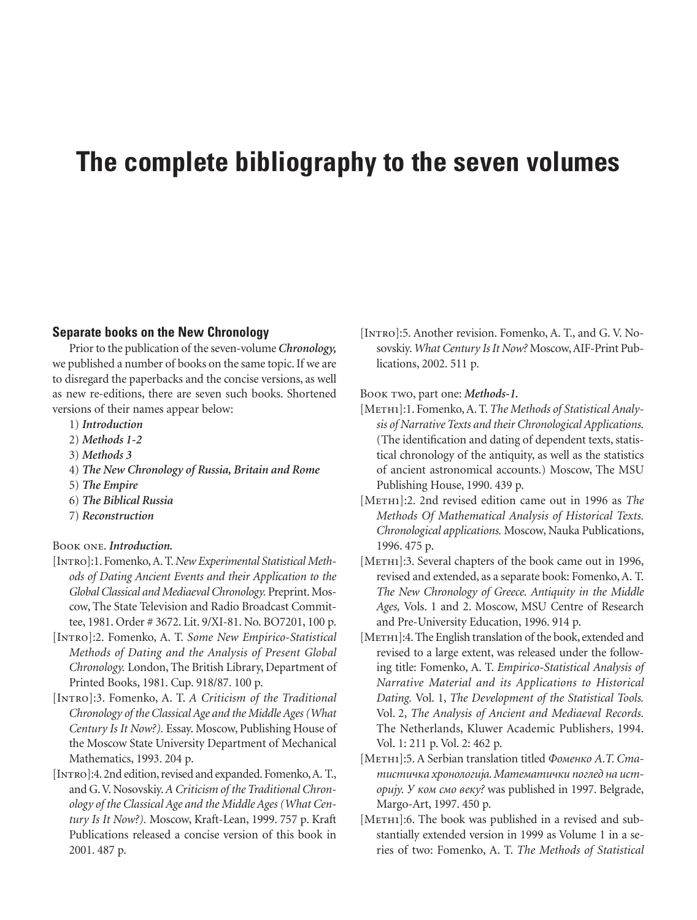# **The complete bibliography to the seven volumes**

# **Separate books on the New Chronology**

Prior to the publication of the seven-volume *Chronology,* we published a number of books on the same topic. If we are to disregard the paperbacks and the concise versions, as well as new re-editions, there are seven such books. Shortened versions of their names appear below:

- 1) *Introduction*
- 2) *Methods 1-2*
- 3) *Methods 3*
- 4) *The New Chronology of Russia, Britain and Rome*
- 5) *The Empire*
- 6) *The Biblical Russia*
- 7) *Reconstruction*

# Book one. *Introduction.*

- [Intro]:1. Fomenko, A. T.*New Experimental Statistical Methods of Dating Ancient Events and their Application to the Global Classical and Mediaeval Chronology.* Preprint. Moscow, The State Television and Radio Broadcast Committee, 1981. Order # 3672. Lit. 9/XI-81. No. BO7201, 100 p.
- [Intro]:2. Fomenko, A. T. *Some New Empirico-Statistical Methods of Dating and the Analysis of Present Global Chronology.* London, The British Library, Department of Printed Books, 1981. Cup. 918/87. 100 p.
- [Intro]:3. Fomenko, A. T. *A Criticism of the Traditional Chronology of the Classical Age and the Middle Ages (What Century Is It Now?).* Essay. Moscow, Publishing House of the Moscow State University Department of Mechanical Mathematics, 1993. 204 p.
- [INTRO]: 4. 2nd edition, revised and expanded. Fomenko, A. T., and G.V. Nosovskiy.*A Criticism of the Traditional Chronology of the Classical Age and the Middle Ages (What Century Is It Now?).* Moscow, Kraft-Lean, 1999. 757 p. Kraft Publications released a concise version of this book in 2001. 487 p.

[INTRO]: 5. Another revision. Fomenko, A. T., and G. V. Nosovskiy.*What Century Is It Now?* Moscow, AIF-Print Publications, 2002. 511 p.

Book two, part one: *Methods-1.*

- [METH1]:1. Fomenko, A. T. *The Methods of Statistical Analysis of Narrative Texts and their Chronological Applications.* (The identification and dating of dependent texts, statistical chronology of the antiquity, as well as the statistics of ancient astronomical accounts.) Moscow, The MSU Publishing House, 1990. 439 p.
- [Meth1]:2. 2nd revised edition came out in 1996 as *The Methods Of Mathematical Analysis of Historical Texts. Chronological applications.* Moscow, Nauka Publications, 1996. 475 p.
- [METH1]:3. Several chapters of the book came out in 1996, revised and extended, as a separate book: Fomenko, A. T. *The New Chronology of Greece. Antiquity in the Middle Ages,* Vols. 1 and 2. Moscow, MSU Centre of Research and Pre-University Education, 1996. 914 p.
- [METH1]:4. The English translation of the book, extended and revised to a large extent, was released under the following title: Fomenko, A. T. *Empirico-Statistical Analysis of Narrative Material and its Applications to Historical Dating.* Vol. 1, *The Development of the Statistical Tools.* Vol. 2, *The Analysis of Ancient and Mediaeval Records.* The Netherlands, Kluwer Academic Publishers, 1994. Vol. 1: 211 p. Vol. 2: 462 p.
- [Meth1]:5. A Serbian translation titled *Фоменко А.Т. Статистичка хронологиjа. Математички поглед на историjу. У ком смо веку?* was published in 1997. Belgrade, Margo-Art, 1997. 450 p.
- [METH1]:6. The book was published in a revised and substantially extended version in 1999 as Volume 1 in a series of two: Fomenko, A. T. *The Methods of Statistical*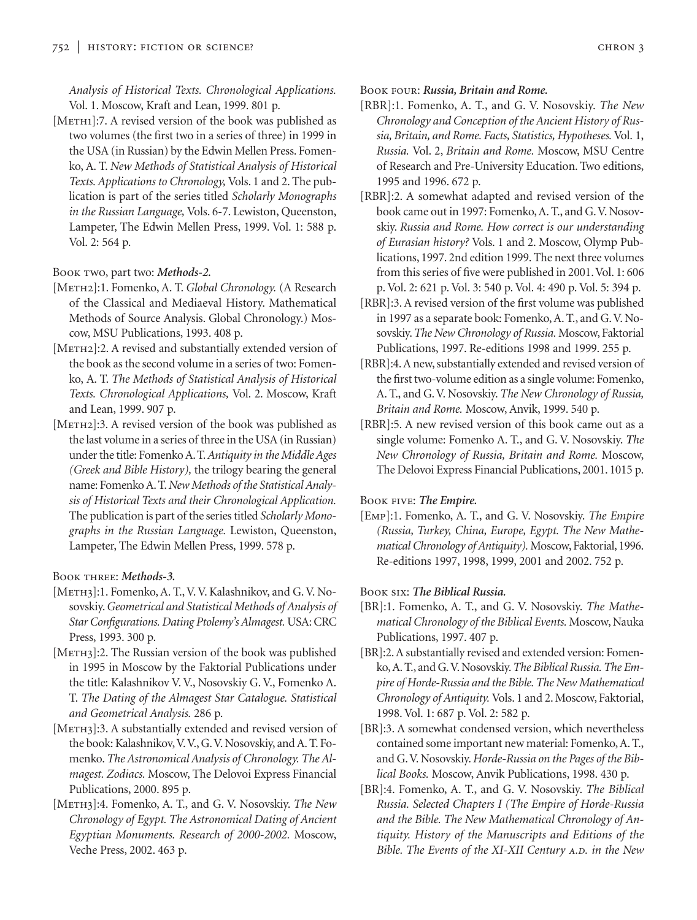*Analysis of Historical Texts. Chronological Applications.* Vol. 1. Moscow, Kraft and Lean, 1999. 801 p.

[METH1]:7. A revised version of the book was published as two volumes (the first two in a series of three) in 1999 in the USA (in Russian) by the Edwin Mellen Press. Fomenko, A. T. *New Methods of Statistical Analysis of Historical Texts. Applications to Chronology,* Vols. 1 and 2. The publication is part of the series titled *Scholarly Monographs in the Russian Language,* Vols. 6-7. Lewiston, Queenston, Lampeter, The Edwin Mellen Press, 1999. Vol. 1: 588 p. Vol. 2: 564 p.

## Book two, part two: *Methods-2.*

- [Meth2]:1. Fomenko, A. T. *Global Chronology.* (A Research of the Classical and Mediaeval History. Mathematical Methods of Source Analysis. Global Chronology.) Moscow, MSU Publications, 1993. 408 p.
- [METH2]:2. A revised and substantially extended version of the book as the second volume in a series of two: Fomenko, A. T. *The Methods of Statistical Analysis of Historical Texts. Chronological Applications,* Vol. 2. Moscow, Kraft and Lean, 1999. 907 p.
- [METH2]:3. A revised version of the book was published as the last volume in a series of three in the USA (in Russian) under the title: Fomenko A.T.*Antiquity in the Middle Ages (Greek and Bible History),* the trilogy bearing the general name: Fomenko A. T.*New Methods of the Statistical Analysis of Historical Texts and their Chronological Application.* The publication is part of the series titled *Scholarly Monographs in the Russian Language.* Lewiston, Queenston, Lampeter, The Edwin Mellen Press, 1999. 578 p.

# Book three: *Methods-3.*

- [METH3]:1. Fomenko, A. T., V. V. Kalashnikov, and G. V. Nosovskiy.*Geometrical and Statistical Methods of Analysis of Star Configurations. Dating Ptolemy's Almagest.* USA: CRC Press, 1993. 300 p.
- [METH3]:2. The Russian version of the book was published in 1995 in Moscow by the Faktorial Publications under the title: Kalashnikov V. V., Nosovskiy G. V., Fomenko A. T. *The Dating of the Almagest Star Catalogue. Statistical and Geometrical Analysis.* 286 p.
- [METH3]:3. A substantially extended and revised version of the book: Kalashnikov,V.V., G.V. Nosovskiy, and A. T. Fomenko. *The Astronomical Analysis of Chronology. The Almagest. Zodiacs.* Moscow, The Delovoi Express Financial Publications, 2000. 895 p.
- [Meth3]:4. Fomenko, A. T., and G. V. Nosovskiy. *The New Chronology of Egypt. The Astronomical Dating of Ancient Egyptian Monuments. Research of 2000-2002.* Moscow, Veche Press, 2002. 463 p.

Book four: *Russia, Britain and Rome.*

- [RBR]:1. Fomenko, A. T., and G. V. Nosovskiy. *The New Chronology and Conception of the Ancient History of Russia, Britain, and Rome. Facts, Statistics, Hypotheses.* Vol. 1, *Russia.* Vol. 2, *Britain and Rome.* Moscow, MSU Centre of Research and Pre-University Education. Two editions, 1995 and 1996. 672 p.
- [RBR]:2. A somewhat adapted and revised version of the book came out in 1997: Fomenko, A. T., and G.V. Nosovskiy. *Russia and Rome. How correct is our understanding of Eurasian history?* Vols. 1 and 2. Moscow, Olymp Publications, 1997. 2nd edition 1999. The next three volumes from this series of five were published in 2001. Vol. 1: 606 p. Vol. 2: 621 p. Vol. 3: 540 p. Vol. 4: 490 p. Vol. 5: 394 p.
- [RBR]:3. A revised version of the first volume was published in 1997 as a separate book: Fomenko, A. T., and G. V. Nosovskiy.*The New Chronology of Russia.* Moscow, Faktorial Publications, 1997. Re-editions 1998 and 1999. 255 p.
- [RBR]:4. A new, substantially extended and revised version of the first two-volume edition as a single volume: Fomenko, A. T., and G. V. Nosovskiy. *The New Chronology of Russia, Britain and Rome.* Moscow, Anvik, 1999. 540 p.
- [RBR]:5. A new revised version of this book came out as a single volume: Fomenko A. T., and G. V. Nosovskiy. *The New Chronology of Russia, Britain and Rome.* Moscow, The Delovoi Express Financial Publications, 2001. 1015 p.

#### Book five: *The Empire.*

[Emp]:1. Fomenko, A. T., and G. V. Nosovskiy. *The Empire (Russia, Turkey, China, Europe, Egypt. The New Mathematical Chronology of Antiquity).* Moscow, Faktorial, 1996. Re-editions 1997, 1998, 1999, 2001 and 2002. 752 p.

#### Book six: *The Biblical Russia.*

- [BR]:1. Fomenko, A. T., and G. V. Nosovskiy. *The Mathematical Chronology of the Biblical Events.* Moscow, Nauka Publications, 1997. 407 p.
- [BR]:2. A substantially revised and extended version: Fomenko, A. T., and G.V. Nosovskiy.*The Biblical Russia. The Empire of Horde-Russia and the Bible. The New Mathematical Chronology of Antiquity.* Vols. 1 and 2. Moscow, Faktorial, 1998. Vol. 1: 687 p. Vol. 2: 582 p.
- [BR]:3. A somewhat condensed version, which nevertheless contained some important new material: Fomenko, A. T., and G.V. Nosovskiy.*Horde-Russia on the Pages of the Biblical Books.* Moscow, Anvik Publications, 1998. 430 p.
- [BR]:4. Fomenko, A. T., and G. V. Nosovskiy. *The Biblical Russia. Selected Chapters I (The Empire of Horde-Russia and the Bible. The New Mathematical Chronology of Antiquity. History of the Manuscripts and Editions of the Bible. The Events of the XI-XII Century A.D. in the New*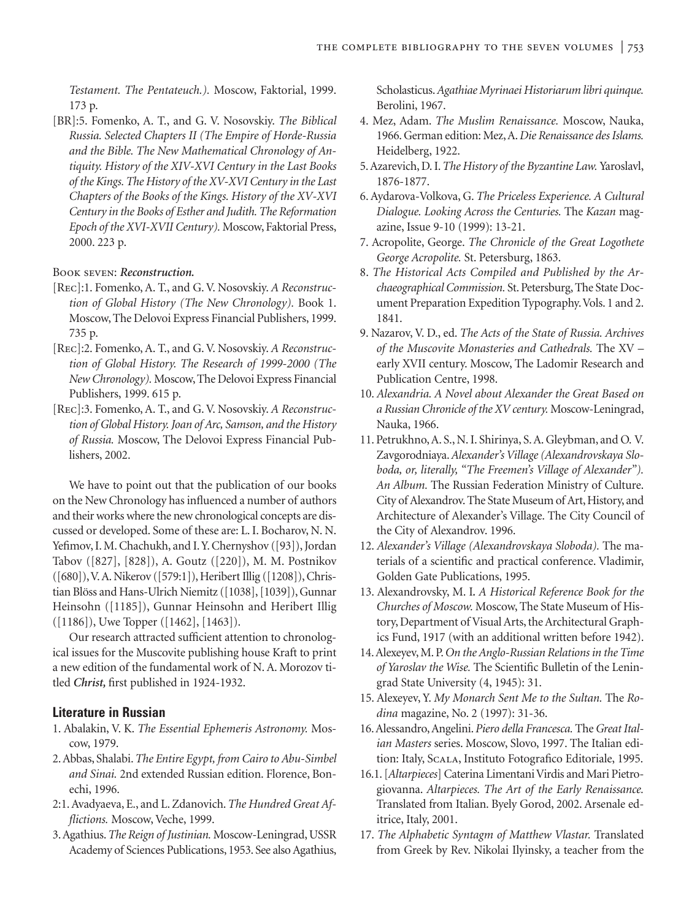*Testament. The Pentateuch.).* Moscow, Faktorial, 1999. 173 p.

[BR]:5. Fomenko, A. T., and G. V. Nosovskiy. *The Biblical Russia. Selected Chapters II (The Empire of Horde-Russia and the Bible. The New Mathematical Chronology of Antiquity. History of the XIV-XVI Century in the Last Books of the Kings. The History of the XV-XVI Century in the Last Chapters of the Books of the Kings. History of the XV-XVI Century in the Books of Esther and Judith. The Reformation Epoch of the XVI-XVII Century).* Moscow, Faktorial Press, 2000. 223 p.

#### Book seven: *Reconstruction.*

- [Rec]:1. Fomenko, A. T., and G. V. Nosovskiy. *A Reconstruction of Global History (The New Chronology).* Book 1. Moscow, The Delovoi Express Financial Publishers, 1999. 735 p.
- [Rec]:2. Fomenko, A. T., and G. V. Nosovskiy. *A Reconstruction of Global History. The Research of 1999-2000 (The New Chronology).* Moscow, The Delovoi Express Financial Publishers, 1999. 615 p.
- [Rec]:3. Fomenko, A. T., and G. V. Nosovskiy. *A Reconstruction of Global History. Joan of Arc, Samson, and the History of Russia.* Moscow, The Delovoi Express Financial Publishers, 2002.

We have to point out that the publication of our books on the New Chronology has influenced a number of authors and their works where the new chronological concepts are discussed or developed. Some of these are: L. I. Bocharov, N. N. Yefimov, I. M. Chachukh, and I.Y. Chernyshov ([93]), Jordan Tabov ([827], [828]), A. Goutz ([220]), M. M. Postnikov ([680]),V. A. Nikerov ([579:1]), Heribert Illig ([1208]), Christian Blöss and Hans-Ulrich Niemitz ([1038], [1039]), Gunnar Heinsohn ([1185]), Gunnar Heinsohn and Heribert Illig ([1186]), Uwe Topper ([1462], [1463]).

Our research attracted sufficient attention to chronological issues for the Muscovite publishing house Kraft to print a new edition of the fundamental work of N. A. Morozov titled *Christ,* first published in 1924-1932.

# **Literature in Russian**

- 1. Abalakin, V. K. *The Essential Ephemeris Astronomy.* Moscow, 1979.
- 2. Abbas, Shalabi.*The Entire Egypt, from Cairo to Abu-Simbel and Sinai.* 2nd extended Russian edition. Florence, Bonechi, 1996.
- 2:1. Avadyaeva, E., and L. Zdanovich. *The Hundred Great Afflictions.* Moscow, Veche, 1999.
- 3. Agathius.*The Reign of Justinian.* Moscow-Leningrad, USSR Academy of Sciences Publications, 1953. See also Agathius,

Scholasticus.*Agathiae Myrinaei Historiarum libri quinque.* Berolini, 1967.

- 4. Mez, Adam. *The Muslim Renaissance.* Moscow, Nauka, 1966. German edition: Mez, A.*Die Renaissance des Islams.* Heidelberg, 1922.
- 5. Azarevich, D. I.*The History of the Byzantine Law.* Yaroslavl, 1876-1877.
- 6. Aydarova-Volkova, G. *The Priceless Experience. A Cultural Dialogue. Looking Across the Centuries.* The *Kazan* magazine, Issue 9-10 (1999): 13-21.
- 7. Acropolite, George. *The Chronicle of the Great Logothete George Acropolite.* St. Petersburg, 1863.
- 8. *The Historical Acts Compiled and Published by the Archaeographical Commission.* St. Petersburg, The State Document Preparation Expedition Typography.Vols. 1 and 2. 1841.
- 9. Nazarov, V. D., ed. *The Acts of the State of Russia. Archives of the Muscovite Monasteries and Cathedrals.* The XV – early XVII century. Moscow, The Ladomir Research and Publication Centre, 1998.
- 10. *Alexandria. A Novel about Alexander the Great Based on a Russian Chronicle of the XV century.* Moscow-Leningrad, Nauka, 1966.
- 11. Petrukhno, A. S., N. I. Shirinya, S. A. Gleybman, and O. V. Zavgorodniaya.*Alexander's Village (Alexandrovskaya Sloboda, or, literally, "The Freemen's Village of Alexander"). An Album.* The Russian Federation Ministry of Culture. City of Alexandrov. The State Museum of Art, History, and Architecture of Alexander's Village. The City Council of the City of Alexandrov. 1996.
- 12. *Alexander's Village (Alexandrovskaya Sloboda).* The materials of a scientific and practical conference. Vladimir, Golden Gate Publications, 1995.
- 13. Alexandrovsky, M. I*. A Historical Reference Book for the Churches of Moscow.* Moscow, The State Museum of History, Department of Visual Arts, the Architectural Graphics Fund, 1917 (with an additional written before 1942).
- 14. Alexeyev, M. P.*On the Anglo-Russian Relations in the Time of Yaroslav the Wise.* The Scientific Bulletin of the Leningrad State University (4, 1945): 31.
- 15. Alexeyev, Y. *My Monarch Sent Me to the Sultan.* The *Rodina* magazine, No. 2 (1997): 31-36.
- 16. Alessandro, Angelini. *Piero della Francesca.* The *Great Italian Masters* series. Moscow, Slovo, 1997. The Italian edition: Italy, SCALA, Instituto Fotografico Editoriale, 1995.
- 16.1. [*Altarpieces*] Caterina Limentani Virdis and Mari Pietrogiovanna. *Altarpieces. The Art of the Early Renaissance.* Translated from Italian. Byely Gorod, 2002. Arsenale editrice, Italy, 2001.
- 17. *The Alphabetic Syntagm of Matthew Vlastar.* Translated from Greek by Rev. Nikolai Ilyinsky, a teacher from the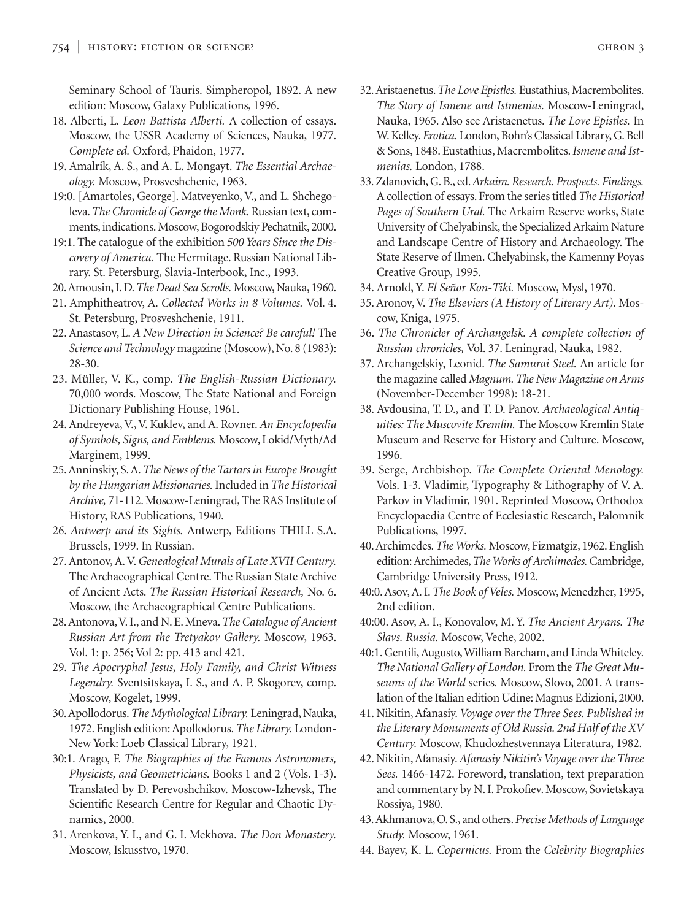Seminary School of Tauris. Simpheropol, 1892. A new edition: Moscow, Galaxy Publications, 1996.

- 18. Alberti, L. *Leon Battista Alberti.* A collection of essays. Moscow, the USSR Academy of Sciences, Nauka, 1977. *Complete ed.* Oxford, Phaidon, 1977.
- 19. Amalrik, A. S., and A. L. Mongayt. *The Essential Archaeology.* Moscow, Prosveshchenie, 1963.
- 19:0. [Amartoles, George]. Matveyenko, V., and L. Shchegoleva.*The Chronicle of George the Monk.* Russian text, comments, indications. Moscow, Bogorodskiy Pechatnik, 2000.
- 19:1. The catalogue of the exhibition *500 Years Since the Discovery of America.* The Hermitage. Russian National Library. St. Petersburg, Slavia-Interbook, Inc., 1993.
- 20.Amousin, I. D.*The Dead Sea Scrolls.* Moscow, Nauka, 1960.
- 21. Amphitheatrov, A. *Collected Works in 8 Volumes.* Vol. 4. St. Petersburg, Prosveshchenie, 1911.
- 22. Anastasov, L. *A New Direction in Science? Be careful!* The *Science and Technology* magazine (Moscow), No. 8 (1983): 28-30.
- 23. Müller, V. K., comp. *The English-Russian Dictionary.* 70,000 words. Moscow, The State National and Foreign Dictionary Publishing House, 1961.
- 24. Andreyeva, V., V. Kuklev, and A. Rovner. *An Encyclopedia of Symbols, Signs, and Emblems.* Moscow, Lokid/Myth/Ad Marginem, 1999.
- 25. Anninskiy, S. A.*The News of the Tartars in Europe Brought by the Hungarian Missionaries.* Included in *The Historical Archive,* 71-112. Moscow-Leningrad, The RAS Institute of History, RAS Publications, 1940.
- 26. *Antwerp and its Sights.* Antwerp, Editions THILL S.A. Brussels, 1999. In Russian.
- 27. Antonov, A. V.*Genealogical Murals of Late XVII Century.* The Archaeographical Centre. The Russian State Archive of Ancient Acts. *The Russian Historical Research,* No. 6. Moscow, the Archaeographical Centre Publications.
- 28. Antonova,V. I., and N. E. Mneva.*The Catalogue of Ancient Russian Art from the Tretyakov Gallery.* Moscow, 1963. Vol. 1: p. 256; Vol 2: pp. 413 and 421.
- 29. *The Apocryphal Jesus, Holy Family, and Christ Witness Legendry.* Sventsitskaya, I. S., and A. P. Skogorev, comp. Moscow, Kogelet, 1999.
- 30. Apollodorus.*The Mythological Library.* Leningrad, Nauka, 1972. English edition: Apollodorus.*The Library.* London-New York: Loeb Classical Library, 1921.
- 30:1. Arago, F. *The Biographies of the Famous Astronomers, Physicists, and Geometricians.* Books 1 and 2 (Vols. 1-3). Translated by D. Perevoshchikov. Moscow-Izhevsk, The Scientific Research Centre for Regular and Chaotic Dynamics, 2000.
- 31. Arenkova, Y. I., and G. I. Mekhova. *The Don Monastery.* Moscow, Iskusstvo, 1970.
- 32. Aristaenetus.*The Love Epistles.* Eustathius, Macrembolites. *The Story of Ismene and Istmenias.* Moscow-Leningrad, Nauka, 1965. Also see Aristaenetus. *The Love Epistles.* In W. Kelley.*Erotica.* London, Bohn's Classical Library, G. Bell & Sons, 1848. Eustathius, Macrembolites.*Ismene and Istmenias.* London, 1788.
- 33. Zdanovich, G. B., ed.*Arkaim. Research. Prospects. Findings.* A collection of essays. From the series titled *The Historical Pages of Southern Ural.* The Arkaim Reserve works, State University of Chelyabinsk, the Specialized Arkaim Nature and Landscape Centre of History and Archaeology. The State Reserve of Ilmen. Chelyabinsk, the Kamenny Poyas Creative Group, 1995.
- 34. Arnold, Y. *El Señor Kon-Tiki.* Moscow, Mysl, 1970.
- 35. Aronov, V. *The Elseviers (A History of Literary Art).* Moscow, Kniga, 1975.
- 36. *The Chronicler of Archangelsk. A complete collection of Russian chronicles,* Vol. 37. Leningrad, Nauka, 1982.
- 37. Archangelskiy, Leonid. *The Samurai Steel.* An article for the magazine called *Magnum. The New Magazine on Arms* (November-December 1998): 18-21.
- 38. Avdousina, T. D., and T. D. Panov. *Archaeological Antiquities: The Muscovite Kremlin.* The Moscow Kremlin State Museum and Reserve for History and Culture. Moscow, 1996.
- 39. Serge, Archbishop. *The Complete Oriental Menology.* Vols. 1-3. Vladimir, Typography & Lithography of V. A. Parkov in Vladimir, 1901. Reprinted Moscow, Orthodox Encyclopaedia Centre of Ecclesiastic Research, Palomnik Publications, 1997.
- 40.Archimedes.*The Works.* Moscow, Fizmatgiz, 1962. English edition: Archimedes,*The Works of Archimedes.*Cambridge, Cambridge University Press, 1912.
- 40:0. Asov, A. I.*The Book of Veles.* Moscow, Menedzher, 1995, 2nd edition.
- 40:00. Asov, A. I., Konovalov, M. Y. *The Ancient Aryans. The Slavs. Russia.* Moscow, Veche, 2002.
- 40:1. Gentili, Augusto, William Barcham, and Linda Whiteley. *The National Gallery of London.* From the *The Great Museums of the World* series*.* Moscow, Slovo, 2001. A translation of the Italian edition Udine: Magnus Edizioni, 2000.
- 41. Nikitin, Afanasiy.*Voyage over the Three Sees. Published in the Literary Monuments of Old Russia. 2nd Half of the XV Century.* Moscow, Khudozhestvennaya Literatura, 1982.
- 42. Nikitin, Afanasiy.*Afanasiy Nikitin's Voyage over the Three Sees.* 1466-1472. Foreword, translation, text preparation and commentary by N. I. Prokofiev. Moscow, Sovietskaya Rossiya, 1980.
- 43.Akhmanova, O. S., and others.*Precise Methods of Language Study.* Moscow, 1961.
- 44. Bayev, K. L. *Copernicus.* From the *Celebrity Biographies*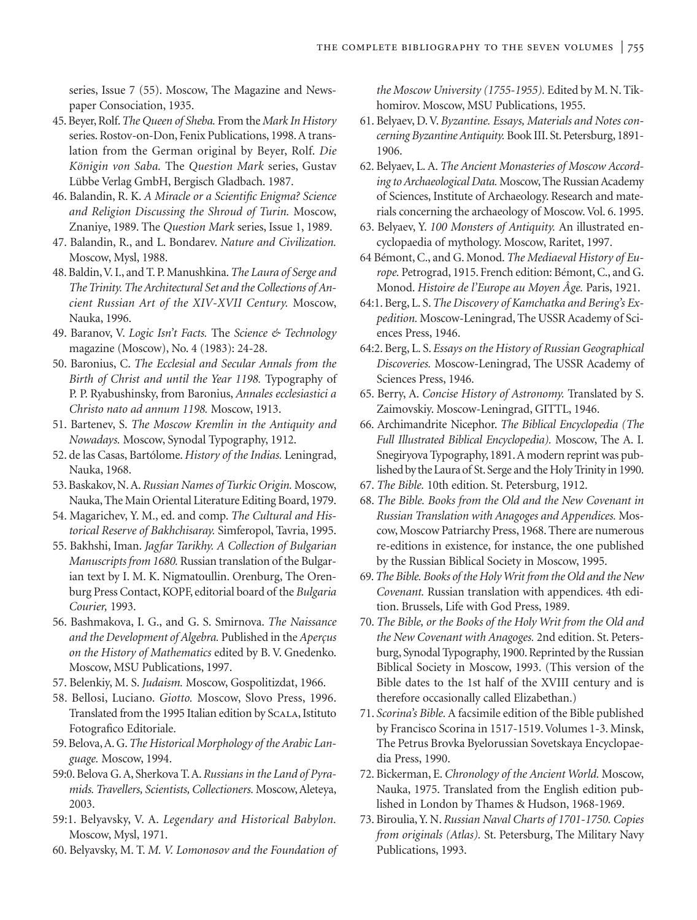series, Issue 7 (55). Moscow, The Magazine and Newspaper Consociation, 1935.

- 45. Beyer, Rolf.*The Queen of Sheba.* From the *Mark In History* series. Rostov-on-Don, Fenix Publications, 1998. A translation from the German original by Beyer, Rolf. *Die Königin von Saba.* The *Question Mark* series, Gustav Lübbe Verlag GmbH, Bergisch Gladbach. 1987.
- 46. Balandin, R. K. *A Miracle or a Scientific Enigma? Science and Religion Discussing the Shroud of Turin.* Moscow, Znaniye, 1989. The *Question Mark* series, Issue 1, 1989.
- 47. Balandin, R., and L. Bondarev. *Nature and Civilization.* Moscow, Mysl, 1988.
- 48. Baldin,V. I., and T. P. Manushkina.*The Laura of Serge and The Trinity. The Architectural Set and the Collections of Ancient Russian Art of the XIV-XVII Century.* Moscow, Nauka, 1996.
- 49. Baranov, V. *Logic Isn't Facts.* The *Science & Technology* magazine (Moscow), No. 4 (1983): 24-28.
- 50. Baronius, C. *The Ecclesial and Secular Annals from the Birth of Christ and until the Year 1198.* Typography of P. P. Ryabushinsky, from Baronius, *Annales ecclesiastici a Christo nato ad annum 1198.* Moscow, 1913.
- 51. Bartenev, S. *The Moscow Kremlin in the Antiquity and Nowadays.* Moscow, Synodal Typography, 1912.
- 52. de las Casas, Bartólome. *History of the Indias.* Leningrad, Nauka, 1968.
- 53. Baskakov, N. A.*Russian Names of Turkic Origin.* Moscow, Nauka, The Main Oriental Literature Editing Board, 1979.
- 54. Magarichev, Y. M., ed. and comp. *The Cultural and Historical Reserve of Bakhchisaray.* Simferopol, Tavria, 1995.
- 55. Bakhshi, Iman. *Jagfar Tarikhy. A Collection of Bulgarian Manuscripts from 1680.* Russian translation of the Bulgarian text by I. M. K. Nigmatoullin. Orenburg, The Orenburg Press Contact, KOPF, editorial board of the *Bulgaria Courier,* 1993.
- 56. Bashmakova, I. G., and G. S. Smirnova. *The Naissance and the Development of Algebra.* Published in the *Aperçus on the History of Mathematics* edited by B. V. Gnedenko. Moscow, MSU Publications, 1997.
- 57. Belenkiy, M. S. *Judaism.* Moscow, Gospolitizdat, 1966.
- 58. Bellosi, Luciano. *Giotto.* Moscow, Slovo Press, 1996. Translated from the 1995 Italian edition by Scala, Istituto Fotografico Editoriale.
- 59. Belova, A. G.*The Historical Morphology of the Arabic Language.* Moscow, 1994.
- 59:0. Belova G. A, Sherkova T. A.*Russians in the Land of Pyramids. Travellers, Scientists, Collectioners.* Moscow, Aleteya, 2003.
- 59:1. Belyavsky, V. A. *Legendary and Historical Babylon.* Moscow, Mysl, 1971.
- 60. Belyavsky, M. T. *M. V. Lomonosov and the Foundation of*

*the Moscow University (1755-1955).* Edited by M. N. Tikhomirov. Moscow, MSU Publications, 1955.

- 61. Belyaev, D. V. *Byzantine. Essays, Materials and Notes concerning Byzantine Antiquity.* Book III. St. Petersburg, 1891- 1906.
- 62. Belyaev, L. A. *The Ancient Monasteries of Moscow According to Archaeological Data.* Moscow, The Russian Academy of Sciences, Institute of Archaeology. Research and materials concerning the archaeology of Moscow. Vol. 6. 1995.
- 63. Belyaev, Y. *100 Monsters of Antiquity.* An illustrated encyclopaedia of mythology. Moscow, Raritet, 1997.
- 64 Bémont, C., and G. Monod. *The Mediaeval History of Europe.* Petrograd, 1915. French edition: Bémont, C., and G. Monod. *Histoire de l'Europe au Moyen Âge.* Paris, 1921.
- 64:1. Berg, L. S.*The Discovery of Kamchatka and Bering's Expedition.* Moscow-Leningrad, The USSR Academy of Sciences Press, 1946.
- 64:2. Berg, L. S. *Essays on the History of Russian Geographical Discoveries.* Moscow-Leningrad, The USSR Academy of Sciences Press, 1946.
- 65. Berry, A. *Concise History of Astronomy.* Translated by S. Zaimovskiy. Moscow-Leningrad, GITTL, 1946.
- 66. Archimandrite Nicephor. *The Biblical Encyclopedia (The Full Illustrated Biblical Encyclopedia).* Moscow, The A. I. Snegiryova Typography, 1891.A modern reprint was published by the Laura of St. Serge and the Holy Trinity in 1990.
- 67. *The Bible.* 10th edition. St. Petersburg, 1912.
- 68. *The Bible. Books from the Old and the New Covenant in Russian Translation with Anagoges and Appendices.* Moscow,Moscow Patriarchy Press, 1968. There are numerous re-editions in existence, for instance, the one published by the Russian Biblical Society in Moscow, 1995.
- 69.*The Bible. Books of the Holy Writ from the Old and the New Covenant.* Russian translation with appendices. 4th edition. Brussels, Life with God Press, 1989.
- 70. *The Bible, or the Books of the Holy Writ from the Old and the New Covenant with Anagoges.* 2nd edition. St. Petersburg, Synodal Typography, 1900. Reprinted by the Russian Biblical Society in Moscow, 1993. (This version of the Bible dates to the 1st half of the XVIII century and is therefore occasionally called Elizabethan.)
- 71. *Scorina's Bible.* A facsimile edition of the Bible published by Francisco Scorina in 1517-1519. Volumes 1-3. Minsk, The Petrus Brovka Byelorussian Sovetskaya Encyclopaedia Press, 1990.
- 72. Bickerman, E. *Chronology of the Ancient World.* Moscow, Nauka, 1975. Translated from the English edition published in London by Thames & Hudson, 1968-1969.
- 73. Biroulia, Y. N. *Russian Naval Charts of 1701-1750. Copies from originals (Atlas).* St. Petersburg, The Military Navy Publications, 1993.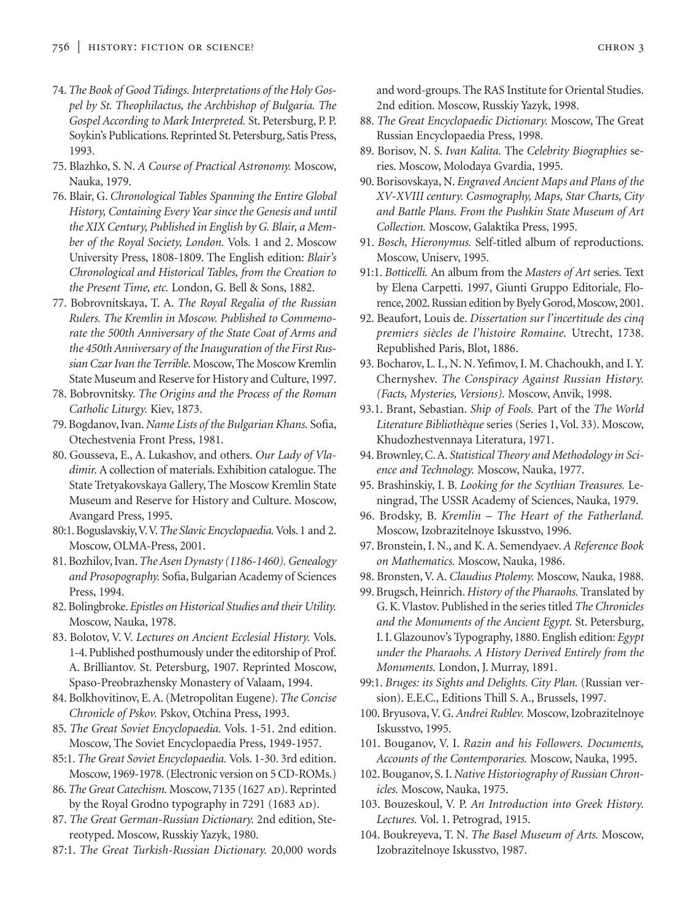- 74.*The Book of Good Tidings. Interpretations of the Holy Gospel by St. Theophilactus, the Archbishop of Bulgaria. The Gospel According to Mark Interpreted.* St. Petersburg, P. P. Soykin's Publications. Reprinted St. Petersburg, Satis Press, 1993.
- 75. Blazhko, S. N. *A Course of Practical Astronomy.* Moscow, Nauka, 1979.
- 76. Blair, G. *Chronological Tables Spanning the Entire Global History, Containing Every Year since the Genesis and until the XIX Century, Published in English by G. Blair, a Member of the Royal Society, London.* Vols. 1 and 2. Moscow University Press, 1808-1809. The English edition: *Blair's Chronological and Historical Tables, from the Creation to the Present Time, etc.* London, G. Bell & Sons, 1882.
- 77. Bobrovnitskaya, T. A. *The Royal Regalia of the Russian Rulers. The Kremlin in Moscow. Published to Commemorate the 500th Anniversary of the State Coat of Arms and the 450th Anniversary of the Inauguration of the First Russian Czar Ivan the Terrible.* Moscow, The Moscow Kremlin State Museum and Reserve for History and Culture, 1997.
- 78. Bobrovnitsky. *The Origins and the Process of the Roman Catholic Liturgy.* Kiev, 1873.
- 79. Bogdanov, Ivan. *Name Lists of the Bulgarian Khans.* Sofia, Otechestvenia Front Press, 1981.
- 80. Gousseva, E., A. Lukashov, and others. *Our Lady of Vladimir.* A collection of materials. Exhibition catalogue. The State Tretyakovskaya Gallery, The Moscow Kremlin State Museum and Reserve for History and Culture. Moscow, Avangard Press, 1995.
- 80:1. Boguslavskiy,V.V.*The Slavic Encyclopaedia.*Vols. 1 and 2. Moscow, OLMA-Press, 2001.
- 81. Bozhilov, Ivan.*The Asen Dynasty (1186-1460). Genealogy and Prosopography.* Sofia, Bulgarian Academy of Sciences Press, 1994.
- 82. Bolingbroke. *Epistles on Historical Studies and their Utility.* Moscow, Nauka, 1978.
- 83. Bolotov, V. V. *Lectures on Ancient Ecclesial History.* Vols. 1-4. Published posthumously under the editorship of Prof. A. Brilliantov. St. Petersburg, 1907. Reprinted Moscow, Spaso-Preobrazhensky Monastery of Valaam, 1994.
- 84. Bolkhovitinov, E. A. (Metropolitan Eugene). *The Concise Chronicle of Pskov.* Pskov, Otchina Press, 1993.
- 85*. The Great Soviet Encyclopaedia.* Vols. 1-51. 2nd edition. Moscow, The Soviet Encyclopaedia Press, 1949-1957.
- 85:1. *The Great Soviet Encyclopaedia.* Vols. 1-30. 3rd edition. Moscow, 1969-1978. (Electronic version on 5 CD-ROMs.)
- 86. The Great Catechism. Moscow, 7135 (1627 AD). Reprinted by the Royal Grodno typography in 7291 (1683 AD).
- 87. *The Great German-Russian Dictionary.* 2nd edition, Stereotyped. Moscow, Russkiy Yazyk, 1980.
- 87:1. *The Great Turkish-Russian Dictionary.* 20,000 words

and word-groups. The RAS Institute for Oriental Studies. 2nd edition. Moscow, Russkiy Yazyk, 1998.

- 88. *The Great Encyclopaedic Dictionary.* Moscow, The Great Russian Encyclopaedia Press, 1998.
- 89. Borisov, N. S. *Ivan Kalita.* The *Celebrity Biographies* series. Moscow, Molodaya Gvardia, 1995.
- 90. Borisovskaya, N. *Engraved Ancient Maps and Plans of the XV-XVIII century. Cosmography, Maps, Star Charts, City and Battle Plans. From the Pushkin State Museum of Art Collection.* Moscow, Galaktika Press, 1995.
- 91. *Bosch, Hieronymus.* Self-titled album of reproductions. Moscow, Uniserv, 1995.
- 91:1. *Botticelli.* An album from the *Masters of Art* series. Text by Elena Carpetti. 1997, Giunti Gruppo Editoriale, Florence, 2002. Russian edition by Byely Gorod, Moscow, 2001.
- 92. Beaufort, Louis de. *Dissertation sur l'incertitude des cinq premiers siècles de l'histoire Romaine.* Utrecht, 1738. Republished Paris, Blot, 1886.
- 93. Bocharov, L. I., N. N. Yefimov, I. M. Chachoukh, and I. Y. Chernyshev. *The Conspiracy Against Russian History. (Facts, Mysteries, Versions).* Moscow, Anvik, 1998.
- 93.1. Brant, Sebastian. *Ship of Fools.* Part of the *The World Literature Bibliothèque* series (Series 1, Vol. 33). Moscow, Khudozhestvennaya Literatura, 1971.
- 94. Brownley, C. A. *Statistical Theory and Methodology in Science and Technology.* Moscow, Nauka, 1977.
- 95. Brashinskiy, I. B. *Looking for the Scythian Treasures.* Leningrad, The USSR Academy of Sciences, Nauka, 1979.
- 96. Brodsky, B. *Kremlin The Heart of the Fatherland.* Moscow, Izobrazitelnoye Iskusstvo, 1996.
- 97. Bronstein, I. N., and K. A. Semendyaev. *A Reference Book on Mathematics.* Moscow, Nauka, 1986.
- 98. Bronsten, V. A. *Claudius Ptolemy.* Moscow, Nauka, 1988.
- 99. Brugsch, Heinrich. *History of the Pharaohs.* Translated by G. K.Vlastov. Published in the series titled *The Chronicles and the Monuments of the Ancient Egypt.* St. Petersburg, I. I. Glazounov's Typography, 1880. English edition: *Egypt under the Pharaohs. A History Derived Entirely from the Monuments.* London, J. Murray, 1891.
- 99:1. *Bruges: its Sights and Delights. City Plan.* (Russian version). E.E.C., Editions Thill S. A., Brussels, 1997.
- 100. Bryusova, V. G. *Andrei Rublev.* Moscow, Izobrazitelnoye Iskusstvo, 1995.
- 101. Bouganov, V. I. *Razin and his Followers. Documents, Accounts of the Contemporaries.* Moscow, Nauka, 1995.
- 102. Bouganov, S. I. *Native Historiography of Russian Chronicles.* Moscow, Nauka, 1975.
- 103. Bouzeskoul, V. P. *An Introduction into Greek History. Lectures.* Vol. 1. Petrograd, 1915.
- 104. Boukreyeva, T. N. *The Basel Museum of Arts.* Moscow, Izobrazitelnoye Iskusstvo, 1987.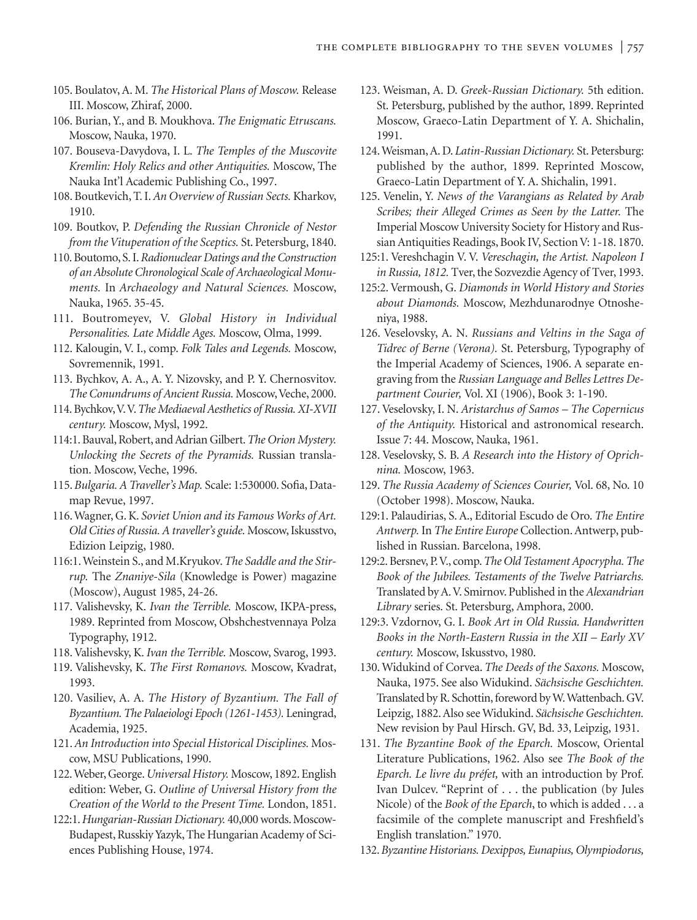- 105. Boulatov, A. M. *The Historical Plans of Moscow.* Release III. Moscow, Zhiraf, 2000.
- 106. Burian, Y., and B. Moukhova. *The Enigmatic Etruscans.* Moscow, Nauka, 1970.
- 107. Bouseva-Davydova, I. L. *The Temples of the Muscovite Kremlin: Holy Relics and other Antiquities.* Moscow, The Nauka Int'l Academic Publishing Co., 1997.
- 108. Boutkevich, T. I.*An Overview of Russian Sects.* Kharkov, 1910.
- 109. Boutkov, P. *Defending the Russian Chronicle of Nestor from the Vituperation of the Sceptics.* St. Petersburg, 1840.
- 110. Boutomo, S. I.*Radionuclear Datings and the Construction of an Absolute Chronological Scale of Archaeological Monuments.* In *Archaeology and Natural Sciences.* Moscow, Nauka, 1965. 35-45.
- 111. Boutromeyev, V. *Global History in Individual Personalities. Late Middle Ages.* Moscow, Olma, 1999.
- 112. Kalougin, V. I., comp. *Folk Tales and Legends.* Moscow, Sovremennik, 1991.
- 113. Bychkov, A. A., A. Y. Nizovsky, and P. Y. Chernosvitov. The Conundrums of Ancient Russia. Moscow, Veche, 2000.
- 114. Bychkov,V.V.*The Mediaeval Aesthetics of Russia. XI-XVII century.* Moscow, Mysl, 1992.
- 114:1. Bauval, Robert, and Adrian Gilbert.*The Orion Mystery. Unlocking the Secrets of the Pyramids.* Russian translation. Moscow, Veche, 1996.
- 115. *Bulgaria. A Traveller's Map.* Scale: 1:530000. Sofia, Datamap Revue, 1997.
- 116. Wagner, G. K. *Soviet Union and its Famous Works of Art. Old Cities of Russia. A traveller's guide.* Moscow, Iskusstvo, Edizion Leipzig, 1980.
- 116:1. Weinstein S., and M.Kryukov.*The Saddle and the Stirrup.* The *Znaniye-Sila* (Knowledge is Power) magazine (Moscow), August 1985, 24-26.
- 117. Valishevsky, K. *Ivan the Terrible.* Moscow, IKPA-press, 1989. Reprinted from Moscow, Obshchestvennaya Polza Typography, 1912.
- 118. Valishevsky, K. *Ivan the Terrible.* Moscow, Svarog, 1993.
- 119. Valishevsky, K. *The First Romanovs.* Moscow, Kvadrat, 1993.
- 120. Vasiliev, A. A. *The History of Byzantium. The Fall of Byzantium. The Palaeiologi Epoch (1261-1453).* Leningrad, Academia, 1925.
- 121.*An Introduction into Special Historical Disciplines.* Moscow, MSU Publications, 1990.
- 122. Weber, George.*Universal History.* Moscow, 1892. English edition: Weber, G. *Outline of Universal History from the Creation of the World to the Present Time.* London, 1851.
- 122:1.*Hungarian-Russian Dictionary.* 40,000 words. Moscow-Budapest, Russkiy Yazyk, The Hungarian Academy of Sciences Publishing House, 1974.
- 123. Weisman, A. D. *Greek-Russian Dictionary.* 5th edition. St. Petersburg, published by the author, 1899. Reprinted Moscow, Graeco-Latin Department of Y. A. Shichalin, 1991.
- 124. Weisman, A. D. *Latin-Russian Dictionary.* St. Petersburg: published by the author, 1899. Reprinted Moscow, Graeco-Latin Department of Y. A. Shichalin, 1991.
- 125. Venelin, Y. *News of the Varangians as Related by Arab Scribes; their Alleged Crimes as Seen by the Latter.* The Imperial Moscow University Society for History and Russian Antiquities Readings, Book IV, Section V: 1-18. 1870.
- 125:1. Vereshchagin V. V. *Vereschagin, the Artist. Napoleon I in Russia, 1812.* Tver, the Sozvezdie Agency of Tver, 1993.
- 125:2. Vermoush, G. *Diamonds in World History and Stories about Diamonds.* Moscow, Mezhdunarodnye Otnosheniya, 1988.
- 126. Veselovsky, A. N. *Russians and Veltins in the Saga of Tidrec of Berne (Verona).* St. Petersburg, Typography of the Imperial Academy of Sciences, 1906. A separate engraving from the *Russian Language and Belles Lettres Department Courier,* Vol. XI (1906), Book 3: 1-190.
- 127. Veselovsky, I. N. *Aristarchus of Samos The Copernicus of the Antiquity.* Historical and astronomical research. Issue 7: 44. Moscow, Nauka, 1961.
- 128. Veselovsky, S. B. *A Research into the History of Oprichnina.* Moscow, 1963.
- 129. *The Russia Academy of Sciences Courier,* Vol. 68, No. 10 (October 1998). Moscow, Nauka.
- 129:1. Palaudirias, S. A., Editorial Escudo de Oro. *The Entire Antwerp.* In *The Entire Europe* Collection. Antwerp, published in Russian. Barcelona, 1998.
- 129:2. Bersnev, P.V., comp.*The Old Testament Apocrypha. The Book of the Jubilees. Testaments of the Twelve Patriarchs.* Translated by A.V. Smirnov. Published in the *Alexandrian Library* series. St. Petersburg, Amphora, 2000.
- 129:3. Vzdornov, G. I. *Book Art in Old Russia. Handwritten Books in the North-Eastern Russia in the XII – Early XV century.* Moscow, Iskusstvo, 1980.
- 130. Widukind of Corvea. *The Deeds of the Saxons.* Moscow, Nauka, 1975. See also Widukind. *Sächsische Geschichten.* Translated by R. Schottin, foreword by W.Wattenbach. GV. Leipzig, 1882. Also see Widukind. *Sächsische Geschichten.* New revision by Paul Hirsch. GV, Bd. 33, Leipzig, 1931.
- 131. *The Byzantine Book of the Eparch.* Moscow, Oriental Literature Publications, 1962. Also see *The Book of the Eparch. Le livre du préfet,* with an introduction by Prof. Ivan Dulcev. "Reprint of ... the publication (by Jules Nicole) of the *Book of the Eparch*, to which is added . . . a facsimile of the complete manuscript and Freshfield's English translation." 1970.
- 132.*Byzantine Historians. Dexippos, Eunapius, Olympiodorus,*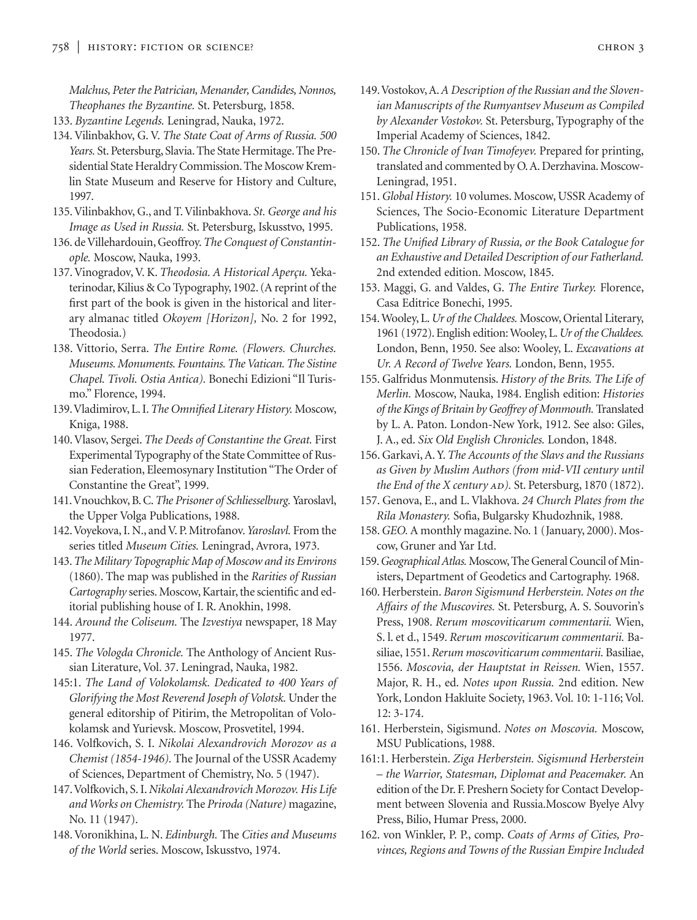*Malchus, Peter the Patrician, Menander, Candides, Nonnos, Theophanes the Byzantine.* St. Petersburg, 1858.

- 133. *Byzantine Legends.* Leningrad, Nauka, 1972.
- 134. Vilinbakhov, G. V. *The State Coat of Arms of Russia. 500 Years.* St. Petersburg, Slavia. The State Hermitage. The Presidential State Heraldry Commission. The Moscow Kremlin State Museum and Reserve for History and Culture, 1997.
- 135. Vilinbakhov, G., and T. Vilinbakhova. *St. George and his Image as Used in Russia.* St. Petersburg, Iskusstvo, 1995.
- 136. de Villehardouin, Geoffroy.*The Conquest of Constantinople.* Moscow, Nauka, 1993.
- 137. Vinogradov, V. K. *Theodosia. A Historical Aperçu.* Yekaterinodar, Kilius & Co Typography, 1902. (A reprint of the first part of the book is given in the historical and literary almanac titled *Okoyem [Horizon],* No. 2 for 1992, Theodosia.)
- 138. Vittorio, Serra. *The Entire Rome. (Flowers. Churches. Museums. Monuments. Fountains. The Vatican. The Sistine Chapel. Tivoli. Ostia Antica).* Bonechi Edizioni "Il Turismo." Florence, 1994.
- 139.Vladimirov, L. I.*The Omnified Literary History.* Moscow, Kniga, 1988.
- 140. Vlasov, Sergei. *The Deeds of Constantine the Great.* First Experimental Typography of the State Committee of Russian Federation, Eleemosynary Institution "The Order of Constantine the Great", 1999.
- 141.Vnouchkov, B. C.*The Prisoner of Schliesselburg.* Yaroslavl, the Upper Volga Publications, 1988.
- 142.Voyekova, I. N., and V. P. Mitrofanov.*Yaroslavl.* From the series titled *Museum Cities.* Leningrad, Avrora, 1973.
- 143.*The Military Topographic Map of Moscow and its Environs* (1860). The map was published in the *Rarities of Russian Cartography* series. Moscow, Kartair, the scientific and editorial publishing house of I. R. Anokhin, 1998.
- 144. *Around the Coliseum.* The *Izvestiya* newspaper, 18 May 1977.
- 145. *The Vologda Chronicle.* The Anthology of Ancient Russian Literature, Vol. 37. Leningrad, Nauka, 1982.
- 145:1. *The Land of Volokolamsk. Dedicated to 400 Years of Glorifying the Most Reverend Joseph of Volotsk.* Under the general editorship of Pitirim, the Metropolitan of Volokolamsk and Yurievsk. Moscow, Prosvetitel, 1994.
- 146. Volfkovich, S. I. *Nikolai Alexandrovich Morozov as a Chemist (1854-1946).* The Journal of the USSR Academy of Sciences, Department of Chemistry, No. 5 (1947).
- 147. Volfkovich, S. I. *Nikolai Alexandrovich Morozov. His Life and Works on Chemistry.* The *Priroda (Nature)* magazine, No. 11 (1947).
- 148. Voronikhina, L. N. *Edinburgh.* The *Cities and Museums of the World* series. Moscow, Iskusstvo, 1974.
- 149.Vostokov, A.*A Description of the Russian and the Slovenian Manuscripts of the Rumyantsev Museum as Compiled by Alexander Vostokov.* St. Petersburg, Typography of the Imperial Academy of Sciences, 1842.
- 150. *The Chronicle of Ivan Timofeyev.* Prepared for printing, translated and commented by O. A. Derzhavina. Moscow-Leningrad, 1951.
- 151.*Global History.* 10 volumes. Moscow, USSR Academy of Sciences, The Socio-Economic Literature Department Publications, 1958.
- 152. *The Unified Library of Russia, or the Book Catalogue for an Exhaustive and Detailed Description of our Fatherland.* 2nd extended edition. Moscow, 1845.
- 153. Maggi, G. and Valdes, G. *The Entire Turkey.* Florence, Casa Editrice Bonechi, 1995.
- 154. Wooley, L.*Ur of the Chaldees.* Moscow, Oriental Literary, 1961 (1972). English edition: Wooley, L.*Ur of the Chaldees.* London, Benn, 1950. See also: Wooley, L. *Excavations at Ur. A Record of Twelve Years.* London, Benn, 1955.
- 155. Galfridus Monmutensis. *History of the Brits. The Life of Merlin.* Moscow, Nauka, 1984. English edition: *Histories of the Kings of Britain by Geoffrey of Monmouth.* Translated by L. A. Paton. London-New York, 1912. See also: Giles, J. A., ed. *Six Old English Chronicles.* London, 1848.
- 156. Garkavi, A. Y. *The Accounts of the Slavs and the Russians as Given by Muslim Authors (from mid-VII century until the End of the X century AD*). St. Petersburg, 1870 (1872).
- 157. Genova, E., and L. Vlakhova. *24 Church Plates from the Rila Monastery.* Sofia, Bulgarsky Khudozhnik, 1988.
- 158.*GEO.* A monthly magazine. No. 1 (January, 2000). Moscow, Gruner and Yar Ltd.
- 159.*Geographical Atlas.*Moscow, The General Council of Ministers, Department of Geodetics and Cartography. 1968.
- 160. Herberstein. *Baron Sigismund Herberstein. Notes on the Affairs of the Muscovires.* St. Petersburg, A. S. Souvorin's Press, 1908. *Rerum moscoviticarum commentarii.* Wien, S. l. et d., 1549. *Rerum moscoviticarum commentarii.* Basiliae, 1551.*Rerum moscoviticarum commentarii.* Basiliae, 1556. *Moscovia, der Hauptstat in Reissen.* Wien, 1557. Major, R. H., ed. *Notes upon Russia.* 2nd edition. New York, London Hakluite Society, 1963. Vol. 10: 1-116; Vol. 12: 3-174.
- 161. Herberstein, Sigismund. *Notes on Moscovia.* Moscow, MSU Publications, 1988.
- 161:1. Herberstein. *Ziga Herberstein. Sigismund Herberstein – the Warrior, Statesman, Diplomat and Peacemaker.* An edition of the Dr. F. Preshern Society for Contact Development between Slovenia and Russia.Moscow Byelye Alvy Press, Bilio, Humar Press, 2000.
- 162. von Winkler, P. P., comp. *Coats of Arms of Cities, Provinces, Regions and Towns of the Russian Empire Included*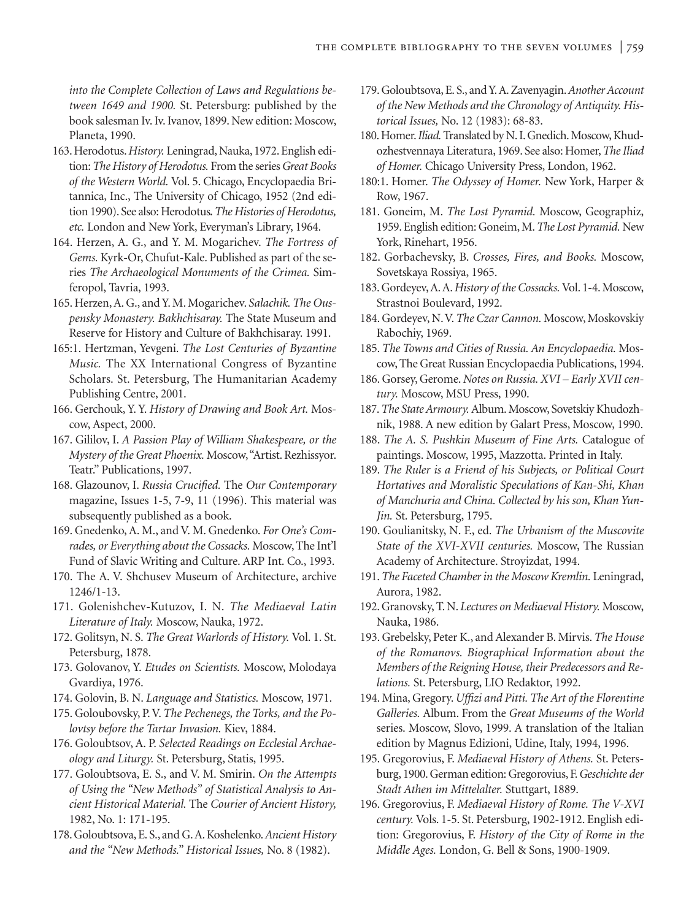*into the Complete Collection of Laws and Regulations between 1649 and 1900.* St. Petersburg: published by the book salesman Iv. Iv. Ivanov, 1899. New edition: Moscow, Planeta, 1990.

- 163. Herodotus.*History.* Leningrad, Nauka, 1972. English edition:*The History of Herodotus.* From the series *Great Books of the Western World.* Vol. 5. Chicago, Encyclopaedia Britannica, Inc., The University of Chicago, 1952 (2nd edition 1990). See also: Herodotus*.The Histories of Herodotus, etc.* London and New York, Everyman's Library, 1964.
- 164. Herzen, A. G., and Y. M. Mogarichev. *The Fortress of Gems.* Kyrk-Or, Chufut-Kale. Published as part of the series *The Archaeological Monuments of the Crimea.* Simferopol, Tavria, 1993.
- 165. Herzen, A. G., and Y. M. Mogarichev. *Salachik. The Ouspensky Monastery. Bakhchisaray.* The State Museum and Reserve for History and Culture of Bakhchisaray. 1991.
- 165:1. Hertzman, Yevgeni. *The Lost Centuries of Byzantine Music.* The XX International Congress of Byzantine Scholars. St. Petersburg, The Humanitarian Academy Publishing Centre, 2001.
- 166. Gerchouk, Y. Y. *History of Drawing and Book Art.* Moscow, Aspect, 2000.
- 167. Gililov, I. *A Passion Play of William Shakespeare, or the Mystery of the Great Phoenix.* Moscow,"Artist. Rezhissyor. Teatr." Publications, 1997.
- 168. Glazounov, I. *Russia Crucified.* The *Our Contemporary* magazine, Issues 1-5, 7-9, 11 (1996). This material was subsequently published as a book.
- 169. Gnedenko, A. M., and V. M. Gnedenko. *For One's Comrades, or Everything about the Cossacks.* Moscow, The Int'l Fund of Slavic Writing and Culture. ARP Int. Co., 1993.
- 170. The A. V. Shchusev Museum of Architecture, archive 1246/1-13.
- 171. Golenishchev-Kutuzov, I. N. *The Mediaeval Latin Literature of Italy.* Moscow, Nauka, 1972.
- 172. Golitsyn, N. S. *The Great Warlords of History.* Vol. 1. St. Petersburg, 1878.
- 173. Golovanov, Y. *Etudes on Scientists.* Moscow, Molodaya Gvardiya, 1976.
- 174. Golovin, B. N. *Language and Statistics.* Moscow, 1971.
- 175. Goloubovsky, P. V. *The Pechenegs, the Torks, and the Polovtsy before the Tartar Invasion.* Kiev, 1884.
- 176. Goloubtsov, A. P. *Selected Readings on Ecclesial Archaeology and Liturgy.* St. Petersburg, Statis, 1995.
- 177. Goloubtsova, E. S., and V. M. Smirin. *On the Attempts of Using the "New Methods" of Statistical Analysis to Ancient Historical Material.* The *Courier of Ancient History,* 1982, No. 1: 171-195.
- 178. Goloubtsova, E. S., and G. A. Koshelenko.*Ancient History and the "New Methods." Historical Issues,* No. 8 (1982).
- 179. Goloubtsova, E. S., and Y. A. Zavenyagin.*Another Account of the New Methods and the Chronology of Antiquity. Historical Issues,* No. 12 (1983): 68-83.
- 180. Homer.*Iliad.*Translated by N. I. Gnedich. Moscow, Khudozhestvennaya Literatura, 1969. See also: Homer,*The Iliad of Homer.* Chicago University Press, London, 1962.
- 180:1. Homer. *The Odyssey of Homer.* New York, Harper & Row, 1967.
- 181. Goneim, M. *The Lost Pyramid.* Moscow, Geographiz, 1959. English edition: Goneim, M.*The Lost Pyramid.* New York, Rinehart, 1956.
- 182. Gorbachevsky, B. *Crosses, Fires, and Books.* Moscow, Sovetskaya Rossiya, 1965.
- 183. Gordeyev, A. A. History of the Cossacks. Vol. 1-4. Moscow, Strastnoi Boulevard, 1992.
- 184. Gordeyev, N.V.*The Czar Cannon.* Moscow, Moskovskiy Rabochiy, 1969.
- 185. *The Towns and Cities of Russia. An Encyclopaedia.* Moscow,The Great Russian Encyclopaedia Publications, 1994.
- 186. Gorsey, Gerome. *Notes on Russia. XVI Early XVII century.* Moscow, MSU Press, 1990.
- 187.*The State Armoury.*Album. Moscow, Sovetskiy Khudozhnik, 1988. A new edition by Galart Press, Moscow, 1990.
- 188. *The A. S. Pushkin Museum of Fine Arts.* Catalogue of paintings. Moscow, 1995, Mazzotta. Printed in Italy.
- 189. *The Ruler is a Friend of his Subjects, or Political Court Hortatives and Moralistic Speculations of Kan-Shi, Khan of Manchuria and China. Collected by his son, Khan Yun-Jin.* St. Petersburg, 1795.
- 190. Goulianitsky, N. F., ed. *The Urbanism of the Muscovite State of the XVI-XVII centuries.* Moscow, The Russian Academy of Architecture. Stroyizdat, 1994.
- 191.*The Faceted Chamber in the Moscow Kremlin.* Leningrad, Aurora, 1982.
- 192. Granovsky, T. N. *Lectures on Mediaeval History.* Moscow, Nauka, 1986.
- 193. Grebelsky, Peter K., and Alexander B. Mirvis. *The House of the Romanovs. Biographical Information about the Members of the Reigning House, their Predecessors and Relations.* St. Petersburg, LIO Redaktor, 1992.
- 194. Mina, Gregory. *Uffizi and Pitti. The Art of the Florentine Galleries.* Album. From the *Great Museums of the World* series. Moscow, Slovo, 1999. A translation of the Italian edition by Magnus Edizioni, Udine, Italy, 1994, 1996.
- 195. Gregorovius, F. *Mediaeval History of Athens.* St. Petersburg, 1900. German edition: Gregorovius, F.*Geschichte der Stadt Athen im Mittelalter.* Stuttgart, 1889.
- 196. Gregorovius, F. *Mediaeval History of Rome. The V-XVI century.* Vols. 1-5. St. Petersburg, 1902-1912. English edition: Gregorovius, F. *History of the City of Rome in the Middle Ages.* London, G. Bell & Sons, 1900-1909.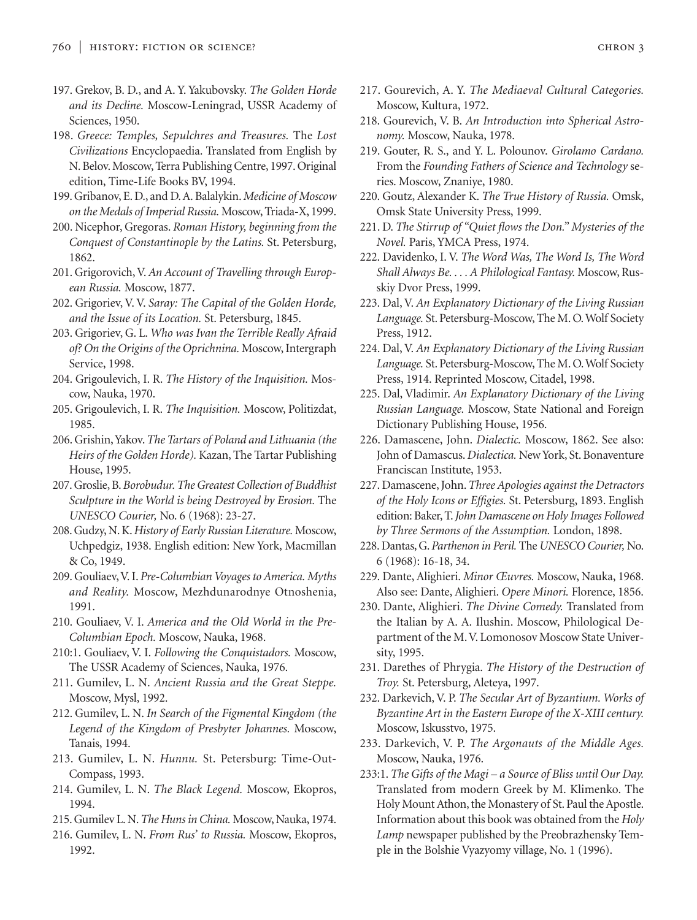- 197. Grekov, B. D., and A. Y. Yakubovsky. *The Golden Horde and its Decline.* Moscow-Leningrad, USSR Academy of Sciences, 1950.
- 198. *Greece: Temples, Sepulchres and Treasures.* The *Lost Civilizations* Encyclopaedia. Translated from English by N. Belov. Moscow, Terra Publishing Centre, 1997. Original edition, Time-Life Books BV, 1994.
- 199. Gribanov, E. D., and D. A. Balalykin.*Medicine of Moscow on the Medals of Imperial Russia.* Moscow, Triada-X, 1999.
- 200. Nicephor, Gregoras. *Roman History, beginning from the Conquest of Constantinople by the Latins.* St. Petersburg, 1862.
- 201. Grigorovich, V. *An Account of Travelling through European Russia.* Moscow, 1877.
- 202. Grigoriev, V. V. *Saray: The Capital of the Golden Horde, and the Issue of its Location.* St. Petersburg, 1845.
- 203. Grigoriev, G. L. *Who was Ivan the Terrible Really Afraid of? On the Origins of the Oprichnina.* Moscow, Intergraph Service, 1998.
- 204. Grigoulevich, I. R. *The History of the Inquisition.* Moscow, Nauka, 1970.
- 205. Grigoulevich, I. R. *The Inquisition.* Moscow, Politizdat, 1985.
- 206. Grishin,Yakov.*The Tartars of Poland and Lithuania (the Heirs of the Golden Horde).* Kazan, The Tartar Publishing House, 1995.
- 207. Groslie, B.*Borobudur. The Greatest Collection of Buddhist Sculpture in the World is being Destroyed by Erosion.* The *UNESCO Courier,* No. 6 (1968): 23-27.
- 208. Gudzy, N. K.*History of Early Russian Literature.* Moscow, Uchpedgiz, 1938. English edition: New York, Macmillan & Co, 1949.
- 209. Gouliaev,V. I. *Pre-Columbian Voyages to America. Myths and Reality.* Moscow, Mezhdunarodnye Otnoshenia, 1991.
- 210. Gouliaev, V. I. *America and the Old World in the Pre-Columbian Epoch.* Moscow, Nauka, 1968.
- 210:1. Gouliaev, V. I. *Following the Conquistadors.* Moscow, The USSR Academy of Sciences, Nauka, 1976.
- 211. Gumilev, L. N. *Ancient Russia and the Great Steppe.* Moscow, Mysl, 1992.
- 212. Gumilev, L. N. *In Search of the Figmental Kingdom (the Legend of the Kingdom of Presbyter Johannes.* Moscow, Tanais, 1994.
- 213. Gumilev, L. N. *Hunnu.* St. Petersburg: Time-Out-Compass, 1993.
- 214. Gumilev, L. N. *The Black Legend.* Moscow, Ekopros, 1994.
- 215. Gumilev L. N.*The Huns in China.* Moscow, Nauka, 1974.
- 216. Gumilev, L. N. *From Rus' to Russia.* Moscow, Ekopros, 1992.
- 217. Gourevich, A. Y. *The Mediaeval Cultural Categories.* Moscow, Kultura, 1972.
- 218. Gourevich, V. B. *An Introduction into Spherical Astronomy.* Moscow, Nauka, 1978.
- 219. Gouter, R. S., and Y. L. Polounov. *Girolamo Cardano.* From the *Founding Fathers of Science and Technology* series. Moscow, Znaniye, 1980.
- 220. Goutz, Alexander K. *The True History of Russia.* Omsk, Omsk State University Press, 1999.
- 221. D. *The Stirrup of "Quiet flows the Don." Mysteries of the Novel.* Paris, YMCA Press, 1974.
- 222. Davidenko, I. V. *The Word Was, The Word Is, The Word Shall Always Be. . . . A Philological Fantasy.* Moscow, Russkiy Dvor Press, 1999.
- 223. Dal, V. *An Explanatory Dictionary of the Living Russian Language.* St. Petersburg-Moscow, The M. O. Wolf Society Press, 1912.
- 224. Dal, V. *An Explanatory Dictionary of the Living Russian Language.* St. Petersburg-Moscow, The M. O. Wolf Society Press, 1914. Reprinted Moscow, Citadel, 1998.
- 225. Dal, Vladimir. *An Explanatory Dictionary of the Living Russian Language.* Moscow, State National and Foreign Dictionary Publishing House, 1956.
- 226. Damascene, John. *Dialectic.* Moscow, 1862. See also: John of Damascus. *Dialectica.* New York, St. Bonaventure Franciscan Institute, 1953.
- 227. Damascene, John.*Three Apologies against the Detractors of the Holy Icons or Effigies.* St. Petersburg, 1893. English edition: Baker, T.*John Damascene on Holy Images Followed by Three Sermons of the Assumption.* London, 1898.
- 228. Dantas, G.*Parthenon in Peril.* The *UNESCO Courier,* No. 6 (1968): 16-18, 34.
- 229. Dante, Alighieri. *Minor Œuvres.* Moscow, Nauka, 1968. Also see: Dante, Alighieri. *Opere Minori.* Florence, 1856.
- 230. Dante, Alighieri. *The Divine Comedy.* Translated from the Italian by A. A. Ilushin. Moscow, Philological Department of the M. V. Lomonosov Moscow State University, 1995.
- 231. Darethes of Phrygia. *The History of the Destruction of Troy.* St. Petersburg, Aleteya, 1997.
- 232. Darkevich, V. P. *The Secular Art of Byzantium. Works of Byzantine Art in the Eastern Europe of the X-XIII century.* Moscow, Iskusstvo, 1975.
- 233. Darkevich, V. P. *The Argonauts of the Middle Ages.* Moscow, Nauka, 1976.
- 233:1. *The Gifts of the Magi a Source of Bliss until Our Day.* Translated from modern Greek by M. Klimenko. The Holy Mount Athon, the Monastery of St. Paul the Apostle. Information about this book was obtained from the *Holy Lamp* newspaper published by the Preobrazhensky Temple in the Bolshie Vyazyomy village, No. 1 (1996).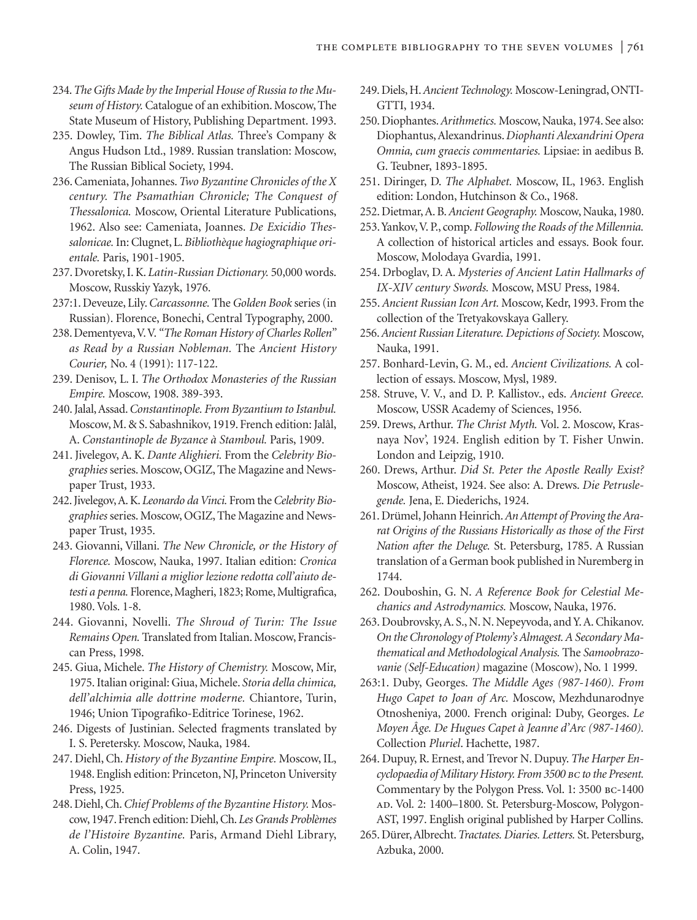- 234.*The Gifts Made by the Imperial House of Russia to the Museum of History.* Catalogue of an exhibition. Moscow, The State Museum of History, Publishing Department. 1993.
- 235. Dowley, Tim. *The Biblical Atlas.* Three's Company & Angus Hudson Ltd., 1989. Russian translation: Moscow, The Russian Biblical Society, 1994.
- 236. Cameniata, Johannes.*Two Byzantine Chronicles of the X century. The Psamathian Chronicle; The Conquest of Thessalonica.* Moscow, Oriental Literature Publications, 1962. Also see: Cameniata, Joannes. *De Exicidio Thessalonicae.* In: Clugnet, L.*Bibliothèque hagiographique orientale.* Paris, 1901-1905.
- 237. Dvoretsky, I. K. *Latin-Russian Dictionary.* 50,000 words. Moscow, Russkiy Yazyk, 1976.
- 237:1. Deveuze, Lily.*Carcassonne.* The *Golden Book* series (in Russian). Florence, Bonechi, Central Typography, 2000.
- 238. Dementyeva,V.V. *"The Roman History of Charles Rollen" as Read by a Russian Nobleman.* The *Ancient History Courier,* No. 4 (1991): 117-122.
- 239. Denisov, L. I. *The Orthodox Monasteries of the Russian Empire.* Moscow, 1908. 389-393.
- 240. Jalal, Assad.*Constantinople. From Byzantium to Istanbul.* Moscow, M. & S. Sabashnikov, 1919. French edition: Jalâl, A. *Constantinople de Byzance à Stamboul.* Paris, 1909.
- 241. Jivelegov, A. K. *Dante Alighieri.* From the *Celebrity Biographies* series. Moscow, OGIZ, The Magazine and Newspaper Trust, 1933.
- 242. Jivelegov,A. K. *Leonardo da Vinci.* From the *Celebrity Biographies* series. Moscow, OGIZ, The Magazine and Newspaper Trust, 1935.
- 243. Giovanni, Villani. *The New Chronicle, or the History of Florence.* Moscow, Nauka, 1997. Italian edition: *Cronica di Giovanni Villani a miglior lezione redotta coll'aiuto detesti a penna.* Florence, Magheri, 1823; Rome, Multigrafica, 1980. Vols. 1-8.
- 244. Giovanni, Novelli. *The Shroud of Turin: The Issue Remains Open.* Translated from Italian. Moscow, Franciscan Press, 1998.
- 245. Giua, Michele. *The History of Chemistry.* Moscow, Mir, 1975. Italian original: Giua, Michele. *Storia della chimica, dell'alchimia alle dottrine moderne.* Chiantore, Turin, 1946; Union Tipografiko-Editrice Torinese, 1962.
- 246. Digests of Justinian. Selected fragments translated by I. S. Peretersky. Moscow, Nauka, 1984.
- 247. Diehl, Ch. *History of the Byzantine Empire.* Moscow, IL, 1948. English edition: Princeton, NJ, Princeton University Press, 1925.
- 248. Diehl, Ch.*Chief Problems of the Byzantine History.* Moscow, 1947. French edition: Diehl, Ch. *Les Grands Problèmes de l'Histoire Byzantine.* Paris, Armand Diehl Library, A. Colin, 1947.
- 249. Diels, H.*Ancient Technology.* Moscow-Leningrad, ONTI-GTTI, 1934.
- 250. Diophantes.*Arithmetics.* Moscow, Nauka, 1974. See also: Diophantus, Alexandrinus. *Diophanti Alexandrini Opera Omnia, cum graecis commentaries.* Lipsiae: in aedibus B. G. Teubner, 1893-1895.
- 251. Diringer, D. *The Alphabet.* Moscow, IL, 1963. English edition: London, Hutchinson & Co., 1968.
- 252. Dietmar, A. B.*Ancient Geography.* Moscow, Nauka, 1980.
- 253.Yankov,V. P., comp. *Following the Roads of the Millennia.* A collection of historical articles and essays. Book four. Moscow, Molodaya Gvardia, 1991.
- 254. Drboglav, D. A. *Mysteries of Ancient Latin Hallmarks of IX-XIV century Swords.* Moscow, MSU Press, 1984.
- 255. *Ancient Russian Icon Art.* Moscow, Kedr, 1993. From the collection of the Tretyakovskaya Gallery.
- 256.*Ancient Russian Literature. Depictions of Society.* Moscow, Nauka, 1991.
- 257. Bonhard-Levin, G. M., ed. *Ancient Civilizations.* A collection of essays. Moscow, Mysl, 1989.
- 258. Struve, V. V., and D. P. Kallistov., eds. *Ancient Greece.* Moscow, USSR Academy of Sciences, 1956.
- 259. Drews, Arthur. *The Christ Myth.* Vol. 2. Moscow, Krasnaya Nov', 1924. English edition by T. Fisher Unwin. London and Leipzig, 1910.
- 260. Drews, Arthur. *Did St. Peter the Apostle Really Exist?* Moscow, Atheist, 1924. See also: A. Drews. *Die Petruslegende.* Jena, E. Diederichs, 1924.
- 261. Drümel, Johann Heinrich. An Attempt of Proving the Ara*rat Origins of the Russians Historically as those of the First Nation after the Deluge.* St. Petersburg, 1785. A Russian translation of a German book published in Nuremberg in 1744.
- 262. Douboshin, G. N. *A Reference Book for Celestial Mechanics and Astrodynamics.* Moscow, Nauka, 1976.
- 263. Doubrovsky, A. S., N. N. Nepeyvoda, and Y. A. Chikanov. *On the Chronology of Ptolemy's Almagest. A Secondary Mathematical and Methodological Analysis.* The *Samoobrazovanie (Self-Education)* magazine (Moscow), No. 1 1999.
- 263:1. Duby, Georges. *The Middle Ages (987-1460). From Hugo Capet to Joan of Arc.* Moscow, Mezhdunarodnye Otnosheniya, 2000. French original: Duby, Georges. *Le Moyen Âge. De Hugues Capet à Jeanne d'Arc (987-1460).* Collection *Pluriel*. Hachette, 1987.
- 264. Dupuy, R. Ernest, and Trevor N. Dupuy. *The Harper Encyclopaedia of Military History. From 3500 bc to the Present.* Commentary by the Polygon Press. Vol. 1: 3500 BC-1400 ad. Vol. 2: 1400-1800. St. Petersburg-Moscow, Polygon-AST, 1997. English original published by Harper Collins.
- 265. Dürer, Albrecht.*Tractates. Diaries. Letters.* St. Petersburg, Azbuka, 2000.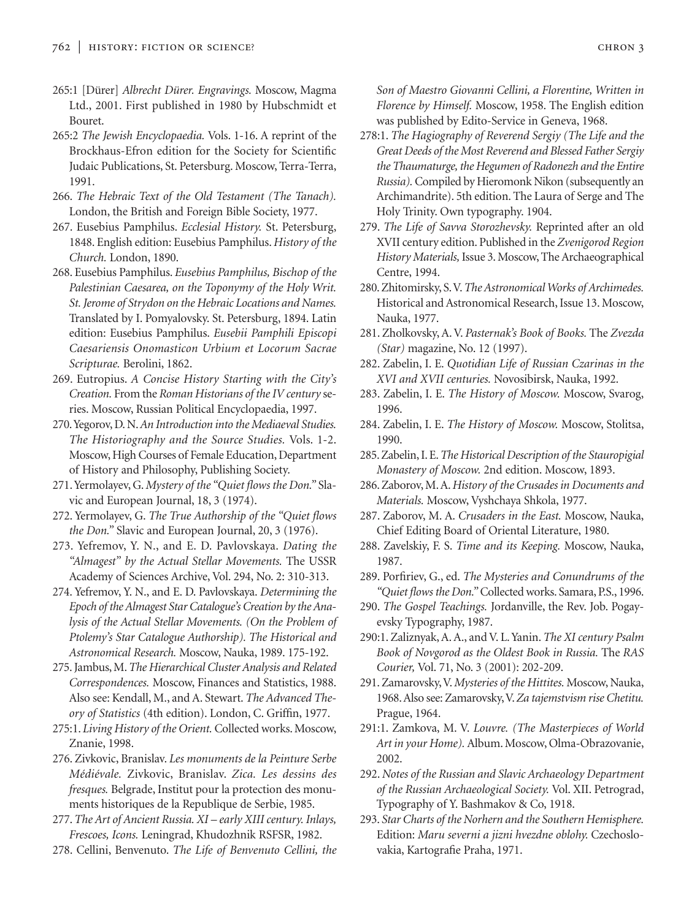- 265:1 [Dürer] *Albrecht Dürer. Engravings.* Moscow, Magma Ltd., 2001. First published in 1980 by Hubschmidt et Bouret.
- 265:2 *The Jewish Encyclopaedia.* Vols. 1-16. A reprint of the Brockhaus-Efron edition for the Society for Scientific Judaic Publications, St. Petersburg. Moscow, Terra-Terra, 1991.
- 266. *The Hebraic Text of the Old Testament (The Tanach).* London, the British and Foreign Bible Society, 1977.
- 267. Eusebius Pamphilus. *Ecclesial History.* St. Petersburg, 1848. English edition: Eusebius Pamphilus. *History of the Church.* London, 1890.
- 268. Eusebius Pamphilus. *Eusebius Pamphilus, Bischop of the Palestinian Caesarea, on the Toponymy of the Holy Writ. St. Jerome of Strydon on the Hebraic Locations and Names.* Translated by I. Pomyalovsky. St. Petersburg, 1894. Latin edition: Eusebius Pamphilus. *Eusebii Pamphili Episcopi Caesariensis Onomasticon Urbium et Locorum Sacrae Scripturae.* Berolini, 1862.
- 269. Eutropius. *A Concise History Starting with the City's Creation.* From the *Roman Historians of the IV century* series. Moscow, Russian Political Encyclopaedia, 1997.
- 270.Yegorov, D. N.*An Introduction into the Mediaeval Studies. The Historiography and the Source Studies.* Vols. 1-2. Moscow, High Courses of Female Education, Department of History and Philosophy, Publishing Society.
- 271.Yermolayev, G.*Mystery of the "Quiet flows the Don."* Slavic and European Journal, 18, 3 (1974).
- 272. Yermolayev, G. *The True Authorship of the "Quiet flows the Don."* Slavic and European Journal, 20, 3 (1976).
- 273. Yefremov, Y. N., and E. D. Pavlovskaya. *Dating the "Almagest" by the Actual Stellar Movements.* The USSR Academy of Sciences Archive, Vol. 294, No. 2: 310-313.
- 274. Yefremov, Y. N., and E. D. Pavlovskaya. *Determining the Epoch of the Almagest Star Catalogue's Creation by the Analysis of the Actual Stellar Movements. (On the Problem of Ptolemy's Star Catalogue Authorship). The Historical and Astronomical Research.* Moscow, Nauka, 1989. 175-192.
- 275. Jambus, M.*The Hierarchical Cluster Analysis and Related Correspondences.* Moscow, Finances and Statistics, 1988. Also see: Kendall, M., and A. Stewart. *The Advanced Theory of Statistics* (4th edition). London, C. Griffin, 1977.
- 275:1. *Living History of the Orient.* Collected works. Moscow, Znanie, 1998.
- 276. Zivkovic, Branislav. *Les monuments de la Peinture Serbe Médiévale.* Zivkovic, Branislav. *Zica. Les dessins des fresques.* Belgrade, Institut pour la protection des monuments historiques de la Republique de Serbie, 1985.
- 277. *The Art of Ancient Russia. XI early XIII century. Inlays, Frescoes, Icons.* Leningrad, Khudozhnik RSFSR, 1982.
- 278. Cellini, Benvenuto. *The Life of Benvenuto Cellini, the*

*Son of Maestro Giovanni Cellini, a Florentine, Written in Florence by Himself.* Moscow, 1958. The English edition was published by Edito-Service in Geneva, 1968.

- 278:1. *The Hagiography of Reverend Sergiy (The Life and the Great Deeds of the Most Reverend and Blessed Father Sergiy the Thaumaturge, the Hegumen of Radonezh and the Entire Russia).*Compiled by Hieromonk Nikon (subsequently an Archimandrite). 5th edition. The Laura of Serge and The Holy Trinity. Own typography. 1904.
- 279. *The Life of Savva Storozhevsky.* Reprinted after an old XVII century edition. Published in the *Zvenigorod Region History Materials,*Issue 3. Moscow, The Archaeographical Centre, 1994.
- 280. Zhitomirsky, S.V.*The Astronomical Works of Archimedes.* Historical and Astronomical Research, Issue 13. Moscow, Nauka, 1977.
- 281. Zholkovsky, A. V. *Pasternak's Book of Books.* The *Zvezda (Star)* magazine, No. 12 (1997).
- 282. Zabelin, I. E. *Quotidian Life of Russian Czarinas in the XVI and XVII centuries.* Novosibirsk, Nauka, 1992.
- 283. Zabelin, I. E. *The History of Moscow.* Moscow, Svarog, 1996.
- 284. Zabelin, I. E. *The History of Moscow.* Moscow, Stolitsa, 1990.
- 285. Zabelin, I. E.*The Historical Description of the Stauropigial Monastery of Moscow.* 2nd edition. Moscow, 1893.
- 286. Zaborov, M. A.*History of the Crusades in Documents and Materials.* Moscow, Vyshchaya Shkola, 1977.
- 287. Zaborov, M. A. *Crusaders in the East.* Moscow, Nauka, Chief Editing Board of Oriental Literature, 1980.
- 288. Zavelskiy, F. S. *Time and its Keeping.* Moscow, Nauka, 1987.
- 289. Porfiriev, G., ed. *The Mysteries and Conundrums of the "Quiet flows the Don."* Collected works. Samara, P.S., 1996.
- 290. *The Gospel Teachings.* Jordanville, the Rev. Job. Pogayevsky Typography, 1987.
- 290:1. Zaliznyak, A. A., and V. L. Yanin. *The XI century Psalm Book of Novgorod as the Oldest Book in Russia.* The *RAS Courier,* Vol. 71, No. 3 (2001): 202-209.
- 291. Zamarovsky,V.*Mysteries of the Hittites.* Moscow, Nauka, 1968. Also see: Zamarovsky,V.*Za tajemstvism rise Chetitu.* Prague, 1964.
- 291:1. Zamkova, M. V. *Louvre. (The Masterpieces of World Art in your Home).* Album. Moscow, Olma-Obrazovanie, 2002.
- 292. *Notes of the Russian and Slavic Archaeology Department of the Russian Archaeological Society.* Vol. XII. Petrograd, Typography of Y. Bashmakov & Co, 1918.
- 293. *Star Charts of the Norhern and the Southern Hemisphere.* Edition: *Maru severni a jizni hvezdne oblohy.* Czechoslovakia, Kartografie Praha, 1971.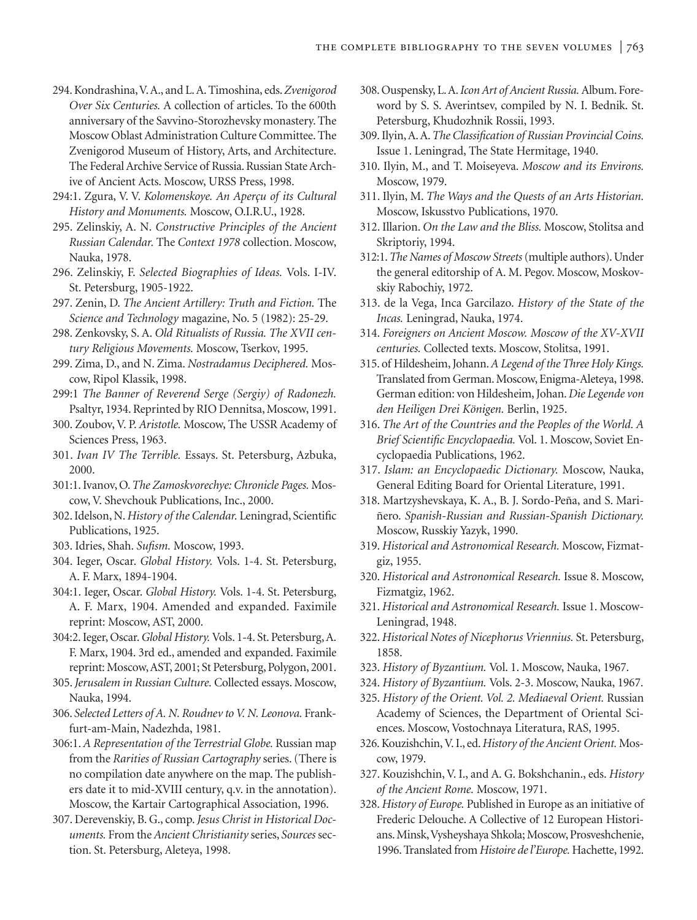- 294. Kondrashina,V. A., and L. A. Timoshina, eds.*Zvenigorod Over Six Centuries.* A collection of articles. To the 600th anniversary of the Savvino-Storozhevsky monastery. The Moscow Oblast Administration Culture Committee. The Zvenigorod Museum of History, Arts, and Architecture. The Federal Archive Service of Russia. Russian State Archive of Ancient Acts. Moscow, URSS Press, 1998.
- 294:1. Zgura, V. V. *Kolomenskoye. An Aperçu of its Cultural History and Monuments.* Moscow, O.I.R.U., 1928.
- 295. Zelinskiy, A. N. *Constructive Principles of the Ancient Russian Calendar.* The *Context 1978* collection. Moscow, Nauka, 1978.
- 296. Zelinskiy, F. *Selected Biographies of Ideas.* Vols. I-IV. St. Petersburg, 1905-1922.
- 297. Zenin, D. *The Ancient Artillery: Truth and Fiction.* The *Science and Technology* magazine, No. 5 (1982): 25-29.
- 298. Zenkovsky, S. A. *Old Ritualists of Russia. The XVII century Religious Movements.* Moscow, Tserkov, 1995.
- 299. Zima, D., and N. Zima. *Nostradamus Deciphered.* Moscow, Ripol Klassik, 1998.
- 299:1 *The Banner of Reverend Serge (Sergiy) of Radonezh.* Psaltyr, 1934. Reprinted by RIO Dennitsa, Moscow, 1991.
- 300. Zoubov, V. P. *Aristotle.* Moscow, The USSR Academy of Sciences Press, 1963.
- 301. *Ivan IV The Terrible.* Essays. St. Petersburg, Azbuka, 2000.
- 301:1. Ivanov, O.*The Zamoskvorechye: Chronicle Pages.* Moscow, V. Shevchouk Publications, Inc., 2000.
- 302. Idelson, N.*History of the Calendar.* Leningrad, Scientific Publications, 1925.
- 303. Idries, Shah. *Sufism.* Moscow, 1993.
- 304. Ieger, Oscar. *Global History.* Vols. 1-4. St. Petersburg, A. F. Marx, 1894-1904.
- 304:1. Ieger, Oscar. *Global History.* Vols. 1-4. St. Petersburg, A. F. Marx, 1904. Amended and expanded. Faximile reprint: Moscow, AST, 2000.
- 304:2. Ieger, Oscar.*Global History.*Vols. 1-4. St. Petersburg, A. F. Marx, 1904. 3rd ed., amended and expanded. Faximile reprint: Moscow, AST, 2001; St Petersburg, Polygon, 2001.
- 305.*Jerusalem in Russian Culture.* Collected essays. Moscow, Nauka, 1994.
- 306. *Selected Letters of A. N. Roudnev to V. N. Leonova.* Frankfurt-am-Main, Nadezhda, 1981.
- 306:1. *A Representation of the Terrestrial Globe.* Russian map from the *Rarities of Russian Cartography* series. (There is no compilation date anywhere on the map. The publishers date it to mid-XVIII century, q.v. in the annotation). Moscow, the Kartair Cartographical Association, 1996.
- 307. Derevenskiy, B. G., comp. *Jesus Christ in Historical Documents.* From the *Ancient Christianity* series, *Sources* section. St. Petersburg, Aleteya, 1998.
- 308. Ouspensky, L. A.*Icon Art of Ancient Russia.* Album. Foreword by S. S. Averintsev, compiled by N. I. Bednik. St. Petersburg, Khudozhnik Rossii, 1993.
- 309. Ilyin, A. A.*The Classification of Russian Provincial Coins.* Issue 1. Leningrad, The State Hermitage, 1940.
- 310. Ilyin, M., and T. Moiseyeva. *Moscow and its Environs.* Moscow, 1979.
- 311. Ilyin, M. *The Ways and the Quests of an Arts Historian.* Moscow, Iskusstvo Publications, 1970.
- 312. Illarion. *On the Law and the Bliss.* Moscow, Stolitsa and Skriptoriy, 1994.
- 312:1.*The Names of Moscow Streets* (multiple authors). Under the general editorship of A. M. Pegov. Moscow, Moskovskiy Rabochiy, 1972.
- 313. de la Vega, Inca Garcilazo. *History of the State of the Incas.* Leningrad, Nauka, 1974.
- 314. *Foreigners on Ancient Moscow. Moscow of the XV-XVII centuries.* Collected texts. Moscow, Stolitsa, 1991.
- 315. of Hildesheim, Johann.*A Legend of the Three Holy Kings.* Translated from German. Moscow, Enigma-Aleteya, 1998. German edition: von Hildesheim, Johan. *Die Legende von den Heiligen Drei Königen.* Berlin, 1925.
- 316. *The Art of the Countries and the Peoples of the World. A Brief Scientific Encyclopaedia.* Vol. 1. Moscow, Soviet Encyclopaedia Publications, 1962.
- 317. *Islam: an Encyclopaedic Dictionary.* Moscow, Nauka, General Editing Board for Oriental Literature, 1991.
- 318. Martzyshevskaya, K. A., B. J. Sordo-Peña, and S. Mariñero. *Spanish-Russian and Russian-Spanish Dictionary.* Moscow, Russkiy Yazyk, 1990.
- 319. *Historical and Astronomical Research.* Moscow, Fizmatgiz, 1955.
- 320. *Historical and Astronomical Research.* Issue 8. Moscow, Fizmatgiz, 1962.
- 321. *Historical and Astronomical Research.* Issue 1. Moscow-Leningrad, 1948.
- 322. *Historical Notes of Nicephorus Vriennius.* St. Petersburg, 1858.
- 323. *History of Byzantium.* Vol. 1. Moscow, Nauka, 1967.
- 324. *History of Byzantium.* Vols. 2-3. Moscow, Nauka, 1967.
- 325. *History of the Orient. Vol. 2. Mediaeval Orient.* Russian Academy of Sciences, the Department of Oriental Sciences. Moscow, Vostochnaya Literatura, RAS, 1995.
- 326. Kouzishchin, V. I., ed.*History of the Ancient Orient.* Moscow, 1979.
- 327. Kouzishchin, V. I., and A. G. Bokshchanin., eds. *History of the Ancient Rome.* Moscow, 1971.
- 328. *History of Europe.* Published in Europe as an initiative of Frederic Delouche. A Collective of 12 European Historians. Minsk,Vysheyshaya Shkola; Moscow, Prosveshchenie, 1996. Translated from *Histoire de l'Europe.*Hachette, 1992.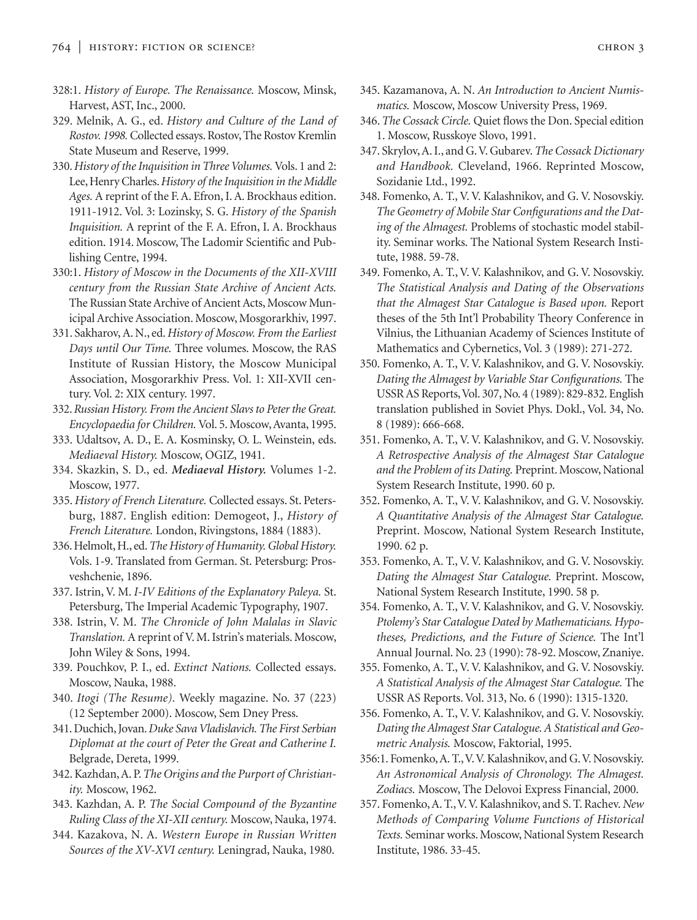- 328:1. *History of Europe. The Renaissance.* Moscow, Minsk, Harvest, AST, Inc., 2000.
- 329. Melnik, A. G., ed. *History and Culture of the Land of Rostov. 1998.*Collected essays. Rostov, The Rostov Kremlin State Museum and Reserve, 1999.
- 330.*History of the Inquisition in Three Volumes.* Vols. 1 and 2: Lee, Henry Charles.*History of the Inquisition in the Middle Ages.* A reprint of the F. A. Efron, I. A. Brockhaus edition. 1911-1912. Vol. 3: Lozinsky, S. G. *History of the Spanish Inquisition.* A reprint of the F. A. Efron, I. A. Brockhaus edition. 1914. Moscow, The Ladomir Scientific and Publishing Centre, 1994.
- 330:1. *History of Moscow in the Documents of the XII-XVIII century from the Russian State Archive of Ancient Acts.* The Russian State Archive of Ancient Acts, Moscow Municipal Archive Association. Moscow, Mosgorarkhiv, 1997.
- 331. Sakharov, A. N., ed.*History of Moscow. From the Earliest Days until Our Time.* Three volumes. Moscow, the RAS Institute of Russian History, the Moscow Municipal Association, Mosgorarkhiv Press. Vol. 1: XII-XVII century. Vol. 2: XIX century. 1997.
- 332.*Russian History. From the Ancient Slavs to Peter the Great. Encyclopaedia for Children.* Vol. 5. Moscow, Avanta, 1995.
- 333. Udaltsov, A. D., E. A. Kosminsky, O. L. Weinstein, eds. *Mediaeval History.* Moscow, OGIZ, 1941.
- 334. Skazkin, S. D., ed. *Mediaeval History.* Volumes 1-2. Moscow, 1977.
- 335. *History of French Literature.* Collected essays. St. Petersburg, 1887. English edition: Demogeot, J., *History of French Literature.* London, Rivingstons, 1884 (1883).
- 336. Helmolt, H., ed.*The History of Humanity. Global History.* Vols. 1-9. Translated from German. St. Petersburg: Prosveshchenie, 1896.
- 337. Istrin, V. M. *I-IV Editions of the Explanatory Paleya.* St. Petersburg, The Imperial Academic Typography, 1907.
- 338. Istrin, V. M. *The Chronicle of John Malalas in Slavic Translation.* A reprint of V. M. Istrin's materials. Moscow, John Wiley & Sons, 1994.
- 339. Pouchkov, P. I., ed. *Extinct Nations.* Collected essays. Moscow, Nauka, 1988.
- 340. *Itogi (The Resume).* Weekly magazine. No. 37 (223) (12 September 2000). Moscow, Sem Dney Press.
- 341. Duchich, Jovan.*Duke Sava Vladislavich. The First Serbian Diplomat at the court of Peter the Great and Catherine I.* Belgrade, Dereta, 1999.
- 342. Kazhdan, A. P.*The Origins and the Purport of Christianity.* Moscow, 1962.
- 343. Kazhdan, A. P. *The Social Compound of the Byzantine Ruling Class of the XI-XII century.* Moscow, Nauka, 1974.
- 344. Kazakova, N. A. *Western Europe in Russian Written Sources of the XV-XVI century.* Leningrad, Nauka, 1980.
- 345. Kazamanova, A. N. *An Introduction to Ancient Numismatics.* Moscow, Moscow University Press, 1969.
- 346. *The Cossack Circle.* Quiet flows the Don. Special edition 1. Moscow, Russkoye Slovo, 1991.
- 347. Skrylov, A. I., and G.V. Gubarev. *The Cossack Dictionary and Handbook.* Cleveland, 1966. Reprinted Moscow, Sozidanie Ltd., 1992.
- 348. Fomenko, A. T., V. V. Kalashnikov, and G. V. Nosovskiy. *The Geometry of Mobile Star Configurations and the Dating of the Almagest.* Problems of stochastic model stability. Seminar works. The National System Research Institute, 1988. 59-78.
- 349. Fomenko, A. T., V. V. Kalashnikov, and G. V. Nosovskiy. *The Statistical Analysis and Dating of the Observations that the Almagest Star Catalogue is Based upon.* Report theses of the 5th Int'l Probability Theory Conference in Vilnius, the Lithuanian Academy of Sciences Institute of Mathematics and Cybernetics, Vol. 3 (1989): 271-272.
- 350. Fomenko, A. T., V. V. Kalashnikov, and G. V. Nosovskiy. *Dating the Almagest by Variable Star Configurations.* The USSR AS Reports,Vol. 307, No. 4 (1989): 829-832. English translation published in Soviet Phys. Dokl., Vol. 34, No. 8 (1989): 666-668.
- 351. Fomenko, A. T., V. V. Kalashnikov, and G. V. Nosovskiy. *A Retrospective Analysis of the Almagest Star Catalogue and the Problem of its Dating.* Preprint. Moscow, National System Research Institute, 1990. 60 p.
- 352. Fomenko, A. T., V. V. Kalashnikov, and G. V. Nosovskiy. *A Quantitative Analysis of the Almagest Star Catalogue.* Preprint. Moscow, National System Research Institute, 1990. 62 p.
- 353. Fomenko, A. T., V. V. Kalashnikov, and G. V. Nosovskiy. *Dating the Almagest Star Catalogue.* Preprint. Moscow, National System Research Institute, 1990. 58 p.
- 354. Fomenko, A. T., V. V. Kalashnikov, and G. V. Nosovskiy. *Ptolemy's Star Catalogue Dated by Mathematicians. Hypotheses, Predictions, and the Future of Science.* The Int'l Annual Journal. No. 23 (1990): 78-92. Moscow, Znaniye.
- 355. Fomenko, A. T., V. V. Kalashnikov, and G. V. Nosovskiy. *A Statistical Analysis of the Almagest Star Catalogue.* The USSR AS Reports. Vol. 313, No. 6 (1990): 1315-1320.
- 356. Fomenko, A. T., V. V. Kalashnikov, and G. V. Nosovskiy. *Dating the Almagest Star Catalogue. A Statistical and Geometric Analysis.* Moscow, Faktorial, 1995.
- 356:1. Fomenko, A. T.,V.V. Kalashnikov, and G.V. Nosovskiy. *An Astronomical Analysis of Chronology. The Almagest. Zodiacs.* Moscow, The Delovoi Express Financial, 2000.
- 357. Fomenko, A. T., V. V. Kalashnikov, and S. T. Rachev. *New Methods of Comparing Volume Functions of Historical Texts.* Seminar works. Moscow, National System Research Institute, 1986. 33-45.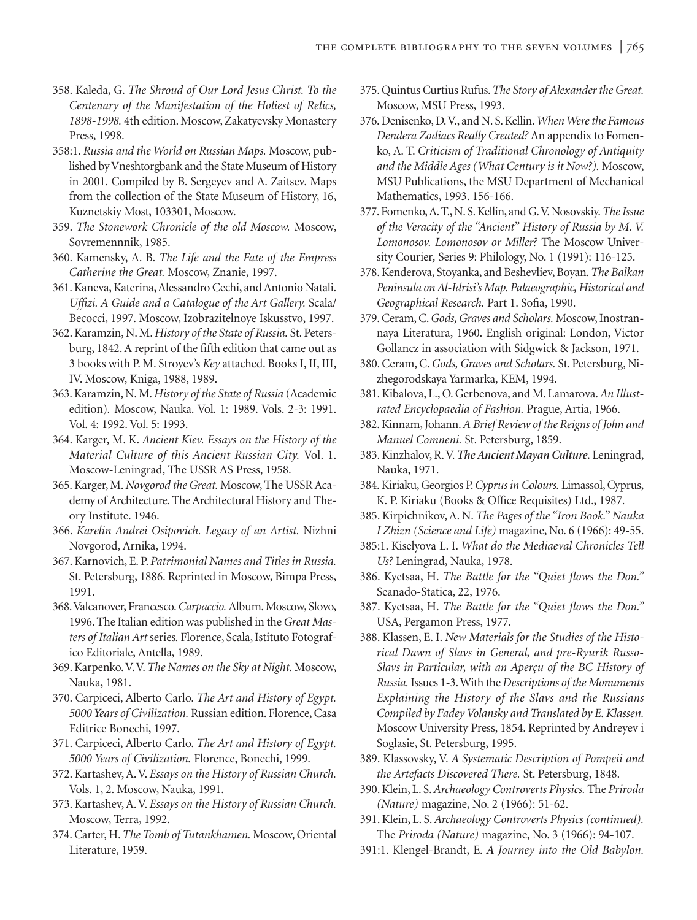- 358. Kaleda, G. *The Shroud of Our Lord Jesus Christ. To the Centenary of the Manifestation of the Holiest of Relics, 1898-1998.* 4th edition. Moscow, Zakatyevsky Monastery Press, 1998.
- 358:1. *Russia and the World on Russian Maps.* Moscow, published by Vneshtorgbank and the State Museum of History in 2001. Compiled by B. Sergeyev and A. Zaitsev. Maps from the collection of the State Museum of History, 16, Kuznetskiy Most, 103301, Moscow.
- 359. *The Stonework Chronicle of the old Moscow.* Moscow, Sovremennnik, 1985.
- 360. Kamensky, A. B. *The Life and the Fate of the Empress Catherine the Great.* Moscow, Znanie, 1997.
- 361. Kaneva, Katerina, Alessandro Cechi, and Antonio Natali. *Uffizi. A Guide and a Catalogue of the Art Gallery.* Scala/ Becocci, 1997. Moscow, Izobrazitelnoye Iskusstvo, 1997.
- 362. Karamzin, N. M.*History of the State of Russia.* St. Petersburg, 1842. A reprint of the fifth edition that came out as 3 books with P. M. Stroyev's *Key* attached. Books I, II, III, IV. Moscow, Kniga, 1988, 1989.
- 363. Karamzin, N. M.*History of the State of Russia* (Academic edition)*.* Moscow, Nauka. Vol. 1: 1989. Vols. 2-3: 1991. Vol. 4: 1992. Vol. 5: 1993.
- 364. Karger, M. K. *Ancient Kiev. Essays on the History of the Material Culture of this Ancient Russian City.* Vol. 1. Moscow-Leningrad, The USSR AS Press, 1958.
- 365. Karger, M.*Novgorod the Great.* Moscow, The USSR Academy of Architecture. The Architectural History and Theory Institute. 1946.
- 366. *Karelin Andrei Osipovich. Legacy of an Artist.* Nizhni Novgorod, Arnika, 1994.
- 367. Karnovich, E. P. *Patrimonial Names and Titles in Russia.* St. Petersburg, 1886. Reprinted in Moscow, Bimpa Press, 1991.
- 368.Valcanover, Francesco.*Carpaccio.* Album. Moscow, Slovo, 1996. The Italian edition was published in the *Great Masters of Italian Art* series*.* Florence, Scala, Istituto Fotografico Editoriale, Antella, 1989.
- 369. Karpenko.V.V.*The Names on the Sky at Night.* Moscow, Nauka, 1981.
- 370. Carpiceci, Alberto Carlo. *The Art and History of Egypt. 5000 Years of Civilization.* Russian edition. Florence, Casa Editrice Bonechi, 1997.
- 371. Carpiceci, Alberto Carlo. *The Art and History of Egypt. 5000 Years of Civilization.* Florence, Bonechi, 1999.
- 372. Kartashev, A. V. *Essays on the History of Russian Church.* Vols. 1, 2. Moscow, Nauka, 1991.
- 373. Kartashev, A. V. *Essays on the History of Russian Church.* Moscow, Terra, 1992.
- 374. Carter, H.*The Tomb of Tutankhamen.* Moscow, Oriental Literature, 1959.
- 375. Quintus Curtius Rufus.*The Story of Alexander the Great.* Moscow, MSU Press, 1993.
- 376. Denisenko, D.V., and N. S. Kellin.*When Were the Famous Dendera Zodiacs Really Created?* An appendix to Fomenko, A. T. *Criticism of Traditional Chronology of Antiquity and the Middle Ages (What Century is it Now?).* Moscow, MSU Publications, the MSU Department of Mechanical Mathematics, 1993. 156-166.
- 377. Fomenko,A. T., N. S. Kellin, and G.V. Nosovskiy.*The Issue of the Veracity of the "Ancient" History of Russia by M. V. Lomonosov. Lomonosov or Miller?* The Moscow University Courier*,* Series 9: Philology, No. 1 (1991): 116-125.
- 378. Kenderova, Stoyanka, and Beshevliev, Boyan.*The Balkan Peninsula on Al-Idrisi's Map. Palaeographic, Historical and Geographical Research.* Part 1. Sofia, 1990.
- 379. Ceram, C.*Gods, Graves and Scholars.* Moscow, Inostrannaya Literatura, 1960. English original: London, Victor Gollancz in association with Sidgwick & Jackson, 1971.
- 380. Ceram, C.*Gods, Graves and Scholars.* St. Petersburg, Nizhegorodskaya Yarmarka, KEM, 1994.
- 381. Kibalova, L., O. Gerbenova, and M. Lamarova.*An Illustrated Encyclopaedia of Fashion.* Prague, Artia, 1966.
- 382. Kinnam, Johann.*A Brief Review of the Reigns of John and Manuel Comneni.* St. Petersburg, 1859.
- 383. Kinzhalov, R.V.*The Ancient Mayan Culture.* Leningrad, Nauka, 1971.
- 384. Kiriaku, Georgios P.*Cyprus in Colours.* Limassol, Cyprus, K. P. Kiriaku (Books & Office Requisites) Ltd., 1987.
- 385. Kirpichnikov, A. N. *The Pages of the "Iron Book." Nauka I Zhizn (Science and Life)* magazine, No. 6 (1966): 49-55.
- 385:1. Kiselyova L. I. *What do the Mediaeval Chronicles Tell Us?* Leningrad, Nauka, 1978.
- 386. Kyetsaa, H. *The Battle for the "Quiet flows the Don."* Seanado-Statica, 22, 1976.
- 387. Kyetsaa, H. *The Battle for the "Quiet flows the Don."* USA, Pergamon Press, 1977.
- 388. Klassen, E. I. *New Materials for the Studies of the Historical Dawn of Slavs in General, and pre-Ryurik Russo-Slavs in Particular, with an Aperçu of the BC History of Russia.*Issues 1-3. With the *Descriptions of the Monuments Explaining the History of the Slavs and the Russians Compiled by Fadey Volansky and Translated by E. Klassen.* Moscow University Press, 1854. Reprinted by Andreyev i Soglasie, St. Petersburg, 1995.
- 389. Klassovsky, V. *A Systematic Description of Pompeii and the Artefacts Discovered There.* St. Petersburg, 1848.
- 390. Klein, L. S.*Archaeology Controverts Physics.* The *Priroda (Nature)* magazine, No. 2 (1966): 51-62.
- 391. Klein, L. S. *Archaeology Controverts Physics (continued).* The *Priroda (Nature)* magazine, No. 3 (1966): 94-107.
- 391:1. Klengel-Brandt, E. *A Journey into the Old Babylon.*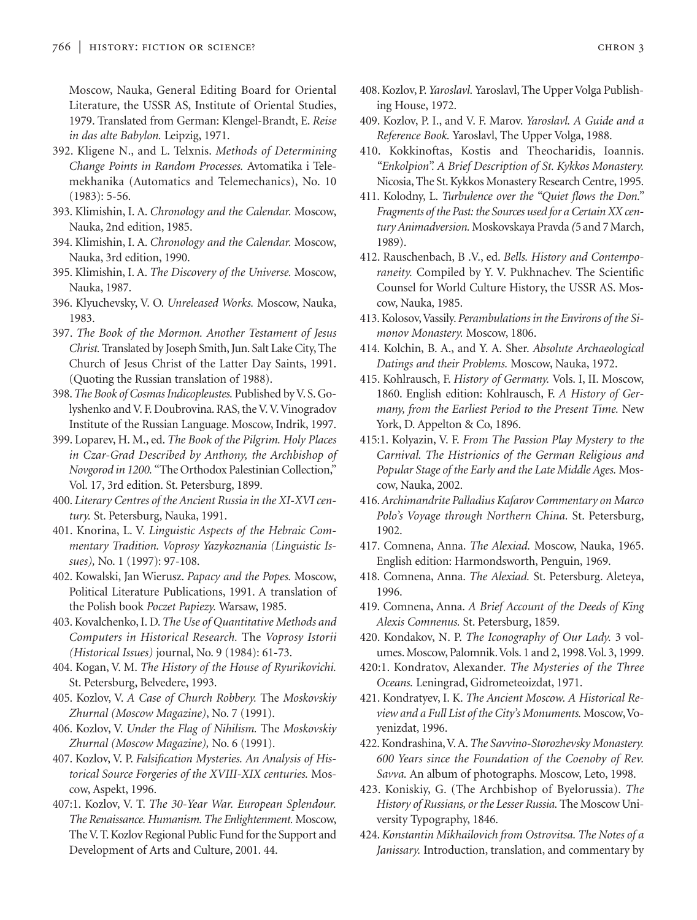Moscow, Nauka, General Editing Board for Oriental Literature, the USSR AS, Institute of Oriental Studies, 1979. Translated from German: Klengel-Brandt, E. *Reise in das alte Babylon.* Leipzig, 1971.

- 392. Kligene N., and L. Telxnis. *Methods of Determining Change Points in Random Processes.* Avtomatika i Telemekhanika (Automatics and Telemechanics), No. 10 (1983): 5-56.
- 393. Klimishin, I. A. *Chronology and the Calendar.* Moscow, Nauka, 2nd edition, 1985.
- 394. Klimishin, I. A. *Chronology and the Calendar.* Moscow, Nauka, 3rd edition, 1990.
- 395. Klimishin, I. A. *The Discovery of the Universe.* Moscow, Nauka, 1987.
- 396. Klyuchevsky, V. O. *Unreleased Works.* Moscow, Nauka, 1983.
- 397. *The Book of the Mormon. Another Testament of Jesus Christ.* Translated by Joseph Smith, Jun. Salt Lake City, The Church of Jesus Christ of the Latter Day Saints, 1991. (Quoting the Russian translation of 1988).
- 398.*The Book of Cosmas Indicopleustes.* Published by V. S. Golyshenko and V. F. Doubrovina. RAS, the V. V. Vinogradov Institute of the Russian Language. Moscow, Indrik, 1997.
- 399. Loparev, H. M., ed. *The Book of the Pilgrim. Holy Places in Czar-Grad Described by Anthony, the Archbishop of Novgorod in 1200.* "The Orthodox Palestinian Collection," Vol. 17, 3rd edition. St. Petersburg, 1899.
- 400. *Literary Centres of the Ancient Russia in the XI-XVI century.* St. Petersburg, Nauka, 1991.
- 401. Knorina, L. V. *Linguistic Aspects of the Hebraic Commentary Tradition. Voprosy Yazykoznania (Linguistic Issues),* No. 1 (1997): 97-108.
- 402. Kowalski, Jan Wierusz. *Papacy and the Popes.* Moscow, Political Literature Publications, 1991. A translation of the Polish book *Poczet Papiezy.* Warsaw, 1985.
- 403. Kovalchenko, I. D. *The Use of Quantitative Methods and Computers in Historical Research.* The *Voprosy Istorii (Historical Issues)* journal, No. 9 (1984): 61-73.
- 404. Kogan, V. M. *The History of the House of Ryurikovichi.* St. Petersburg, Belvedere, 1993.
- 405. Kozlov, V. *A Case of Church Robbery.* The *Moskovskiy Zhurnal (Moscow Magazine)*, No. 7 (1991).
- 406. Kozlov, V. *Under the Flag of Nihilism.* The *Moskovskiy Zhurnal (Moscow Magazine),* No. 6 (1991).
- 407. Kozlov, V. P. *Falsification Mysteries. An Analysis of Historical Source Forgeries of the XVIII-XIX centuries.* Moscow, Aspekt, 1996.
- 407:1. Kozlov, V. T. *The 30-Year War. European Splendour. The Renaissance. Humanism. The Enlightenment.* Moscow, The V. T. Kozlov Regional Public Fund for the Support and Development of Arts and Culture, 2001. 44.
- 408. Kozlov, P. *Yaroslavl.* Yaroslavl, The Upper Volga Publishing House, 1972.
- 409. Kozlov, P. I., and V. F. Marov. *Yaroslavl. A Guide and a Reference Book.* Yaroslavl, The Upper Volga, 1988.
- 410. Kokkinoftas, Kostis and Theocharidis, Ioannis. *"Enkolpion". A Brief Description of St. Kykkos Monastery.* Nicosia, The St. Kykkos Monastery Research Centre, 1995.
- 411. Kolodny, L. *Turbulence over the "Quiet flows the Don." Fragments of the Past: the Sources used for a Certain XX century Animadversion.* Moskovskaya Pravda *(*5and 7 March, 1989).
- 412. Rauschenbach, B .V., ed. *Bells. History and Contemporaneity.* Compiled by Y. V. Pukhnachev. The Scientific Counsel for World Culture History, the USSR AS. Moscow, Nauka, 1985.
- 413. Kolosov,Vassily. *Perambulations in the Environs of the Simonov Monastery.* Moscow, 1806.
- 414. Kolchin, B. A., and Y. A. Sher. *Absolute Archaeological Datings and their Problems.* Moscow, Nauka, 1972.
- 415. Kohlrausch, F. *History of Germany.* Vols. I, II. Moscow, 1860. English edition: Kohlrausch, F. *A History of Germany, from the Earliest Period to the Present Time.* New York, D. Appelton & Co, 1896.
- 415:1. Kolyazin, V. F. *From The Passion Play Mystery to the Carnival. The Histrionics of the German Religious and Popular Stage of the Early and the Late Middle Ages.* Moscow, Nauka, 2002.
- 416.*Archimandrite Palladius Kafarov Commentary on Marco Polo's Voyage through Northern China.* St. Petersburg, 1902.
- 417. Comnena, Anna. *The Alexiad.* Moscow, Nauka, 1965. English edition: Harmondsworth, Penguin, 1969.
- 418. Comnena, Anna. *The Alexiad.* St. Petersburg. Aleteya, 1996.
- 419. Comnena, Anna. *A Brief Account of the Deeds of King Alexis Comnenus.* St. Petersburg, 1859.
- 420. Kondakov, N. P. *The Iconography of Our Lady.* 3 volumes. Moscow, Palomnik.Vols. 1 and 2, 1998.Vol. 3, 1999.
- 420:1. Kondratov, Alexander. *The Mysteries of the Three Oceans.* Leningrad, Gidrometeoizdat, 1971.
- 421. Kondratyev, I. K. *The Ancient Moscow. A Historical Review and a Full List of the City's Monuments.* Moscow,Voyenizdat, 1996.
- 422. Kondrashina,V. A.*The Savvino-Storozhevsky Monastery. 600 Years since the Foundation of the Coenoby of Rev. Savva.* An album of photographs. Moscow, Leto, 1998.
- 423. Koniskiy, G. (The Archbishop of Byelorussia). *The History of Russians, or the Lesser Russia.* The Moscow University Typography, 1846.
- 424.*Konstantin Mikhailovich from Ostrovitsa. The Notes of a Janissary.* Introduction, translation, and commentary by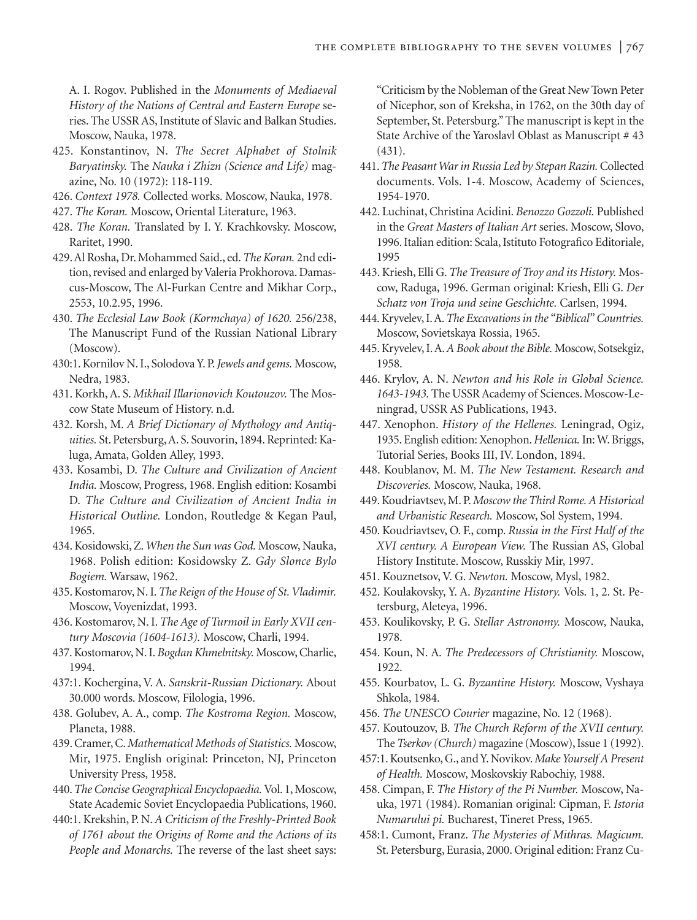A. I. Rogov. Published in the *Monuments of Mediaeval History of the Nations of Central and Eastern Europe* series. The USSR AS, Institute of Slavic and Balkan Studies. Moscow, Nauka, 1978.

- 425. Konstantinov, N. *The Secret Alphabet of Stolnik Baryatinsky.* The *Nauka i Zhizn (Science and Life)* magazine, No. 10 (1972): 118-119.
- 426. *Context 1978.* Collected works. Moscow, Nauka, 1978.
- 427. *The Koran.* Moscow, Oriental Literature, 1963.
- 428. *The Koran.* Translated by I. Y. Krachkovsky. Moscow, Raritet, 1990.
- 429. Al Rosha, Dr. Mohammed Said., ed.*The Koran.* 2nd edition, revised and enlarged by Valeria Prokhorova. Damascus-Moscow, The Al-Furkan Centre and Mikhar Corp., 2553, 10.2.95, 1996.
- 430. *The Ecclesial Law Book (Kormchaya) of 1620.* 256/238, The Manuscript Fund of the Russian National Library (Moscow).
- 430:1. Kornilov N. I., Solodova Y. P.*Jewels and gems.* Moscow, Nedra, 1983.
- 431. Korkh, A. S. *Mikhail Illarionovich Koutouzov.* The Moscow State Museum of History. n.d.
- 432. Korsh, M. *A Brief Dictionary of Mythology and Antiquities.* St. Petersburg, A. S. Souvorin, 1894. Reprinted: Kaluga, Amata, Golden Alley, 1993.
- 433. Kosambi, D. *The Culture and Civilization of Ancient India.* Moscow, Progress, 1968. English edition: Kosambi D. *The Culture and Civilization of Ancient India in Historical Outline.* London, Routledge & Kegan Paul, 1965.
- 434. Kosidowski, Z. *When the Sun was God.* Moscow, Nauka, 1968. Polish edition: Kosidowsky Z. *Gdy Slonce Bylo Bogiem.* Warsaw, 1962.
- 435. Kostomarov, N. I.*The Reign of the House of St. Vladimir.* Moscow, Voyenizdat, 1993.
- 436. Kostomarov, N. I. *The Age of Turmoil in Early XVII century Moscovia (1604-1613).* Moscow, Charli, 1994.
- 437. Kostomarov, N. I. *Bogdan Khmelnitsky.* Moscow, Charlie, 1994.
- 437:1. Kochergina, V. A. *Sanskrit-Russian Dictionary.* About 30.000 words. Moscow, Filologia, 1996.
- 438. Golubev, A. A., comp. *The Kostroma Region.* Moscow, Planeta, 1988.
- 439. Cramer, C.*Mathematical Methods of Statistics.* Moscow, Mir, 1975. English original: Princeton, NJ, Princeton University Press, 1958.
- 440.*The Concise Geographical Encyclopaedia.*Vol. 1, Moscow, State Academic Soviet Encyclopaedia Publications, 1960.
- 440:1. Krekshin, P. N. *A Criticism of the Freshly-Printed Book of 1761 about the Origins of Rome and the Actions of its People and Monarchs.* The reverse of the last sheet says:

"Criticism by the Nobleman of the Great New Town Peter of Nicephor, son of Kreksha, in 1762, on the 30th day of September, St. Petersburg." The manuscript is kept in the State Archive of the Yaroslavl Oblast as Manuscript # 43 (431).

- 441.*The Peasant War in Russia Led by Stepan Razin.*Collected documents. Vols. 1-4. Moscow, Academy of Sciences, 1954-1970.
- 442. Luchinat, Christina Acidini. *Benozzo Gozzoli.* Published in the *Great Masters of Italian Art* series. Moscow, Slovo, 1996. Italian edition: Scala, Istituto Fotografico Editoriale, 1995
- 443. Kriesh, Elli G. *The Treasure of Troy and its History.* Moscow, Raduga, 1996. German original: Kriesh, Elli G. *Der Schatz von Troja und seine Geschichte.* Carlsen, 1994.
- 444. Kryvelev, I. A.*The Excavations in the "Biblical" Countries.* Moscow, Sovietskaya Rossia, 1965.
- 445. Kryvelev, I. A.*A Book about the Bible.* Moscow, Sotsekgiz, 1958.
- 446. Krylov, A. N. *Newton and his Role in Global Science. 1643-1943.* The USSR Academy of Sciences. Moscow-Leningrad, USSR AS Publications, 1943.
- 447. Xenophon. *History of the Hellenes.* Leningrad, Ogiz, 1935. English edition: Xenophon.*Hellenica.*In: W. Briggs, Tutorial Series, Books III, IV. London, 1894.
- 448. Koublanov, M. M. *The New Testament. Research and Discoveries.* Moscow, Nauka, 1968.
- 449. Koudriavtsev, M. P.*Moscow the Third Rome. A Historical and Urbanistic Research.* Moscow, Sol System, 1994.
- 450. Koudriavtsev, O. F., comp. *Russia in the First Half of the XVI century. A European View.* The Russian AS, Global History Institute. Moscow, Russkiy Mir, 1997.
- 451. Kouznetsov, V. G. *Newton.* Moscow, Mysl, 1982.
- 452. Koulakovsky, Y. A. *Byzantine History.* Vols. 1, 2. St. Petersburg, Aleteya, 1996.
- 453. Koulikovsky, P. G. *Stellar Astronomy.* Moscow, Nauka, 1978.
- 454. Koun, N. A. *The Predecessors of Christianity.* Moscow, 1922.
- 455. Kourbatov, L. G. *Byzantine History.* Moscow, Vyshaya Shkola, 1984.
- 456. *The UNESCO Courier* magazine, No. 12 (1968).
- 457. Koutouzov, B. *The Church Reform of the XVII century.* The *Tserkov (Church)* magazine (Moscow), Issue 1 (1992).
- 457:1. Koutsenko, G., and Y. Novikov.*Make Yourself A Present of Health.* Moscow, Moskovskiy Rabochiy, 1988.
- 458. Cimpan, F. *The History of the Pi Number.* Moscow, Nauka, 1971 (1984). Romanian original: Cipman, F. *Istoria Numarului pi.* Bucharest, Tineret Press, 1965.
- 458:1. Cumont, Franz. *The Mysteries of Mithras. Magicum.* St. Petersburg, Eurasia, 2000. Original edition: Franz Cu-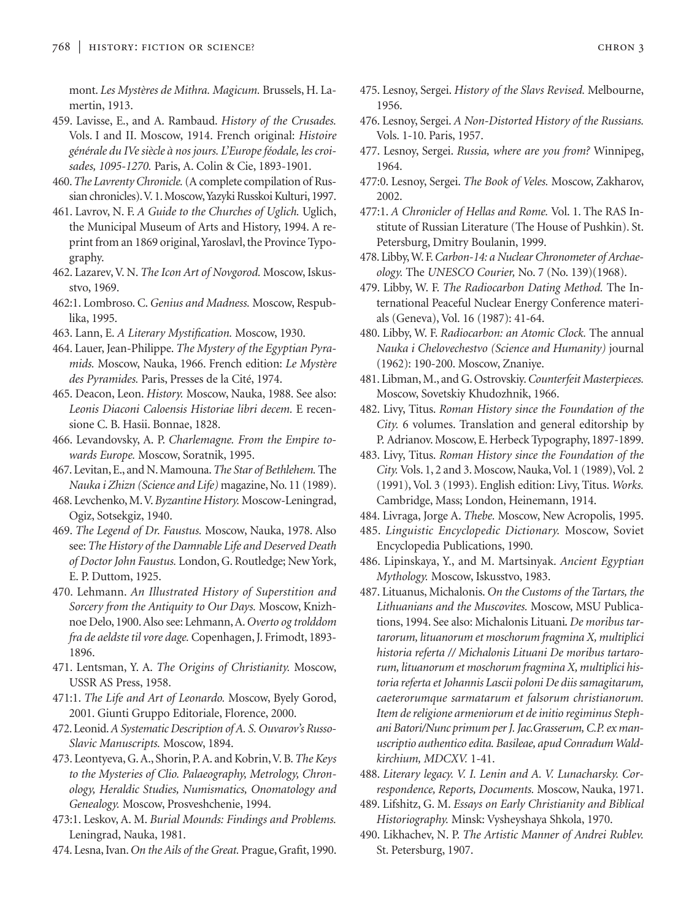mont. *Les Mystères de Mithra. Magicum.* Brussels, H. Lamertin, 1913.

- 459. Lavisse, E., and A. Rambaud. *History of the Crusades.* Vols. I and II. Moscow, 1914. French original: *Histoire générale du IVe siècle à nos jours. L'Europe féodale, les croisades, 1095-1270.* Paris, A. Colin & Cie, 1893-1901.
- 460.*The Lavrenty Chronicle.*(A complete compilation of Russian chronicles).V. 1. Moscow,Yazyki Russkoi Kulturi, 1997.
- 461. Lavrov, N. F. *A Guide to the Churches of Uglich.* Uglich, the Municipal Museum of Arts and History, 1994. A reprint from an 1869 original, Yaroslavl, the Province Typography.
- 462. Lazarev, V. N. *The Icon Art of Novgorod.* Moscow, Iskusstvo, 1969.
- 462:1. Lombroso. C. *Genius and Madness.* Moscow, Respublika, 1995.
- 463. Lann, E. *A Literary Mystification.* Moscow, 1930.
- 464. Lauer, Jean-Philippe. *The Mystery of the Egyptian Pyramids.* Moscow, Nauka, 1966. French edition: *Le Mystère des Pyramides.* Paris, Presses de la Cité, 1974.
- 465. Deacon, Leon. *History.* Moscow, Nauka, 1988. See also: *Leonis Diaconi Caloensis Historiae libri decem.* E recensione C. B. Hasii. Bonnae, 1828.
- 466. Levandovsky, A. P. *Charlemagne. From the Empire towards Europe.* Moscow, Soratnik, 1995.
- 467. Levitan, E., and N. Mamouna.*The Star of Bethlehem.* The *Nauka i Zhizn (Science and Life)* magazine, No. 11 (1989).
- 468. Levchenko, M.V.*Byzantine History.* Moscow-Leningrad, Ogiz, Sotsekgiz, 1940.
- 469. *The Legend of Dr. Faustus.* Moscow, Nauka, 1978. Also see: *The History of the Damnable Life and Deserved Death of Doctor John Faustus.* London, G. Routledge; New York, E. P. Duttom, 1925.
- 470. Lehmann. *An Illustrated History of Superstition and Sorcery from the Antiquity to Our Days.* Moscow, Knizhnoe Delo, 1900. Also see: Lehmann, A.*Overto og trolddom fra de aeldste til vore dage.* Copenhagen, J. Frimodt, 1893- 1896.
- 471. Lentsman, Y. A. *The Origins of Christianity.* Moscow, USSR AS Press, 1958.
- 471:1. *The Life and Art of Leonardo.* Moscow, Byely Gorod, 2001. Giunti Gruppo Editoriale, Florence, 2000.
- 472. Leonid.*A Systematic Description of A. S. Ouvarov's Russo-Slavic Manuscripts.* Moscow, 1894.
- 473. Leontyeva, G. A., Shorin, P. A. and Kobrin,V. B.*The Keys to the Mysteries of Clio. Palaeography, Metrology, Chronology, Heraldic Studies, Numismatics, Onomatology and Genealogy.* Moscow, Prosveshchenie, 1994.
- 473:1. Leskov, A. M. *Burial Mounds: Findings and Problems.* Leningrad, Nauka, 1981.
- 474. Lesna, Ivan.*On the Ails of the Great.* Prague, Grafit, 1990.
- 475. Lesnoy, Sergei. *History of the Slavs Revised.* Melbourne, 1956.
- 476. Lesnoy, Sergei. *A Non-Distorted History of the Russians.* Vols. 1-10. Paris, 1957.
- 477. Lesnoy, Sergei. *Russia, where are you from?* Winnipeg, 1964.
- 477:0. Lesnoy, Sergei. *The Book of Veles.* Moscow, Zakharov, 2002.
- 477:1. *A Chronicler of Hellas and Rome.* Vol. 1. The RAS Institute of Russian Literature (The House of Pushkin). St. Petersburg, Dmitry Boulanin, 1999.
- 478. Libby,W. F.*Carbon-14: a Nuclear Chronometer of Archaeology.* The *UNESCO Courier,* No. 7 (No. 139)(1968).
- 479. Libby, W. F. *The Radiocarbon Dating Method.* The International Peaceful Nuclear Energy Conference materials (Geneva), Vol. 16 (1987): 41-64.
- 480. Libby, W. F. *Radiocarbon: an Atomic Clock.* The annual *Nauka i Chelovechestvo (Science and Humanity)* journal (1962): 190-200. Moscow, Znaniye.
- 481. Libman, M., and G. Ostrovskiy.*Counterfeit Masterpieces.* Moscow, Sovetskiy Khudozhnik, 1966.
- 482. Livy, Titus. *Roman History since the Foundation of the City.* 6 volumes. Translation and general editorship by P. Adrianov. Moscow, E. Herbeck Typography, 1897-1899.
- 483. Livy, Titus. *Roman History since the Foundation of the* City. Vols. 1, 2 and 3. Moscow, Nauka, Vol. 1 (1989), Vol. 2 (1991), Vol. 3 (1993). English edition: Livy, Titus. *Works.* Cambridge, Mass; London, Heinemann, 1914.
- 484. Livraga, Jorge A. *Thebe.* Moscow, New Acropolis, 1995.
- 485. *Linguistic Encyclopedic Dictionary.* Moscow, Soviet Encyclopedia Publications, 1990.
- 486. Lipinskaya, Y., and M. Martsinyak. *Ancient Egyptian Mythology.* Moscow, Iskusstvo, 1983.
- 487. Lituanus, Michalonis. *On the Customs of the Tartars, the Lithuanians and the Muscovites.* Moscow, MSU Publications, 1994. See also: Michalonis Lituani*. De moribus tartarorum, lituanorum et moschorum fragmina X, multiplici historia referta // Michalonis Lituani De moribus tartarorum, lituanorum et moschorum fragmina X, multiplici historia referta et Johannis Lascii poloni De diis samagitarum, caeterorumque sarmatarum et falsorum christianorum. Item de religione armeniorum et de initio regiminus Stephani Batori/Nunc primum per J. Jac.Grasserum, C.P. ex manuscriptio authentico edita. Basileae, apud Conradum Waldkirchium, MDCXV.* 1-41.
- 488. *Literary legacy. V. I. Lenin and A. V. Lunacharsky. Correspondence, Reports, Documents.* Moscow, Nauka, 1971.
- 489. Lifshitz, G. M. *Essays on Early Christianity and Biblical Historiography.* Minsk: Vysheyshaya Shkola, 1970.
- 490. Likhachev, N. P. *The Artistic Manner of Andrei Rublev.* St. Petersburg, 1907.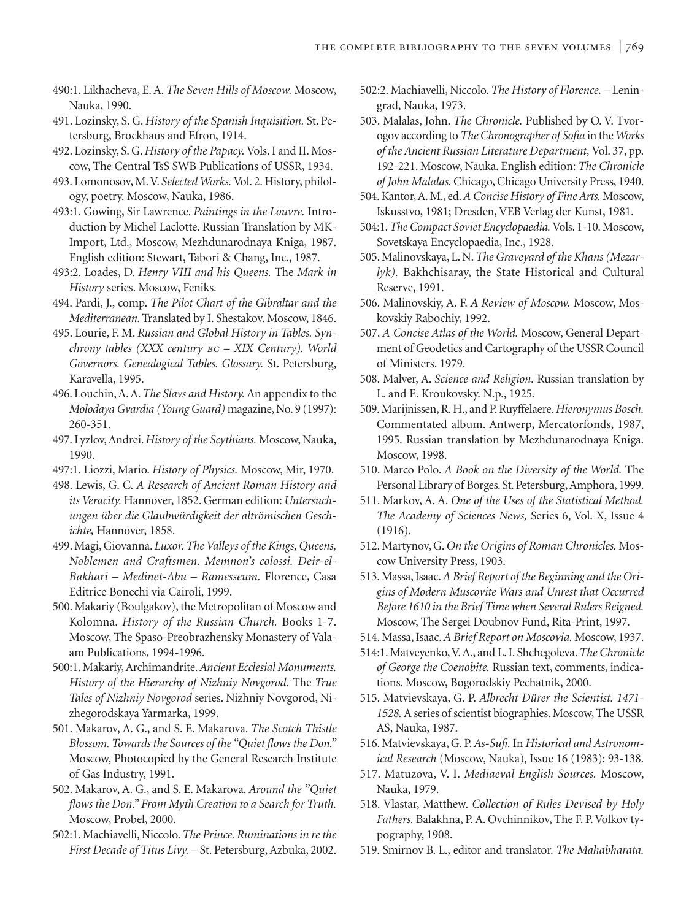- 490:1. Likhacheva, E. A. *The Seven Hills of Moscow.* Moscow, Nauka, 1990.
- 491. Lozinsky, S. G. *History of the Spanish Inquisition.* St. Petersburg, Brockhaus and Efron, 1914.
- 492. Lozinsky, S. G. *History of the Papacy.* Vols. I and II. Moscow, The Central TsS SWB Publications of USSR, 1934.
- 493. Lomonosov, M.V. *Selected Works.* Vol. 2. History, philology, poetry. Moscow, Nauka, 1986.
- 493:1. Gowing, Sir Lawrence. *Paintings in the Louvre.* Introduction by Michel Laclotte. Russian Translation by MK-Import, Ltd., Moscow, Mezhdunarodnaya Kniga, 1987. English edition: Stewart, Tabori & Chang, Inc., 1987.
- 493:2. Loades, D. *Henry VIII and his Queens.* The *Mark in History* series. Moscow, Feniks.
- 494. Pardi, J., comp. *The Pilot Chart of the Gibraltar and the Mediterranean.*Translated by I. Shestakov. Moscow, 1846.
- 495. Lourie, F. M. *Russian and Global History in Tables. Synchrony tables (XXX century bc – XIX Century). World Governors. Genealogical Tables. Glossary.* St. Petersburg, Karavella, 1995.
- 496. Louchin, A. A.*The Slavs and History.* An appendix to the *Molodaya Gvardia (Young Guard)* magazine, No. 9 (1997): 260-351.
- 497. Lyzlov, Andrei.*History of the Scythians.* Moscow, Nauka, 1990.
- 497:1. Liozzi, Mario. *History of Physics.* Moscow, Mir, 1970.
- 498. Lewis, G. C. *A Research of Ancient Roman History and its Veracity.* Hannover, 1852. German edition: *Untersuchungen über die Glaubwürdigkeit der altrömischen Geschichte,* Hannover, 1858.
- 499. Magi, Giovanna. *Luxor. The Valleys of the Kings, Queens, Noblemen and Craftsmen. Memnon's colossi. Deir-el-Bakhari – Medinet-Abu – Ramesseum.* Florence, Casa Editrice Bonechi via Cairoli, 1999.
- 500. Makariy (Boulgakov), the Metropolitan of Moscow and Kolomna. *History of the Russian Church.* Books 1-7. Moscow, The Spaso-Preobrazhensky Monastery of Valaam Publications, 1994-1996.
- 500:1. Makariy, Archimandrite.*Ancient Ecclesial Monuments. History of the Hierarchy of Nizhniy Novgorod.* The *True Tales of Nizhniy Novgorod* series. Nizhniy Novgorod, Nizhegorodskaya Yarmarka, 1999.
- 501. Makarov, A. G., and S. E. Makarova. *The Scotch Thistle Blossom. Towards the Sources of the "Quiet flows the Don."* Moscow, Photocopied by the General Research Institute of Gas Industry, 1991.
- 502. Makarov, A. G., and S. E. Makarova. *Around the "Quiet flows the Don." From Myth Creation to a Search for Truth.* Moscow, Probel, 2000.
- 502:1. Machiavelli, Niccolo.*The Prince. Ruminations in re the First Decade of Titus Livy. –* St. Petersburg, Azbuka, 2002.
- 502:2. Machiavelli, Niccolo. *The History of Florence.* Leningrad, Nauka, 1973.
- 503. Malalas, John. *The Chronicle.* Published by O. V. Tvorogov according to *The Chronographer of Sofia* in the *Works of the Ancient Russian Literature Department,* Vol. 37, pp. 192-221. Moscow, Nauka. English edition: *The Chronicle of John Malalas.* Chicago, Chicago University Press, 1940.
- 504. Kantor, A. M., ed.*A Concise History of Fine Arts.* Moscow, Iskusstvo, 1981; Dresden, VEB Verlag der Kunst, 1981.
- 504:1.*The Compact Soviet Encyclopaedia.*Vols. 1-10. Moscow, Sovetskaya Encyclopaedia, Inc., 1928.
- 505. Malinovskaya, L. N.*The Graveyard of the Khans (Mezarlyk).* Bakhchisaray, the State Historical and Cultural Reserve, 1991.
- 506. Malinovskiy, A. F. *A Review of Moscow.* Moscow, Moskovskiy Rabochiy, 1992.
- 507. *A Concise Atlas of the World.* Moscow, General Department of Geodetics and Cartography of the USSR Council of Ministers. 1979.
- 508. Malver, A. *Science and Religion.* Russian translation by L. and E. Kroukovsky. N.p., 1925.
- 509. Marijnissen, R. H., and P. Ruyffelaere.*Hieronymus Bosch.* Commentated album. Antwerp, Mercatorfonds, 1987, 1995. Russian translation by Mezhdunarodnaya Kniga. Moscow, 1998.
- 510. Marco Polo. *A Book on the Diversity of the World.* The Personal Library of Borges. St. Petersburg, Amphora, 1999.
- 511. Markov, A. A. *One of the Uses of the Statistical Method. The Academy of Sciences News,* Series 6, Vol. X, Issue 4 (1916).
- 512. Martynov, G. *On the Origins of Roman Chronicles.* Moscow University Press, 1903.
- 513. Massa, Isaac.*A Brief Report of the Beginning and the Origins of Modern Muscovite Wars and Unrest that Occurred Before 1610 in the Brief Time when Several Rulers Reigned.* Moscow, The Sergei Doubnov Fund, Rita-Print, 1997.
- 514. Massa, Isaac.*A Brief Report on Moscovia.* Moscow, 1937.
- 514:1. Matveyenko,V. A., and L. I. Shchegoleva.*The Chronicle of George the Coenobite.* Russian text, comments, indications. Moscow, Bogorodskiy Pechatnik, 2000.
- 515. Matvievskaya, G. P. *Albrecht Dürer the Scientist. 1471- 1528.* A series of scientist biographies. Moscow, The USSR AS, Nauka, 1987.
- 516. Matvievskaya, G. P.*As-Sufi.* In *Historical and Astronomical Research* (Moscow, Nauka), Issue 16 (1983): 93-138.
- 517. Matuzova, V. I. *Mediaeval English Sources.* Moscow, Nauka, 1979.
- 518. Vlastar, Matthew. *Collection of Rules Devised by Holy Fathers.* Balakhna, P. A. Ovchinnikov, The F. P. Volkov typography, 1908.
- 519. Smirnov B. L., editor and translator. *The Mahabharata.*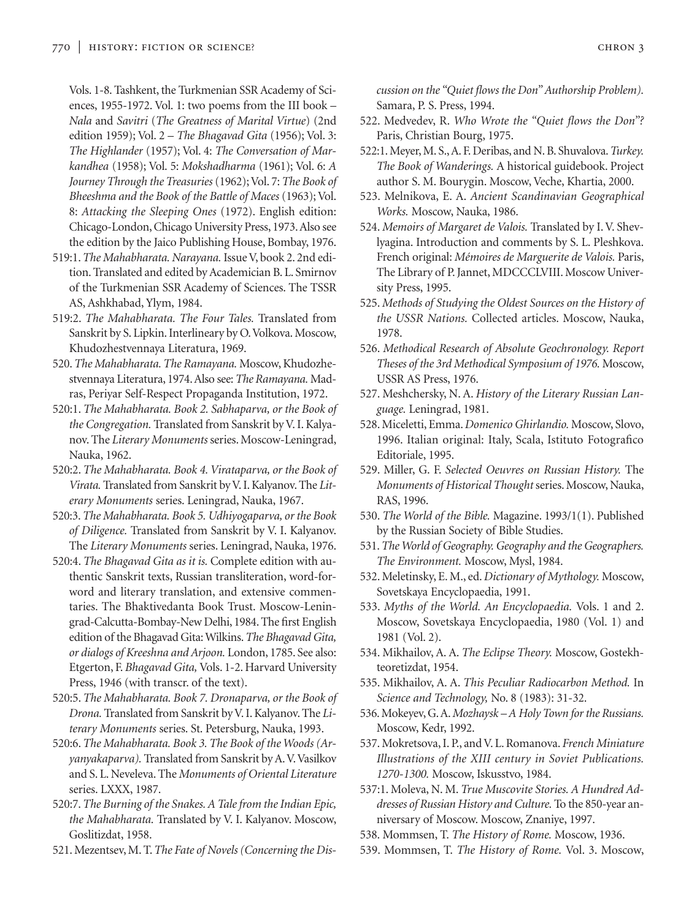Vols. 1-8. Tashkent, the Turkmenian SSR Academy of Sciences, 1955-1972. Vol. 1: two poems from the III book – *Nala* and *Savitri* (*The Greatness of Marital Virtue*) (2nd edition 1959); Vol. 2 – *The Bhagavad Gita* (1956); Vol. 3: *The Highlander* (1957); Vol. 4: *The Conversation of Markandhea* (1958); Vol. 5: *Mokshadharma* (1961); Vol. 6: *A Journey Through the Treasuries* (1962); Vol. 7: *The Book of Bheeshma and the Book of the Battle of Maces* (1963); Vol. 8: *Attacking the Sleeping Ones* (1972). English edition: Chicago-London, Chicago University Press, 1973.Also see the edition by the Jaico Publishing House, Bombay, 1976.

- 519:1.*The Mahabharata. Narayana.* Issue V, book 2. 2nd edition. Translated and edited by Academician B. L. Smirnov of the Turkmenian SSR Academy of Sciences. The TSSR AS, Ashkhabad, Ylym, 1984.
- 519:2. *The Mahabharata. The Four Tales.* Translated from Sanskrit by S. Lipkin. Interlineary by O.Volkova. Moscow, Khudozhestvennaya Literatura, 1969.
- 520.*The Mahabharata. The Ramayana.* Moscow, Khudozhestvennaya Literatura, 1974. Also see: *The Ramayana.* Madras, Periyar Self-Respect Propaganda Institution, 1972.
- 520:1. *The Mahabharata. Book 2. Sabhaparva, or the Book of the Congregation.* Translated from Sanskrit by V. I. Kalyanov. The *Literary Monuments* series. Moscow-Leningrad, Nauka, 1962.
- 520:2. *The Mahabharata. Book 4. Virataparva, or the Book of Virata.* Translated from Sanskrit by V. I. Kalyanov. The *Literary Monuments* series. Leningrad, Nauka, 1967.
- 520:3.*The Mahabharata. Book 5. Udhiyogaparva, or the Book of Diligence.* Translated from Sanskrit by V. I. Kalyanov. The *Literary Monuments* series. Leningrad, Nauka, 1976.
- 520:4. *The Bhagavad Gita as it is.* Complete edition with authentic Sanskrit texts, Russian transliteration, word-forword and literary translation, and extensive commentaries. The Bhaktivedanta Book Trust. Moscow-Leningrad-Calcutta-Bombay-New Delhi, 1984. The first English edition of the Bhagavad Gita: Wilkins.*The Bhagavad Gita, or dialogs of Kreeshna and Arjoon.* London, 1785. See also: Etgerton, F. *Bhagavad Gita,* Vols. 1-2. Harvard University Press, 1946 (with transcr. of the text).
- 520:5. *The Mahabharata. Book 7. Dronaparva, or the Book of Drona.* Translated from Sanskrit by V. I. Kalyanov. The *Literary Monuments* series. St. Petersburg, Nauka, 1993.
- 520:6.*The Mahabharata. Book 3. The Book of the Woods (Aryanyakaparva).* Translated from Sanskrit by A.V.Vasilkov and S. L. Neveleva. The *Monuments of Oriental Literature* series. LXXX, 1987.
- 520:7.*The Burning of the Snakes. A Tale from the Indian Epic, the Mahabharata.* Translated by V. I. Kalyanov. Moscow, Goslitizdat, 1958.
- 521. Mezentsev, M. T.*The Fate of Novels (Concerning the Dis-*

*cussion on the "Quiet flows the Don" Authorship Problem).* Samara, P. S. Press, 1994.

- 522. Medvedev, R. *Who Wrote the "Quiet flows the Don"?* Paris, Christian Bourg, 1975.
- 522:1. Meyer, M. S., A. F. Deribas, and N. B. Shuvalova.*Turkey. The Book of Wanderings.* A historical guidebook. Project author S. M. Bourygin. Moscow, Veche, Khartia, 2000.
- 523. Melnikova, E. A. *Ancient Scandinavian Geographical Works.* Moscow, Nauka, 1986.
- 524. *Memoirs of Margaret de Valois.* Translated by I. V. Shevlyagina. Introduction and comments by S. L. Pleshkova. French original: *Mémoires de Marguerite de Valois.* Paris, The Library of P. Jannet, MDCCCLVIII. Moscow University Press, 1995.
- 525. *Methods of Studying the Oldest Sources on the History of the USSR Nations.* Collected articles. Moscow, Nauka, 1978.
- 526. *Methodical Research of Absolute Geochronology. Report Theses of the 3rd Methodical Symposium of 1976.* Moscow, USSR AS Press, 1976.
- 527. Meshchersky, N. A. *History of the Literary Russian Language.* Leningrad, 1981.
- 528. Miceletti, Emma. *Domenico Ghirlandio.* Moscow, Slovo, 1996. Italian original: Italy, Scala, Istituto Fotografico Editoriale, 1995.
- 529. Miller, G. F. *Selected Oeuvres on Russian History.* The *Monuments of Historical Thought* series. Moscow, Nauka, RAS, 1996.
- 530. *The World of the Bible.* Magazine. 1993/1(1). Published by the Russian Society of Bible Studies.
- 531.*The World of Geography. Geography and the Geographers. The Environment.* Moscow, Mysl, 1984.
- 532. Meletinsky, E. M., ed. *Dictionary of Mythology.* Moscow, Sovetskaya Encyclopaedia, 1991.
- 533. *Myths of the World. An Encyclopaedia.* Vols. 1 and 2. Moscow, Sovetskaya Encyclopaedia, 1980 (Vol. 1) and 1981 (Vol. 2).
- 534. Mikhailov, A. A. *The Eclipse Theory.* Moscow, Gostekhteoretizdat, 1954.
- 535. Mikhailov, A. A. *This Peculiar Radiocarbon Method.* In *Science and Technology,* No. 8 (1983): 31-32.
- 536. Mokeyev, G. A.*Mozhaysk A Holy Town for the Russians.* Moscow, Kedr, 1992.
- 537. Mokretsova, I. P., and V. L. Romanova. *French Miniature Illustrations of the XIII century in Soviet Publications. 1270-1300.* Moscow, Iskusstvo, 1984.
- 537:1. Moleva, N. M. *True Muscovite Stories. A Hundred Addresses of Russian History and Culture.* To the 850-year anniversary of Moscow. Moscow, Znaniye, 1997.
- 538. Mommsen, T. *The History of Rome.* Moscow, 1936.
- 539. Mommsen, T. *The History of Rome.* Vol. 3. Moscow,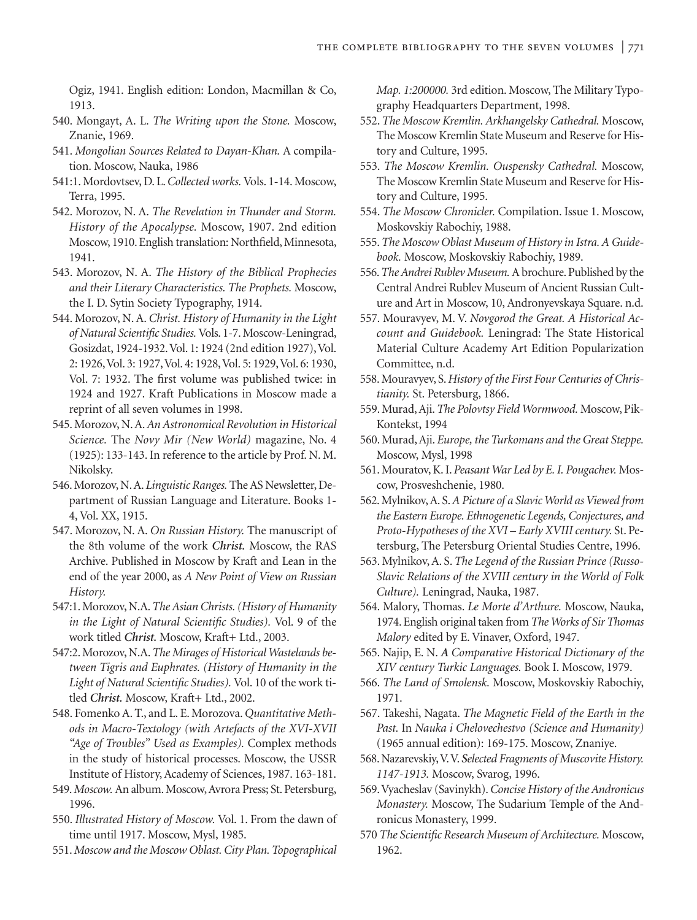Ogiz, 1941. English edition: London, Macmillan & Co, 1913.

- 540. Mongayt, A. L. *The Writing upon the Stone.* Moscow, Znanie, 1969.
- 541. *Mongolian Sources Related to Dayan-Khan.* A compilation. Moscow, Nauka, 1986
- 541:1. Mordovtsev, D. L.*Collected works.* Vols. 1-14. Moscow, Terra, 1995.
- 542. Morozov, N. A. *The Revelation in Thunder and Storm. History of the Apocalypse.* Moscow, 1907. 2nd edition Moscow, 1910. English translation: Northfield, Minnesota, 1941.
- 543. Morozov, N. A. *The History of the Biblical Prophecies and their Literary Characteristics. The Prophets.* Moscow, the I. D. Sytin Society Typography, 1914.
- 544. Morozov, N. A. *Christ. History of Humanity in the Light of Natural Scientific Studies.*Vols. 1-7. Moscow-Leningrad, Gosizdat, 1924-1932.Vol. 1: 1924 (2nd edition 1927),Vol. 2: 1926,Vol. 3: 1927,Vol. 4: 1928,Vol. 5: 1929,Vol. 6: 1930, Vol. 7: 1932. The first volume was published twice: in 1924 and 1927. Kraft Publications in Moscow made a reprint of all seven volumes in 1998.
- 545. Morozov, N. A.*An Astronomical Revolution in Historical Science.* The *Novy Mir (New World)* magazine, No. 4 (1925): 133-143. In reference to the article by Prof. N. M. Nikolsky.
- 546. Morozov, N. A. *Linguistic Ranges.* The AS Newsletter, Department of Russian Language and Literature. Books 1- 4, Vol. XX, 1915.
- 547. Morozov, N. A. *On Russian History.* The manuscript of the 8th volume of the work *Christ.* Moscow, the RAS Archive. Published in Moscow by Kraft and Lean in the end of the year 2000, as *A New Point of View on Russian History.*
- 547:1. Morozov, N.A.*The Asian Christs. (History of Humanity in the Light of Natural Scientific Studies).* Vol. 9 of the work titled *Christ.* Moscow, Kraft+ Ltd., 2003.
- 547:2. Morozov, N.A.*The Mirages of Historical Wastelands between Tigris and Euphrates. (History of Humanity in the Light of Natural Scientific Studies).* Vol. 10 of the work titled *Christ.* Moscow, Kraft+ Ltd., 2002.
- 548. Fomenko A. T., and L. E. Morozova. *Quantitative Methods in Macro-Textology (with Artefacts of the XVI-XVII "Age of Troubles" Used as Examples).* Complex methods in the study of historical processes. Moscow, the USSR Institute of History, Academy of Sciences, 1987. 163-181.
- 549.*Moscow.*An album. Moscow,Avrora Press; St. Petersburg, 1996.
- 550. *Illustrated History of Moscow.* Vol. 1. From the dawn of time until 1917. Moscow, Mysl, 1985.
- 551.*Moscow and the Moscow Oblast. City Plan. Topographical*

*Map. 1:200000.* 3rd edition. Moscow, The Military Typography Headquarters Department, 1998.

- 552. *The Moscow Kremlin. Arkhangelsky Cathedral.* Moscow, The Moscow Kremlin State Museum and Reserve for History and Culture, 1995.
- 553. *The Moscow Kremlin. Ouspensky Cathedral.* Moscow, The Moscow Kremlin State Museum and Reserve for History and Culture, 1995.
- 554. *The Moscow Chronicler.* Compilation. Issue 1. Moscow, Moskovskiy Rabochiy, 1988.
- 555.*The Moscow Oblast Museum of History in Istra. A Guidebook.* Moscow, Moskovskiy Rabochiy, 1989.
- 556.*The Andrei Rublev Museum.*A brochure. Published by the Central Andrei Rublev Museum of Ancient Russian Culture and Art in Moscow, 10, Andronyevskaya Square. n.d.
- 557. Mouravyev, M. V. *Novgorod the Great. A Historical Account and Guidebook.* Leningrad: The State Historical Material Culture Academy Art Edition Popularization Committee, n.d.
- 558. Mouravyev, S.*History of the First Four Centuries of Christianity.* St. Petersburg, 1866.
- 559. Murad, Aji.*The Polovtsy Field Wormwood.* Moscow, Pik-Kontekst, 1994
- 560. Murad, Aji. *Europe, the Turkomans and the Great Steppe.* Moscow, Mysl, 1998
- 561. Mouratov, K. I. *Peasant War Led by E. I. Pougachev.* Moscow, Prosveshchenie, 1980.
- 562. Mylnikov, A. S.*A Picture of a Slavic World as Viewed from the Eastern Europe. Ethnogenetic Legends, Conjectures, and Proto-Hypotheses of the XVI – Early XVIII century.* St. Petersburg, The Petersburg Oriental Studies Centre, 1996.
- 563. Mylnikov, A. S. *The Legend of the Russian Prince (Russo-Slavic Relations of the XVIII century in the World of Folk Culture).* Leningrad, Nauka, 1987.
- 564. Malory, Thomas. *Le Morte d'Arthure.* Moscow, Nauka, 1974. English original taken from *The Works of Sir Thomas Malory* edited by E. Vinaver, Oxford, 1947.
- 565. Najip, E. N. *A Comparative Historical Dictionary of the XIV century Turkic Languages.* Book I. Moscow, 1979.
- 566. *The Land of Smolensk.* Moscow, Moskovskiy Rabochiy, 1971.
- 567. Takeshi, Nagata. *The Magnetic Field of the Earth in the Past.* In *Nauka i Chelovechestvo (Science and Humanity)* (1965 annual edition): 169-175. Moscow, Znaniye.
- 568. Nazarevskiy,V.V. *Selected Fragments of Muscovite History. 1147-1913.* Moscow, Svarog, 1996.
- 569.Vyacheslav (Savinykh).*Concise History of the Andronicus Monastery.* Moscow, The Sudarium Temple of the Andronicus Monastery, 1999.
- 570 *The Scientific Research Museum of Architecture.* Moscow, 1962.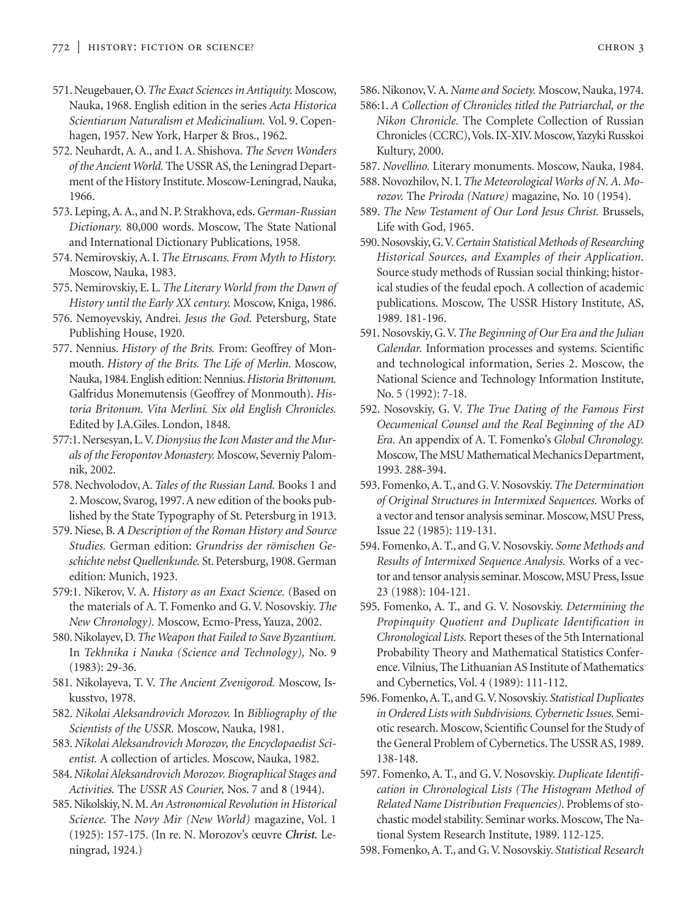- 571. Neugebauer, O.*The Exact Sciences in Antiquity.* Moscow, Nauka, 1968. English edition in the series *Acta Historica Scientiarum Naturalism et Medicinalium.* Vol. 9. Copenhagen, 1957. New York, Harper & Bros., 1962.
- 572. Neuhardt, A. A., and I. A. Shishova. *The Seven Wonders of the Ancient World.* The USSR AS, the Leningrad Department of the History Institute. Moscow-Leningrad, Nauka, 1966.
- 573. Leping, A. A., and N. P. Strakhova, eds.*German-Russian Dictionary.* 80,000 words. Moscow, The State National and International Dictionary Publications, 1958.
- 574. Nemirovskiy, A. I. *The Etruscans. From Myth to History.* Moscow, Nauka, 1983.
- 575. Nemirovskiy, E. L. *The Literary World from the Dawn of History until the Early XX century.* Moscow, Kniga, 1986.
- 576. Nemoyevskiy, Andrei. *Jesus the God.* Petersburg, State Publishing House, 1920.
- 577. Nennius. *History of the Brits.* From: Geoffrey of Monmouth. *History of the Brits. The Life of Merlin.* Moscow, Nauka, 1984. English edition: Nennius.*Historia Brittonum.* Galfridus Monemutensis (Geoffrey of Monmouth). *Historia Britonum. Vita Merlini. Six old English Chronicles.* Edited by J.A.Giles. London, 1848.
- 577:1. Nersesyan, L.V.*Dionysius the Icon Master and the Murals of the Feropontov Monastery.* Moscow, Severniy Palomnik, 2002.
- 578. Nechvolodov, A. *Tales of the Russian Land.* Books 1 and 2. Moscow, Svarog, 1997. A new edition of the books published by the State Typography of St. Petersburg in 1913.
- 579. Niese, B. *A Description of the Roman History and Source Studies.* German edition: *Grundriss der römischen Geschichte nebst Quellenkunde.* St. Petersburg, 1908. German edition: Munich, 1923.
- 579:1. Nikerov, V. A. *History as an Exact Science.* (Based on the materials of A. T. Fomenko and G. V. Nosovskiy. *The New Chronology).* Moscow, Ecmo-Press, Yauza, 2002.
- 580. Nikolayev, D.*The Weapon that Failed to Save Byzantium.* In *Tekhnika i Nauka (Science and Technology),* No. 9 (1983): 29-36.
- 581. Nikolayeva, T. V. *The Ancient Zvenigorod.* Moscow, Iskusstvo, 1978.
- 582. *Nikolai Aleksandrovich Morozov.* In *Bibliography of the Scientists of the USSR.* Moscow, Nauka, 1981.
- 583. *Nikolai Aleksandrovich Morozov, the Encyclopaedist Scientist.* A collection of articles. Moscow, Nauka, 1982.
- 584.*Nikolai Aleksandrovich Morozov. Biographical Stages and Activities.* The *USSR AS Courier,* Nos. 7 and 8 (1944).
- 585. Nikolskiy, N. M.*An Astronomical Revolution in Historical Science.* The *Novy Mir (New World)* magazine, Vol. 1 (1925): 157-175. (In re. N. Morozov's œuvre *Christ.* Leningrad, 1924.)

586. Nikonov,V. A. *Name and Society.* Moscow, Nauka, 1974.

- 586:1. *A Collection of Chronicles titled the Patriarchal, or the Nikon Chronicle.* The Complete Collection of Russian Chronicles (CCRC),Vols. IX-XIV. Moscow,Yazyki Russkoi Kultury, 2000.
- 587. *Novellino.* Literary monuments. Moscow, Nauka, 1984.
- 588. Novozhilov, N. I. *The Meteorological Works of N. A. Morozov.* The *Priroda (Nature)* magazine, No. 10 (1954).
- 589. *The New Testament of Our Lord Jesus Christ.* Brussels, Life with God, 1965.
- 590. Nosovskiy, G.V.*Certain Statistical Methods of Researching Historical Sources, and Examples of their Application.* Source study methods of Russian social thinking; historical studies of the feudal epoch. A collection of academic publications. Moscow, The USSR History Institute, AS, 1989. 181-196.
- 591. Nosovskiy, G.V.*The Beginning of Our Era and the Julian Calendar.* Information processes and systems. Scientific and technological information, Series 2. Moscow, the National Science and Technology Information Institute, No. 5 (1992): 7-18.
- 592. Nosovskiy, G. V. *The True Dating of the Famous First Oecumenical Counsel and the Real Beginning of the AD Era.* An appendix of A. T. Fomenko's *Global Chronology.* Moscow, The MSU Mathematical Mechanics Department, 1993. 288-394.
- 593. Fomenko, A. T., and G.V. Nosovskiy.*The Determination of Original Structures in Intermixed Sequences.* Works of a vector and tensor analysis seminar. Moscow, MSU Press, Issue 22 (1985): 119-131.
- 594. Fomenko, A. T., and G. V. Nosovskiy. *Some Methods and Results of Intermixed Sequence Analysis.* Works of a vector and tensor analysis seminar. Moscow, MSU Press, Issue 23 (1988): 104-121.
- 595. Fomenko, A. T., and G. V. Nosovskiy. *Determining the Propinquity Quotient and Duplicate Identification in Chronological Lists.* Report theses of the 5th International Probability Theory and Mathematical Statistics Conference.Vilnius, The Lithuanian AS Institute of Mathematics and Cybernetics, Vol. 4 (1989): 111-112.
- 596. Fomenko,A. T., and G.V. Nosovskiy. *Statistical Duplicates in Ordered Lists with Subdivisions. Cybernetic Issues.* Semiotic research. Moscow, Scientific Counsel for the Study of the General Problem of Cybernetics. The USSR AS, 1989. 138-148.
- 597. Fomenko, A. T., and G. V. Nosovskiy. *Duplicate Identification in Chronological Lists (The Histogram Method of Related Name Distribution Frequencies).* Problems of stochastic model stability. Seminar works. Moscow, The National System Research Institute, 1989. 112-125.
- 598. Fomenko, A. T., and G. V. Nosovskiy. *Statistical Research*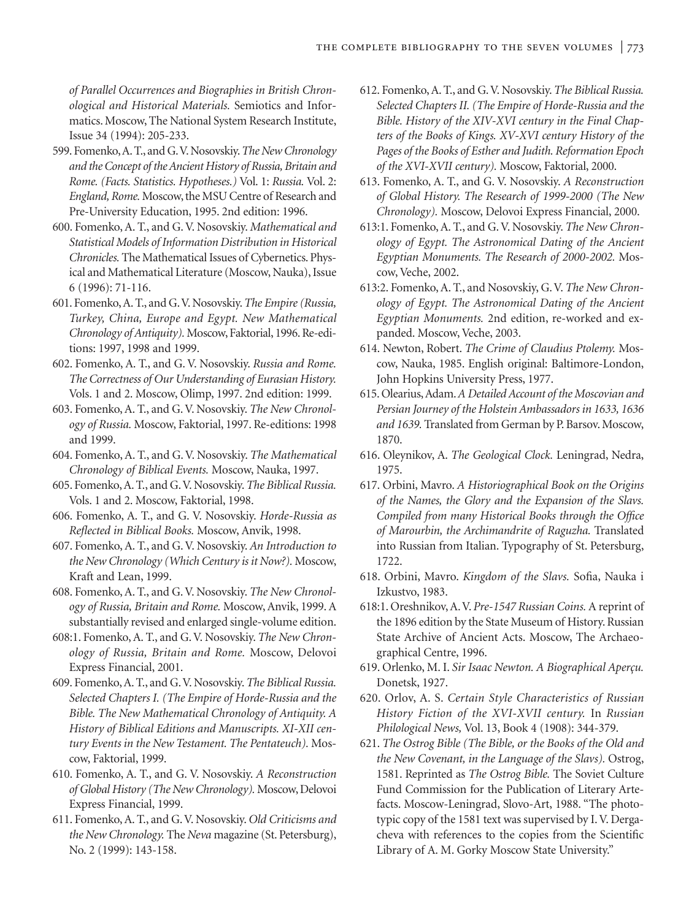*of Parallel Occurrences and Biographies in British Chronological and Historical Materials.* Semiotics and Informatics. Moscow, The National System Research Institute, Issue 34 (1994): 205-233.

- 599. Fomenko,A. T., and G.V. Nosovskiy.*The New Chronology and the Concept of the Ancient History of Russia, Britain and Rome. (Facts. Statistics. Hypotheses.)* Vol. 1: *Russia.* Vol. 2: *England, Rome.* Moscow, the MSU Centre of Research and Pre-University Education, 1995. 2nd edition: 1996.
- 600. Fomenko, A. T., and G. V. Nosovskiy. *Mathematical and Statistical Models of Information Distribution in Historical Chronicles.* The Mathematical Issues of Cybernetics. Physical and Mathematical Literature (Moscow, Nauka), Issue 6 (1996): 71-116.
- 601. Fomenko, A. T., and G.V. Nosovskiy.*The Empire (Russia, Turkey, China, Europe and Egypt. New Mathematical Chronology of Antiquity).* Moscow, Faktorial, 1996. Re-editions: 1997, 1998 and 1999.
- 602. Fomenko, A. T., and G. V. Nosovskiy. *Russia and Rome. The Correctness of Our Understanding of Eurasian History.* Vols. 1 and 2. Moscow, Olimp, 1997. 2nd edition: 1999.
- 603. Fomenko, A. T., and G. V. Nosovskiy. *The New Chronology of Russia.* Moscow, Faktorial, 1997. Re-editions: 1998 and 1999.
- 604. Fomenko, A. T., and G. V. Nosovskiy. *The Mathematical Chronology of Biblical Events.* Moscow, Nauka, 1997.
- 605. Fomenko, A. T., and G.V. Nosovskiy.*The Biblical Russia.* Vols. 1 and 2. Moscow, Faktorial, 1998.
- 606. Fomenko, A. T., and G. V. Nosovskiy. *Horde-Russia as Reflected in Biblical Books.* Moscow, Anvik, 1998.
- 607. Fomenko, A. T., and G. V. Nosovskiy. *An Introduction to the New Chronology (Which Century is it Now?).* Moscow, Kraft and Lean, 1999.
- 608. Fomenko, A. T., and G. V. Nosovskiy. *The New Chronology of Russia, Britain and Rome.* Moscow, Anvik, 1999. A substantially revised and enlarged single-volume edition.
- 608:1. Fomenko, A. T., and G. V. Nosovskiy. *The New Chronology of Russia, Britain and Rome.* Moscow, Delovoi Express Financial, 2001.
- 609. Fomenko, A. T., and G.V. Nosovskiy.*The Biblical Russia. Selected Chapters I. (The Empire of Horde-Russia and the Bible. The New Mathematical Chronology of Antiquity. A History of Biblical Editions and Manuscripts. XI-XII century Events in the New Testament. The Pentateuch).* Moscow, Faktorial, 1999.
- 610. Fomenko, A. T., and G. V. Nosovskiy. *A Reconstruction of Global History (The New Chronology).* Moscow, Delovoi Express Financial, 1999.
- 611. Fomenko, A. T., and G. V. Nosovskiy. *Old Criticisms and the New Chronology.* The *Neva* magazine (St. Petersburg), No. 2 (1999): 143-158.
- 612. Fomenko, A. T., and G. V. Nosovskiy. *The Biblical Russia. Selected Chapters II. (The Empire of Horde-Russia and the Bible. History of the XIV-XVI century in the Final Chapters of the Books of Kings. XV-XVI century History of the Pages of the Books of Esther and Judith. Reformation Epoch of the XVI-XVII century).* Moscow, Faktorial, 2000.
- 613. Fomenko, A. T., and G. V. Nosovskiy. *A Reconstruction of Global History. The Research of 1999-2000 (The New Chronology).* Moscow, Delovoi Express Financial, 2000.
- 613:1. Fomenko, A. T., and G. V. Nosovskiy. *The New Chronology of Egypt. The Astronomical Dating of the Ancient Egyptian Monuments. The Research of 2000-2002.* Moscow, Veche, 2002.
- 613:2. Fomenko, A. T., and Nosovskiy, G. V. *The New Chronology of Egypt. The Astronomical Dating of the Ancient Egyptian Monuments.* 2nd edition, re-worked and expanded. Moscow, Veche, 2003.
- 614. Newton, Robert. *The Crime of Claudius Ptolemy.* Moscow, Nauka, 1985. English original: Baltimore-London, John Hopkins University Press, 1977.
- 615. Olearius, Adam.*A Detailed Account of the Moscovian and Persian Journey of the Holstein Ambassadors in 1633, 1636 and 1639.* Translated from German by P. Barsov. Moscow, 1870.
- 616. Oleynikov, A. *The Geological Clock.* Leningrad, Nedra, 1975.
- 617. Orbini, Mavro. *A Historiographical Book on the Origins of the Names, the Glory and the Expansion of the Slavs. Compiled from many Historical Books through the Office of Marourbin, the Archimandrite of Raguzha.* Translated into Russian from Italian. Typography of St. Petersburg, 1722.
- 618. Orbini, Mavro. *Kingdom of the Slavs.* Sofia, Nauka i Izkustvo, 1983.
- 618:1. Oreshnikov, A. V. *Pre-1547 Russian Coins.* A reprint of the 1896 edition by the State Museum of History. Russian State Archive of Ancient Acts. Moscow, The Archaeographical Centre, 1996.
- 619. Orlenko, M. I. *Sir Isaac Newton. A Biographical Aperçu.* Donetsk, 1927.
- 620. Orlov, A. S. *Certain Style Characteristics of Russian History Fiction of the XVI-XVII century.* In *Russian Philological News,* Vol. 13, Book 4 (1908): 344-379.
- 621. *The Ostrog Bible (The Bible, or the Books of the Old and the New Covenant, in the Language of the Slavs).* Ostrog, 1581. Reprinted as *The Ostrog Bible.* The Soviet Culture Fund Commission for the Publication of Literary Artefacts. Moscow-Leningrad, Slovo-Art, 1988. "The phototypic copy of the 1581 text was supervised by I. V. Dergacheva with references to the copies from the Scientific Library of A. M. Gorky Moscow State University."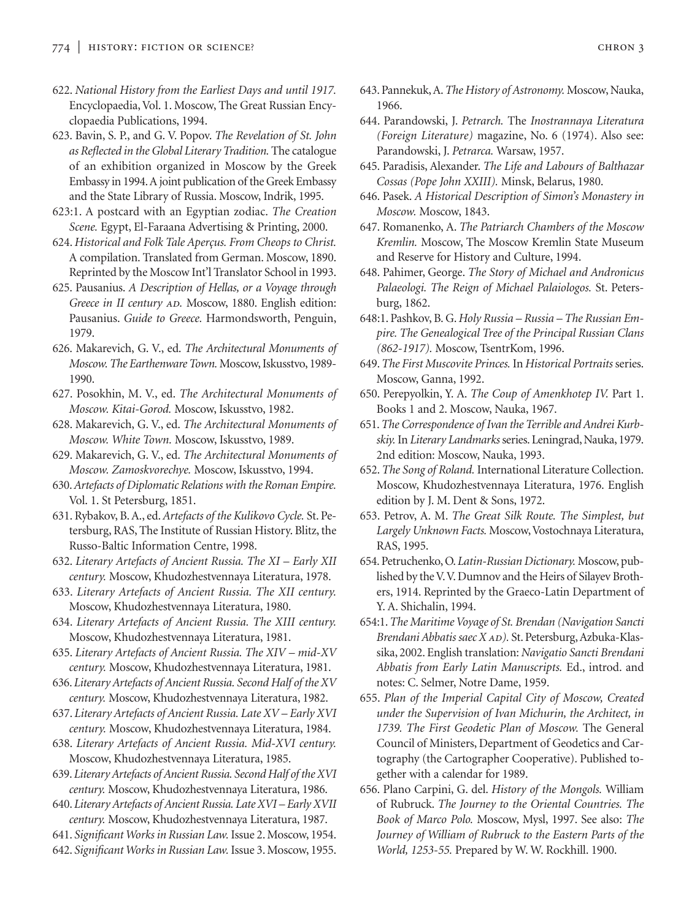- 622. *National History from the Earliest Days and until 1917.* Encyclopaedia, Vol. 1. Moscow, The Great Russian Encyclopaedia Publications, 1994.
- 623. Bavin, S. P., and G. V. Popov. *The Revelation of St. John as Reflected in the Global Literary Tradition.* The catalogue of an exhibition organized in Moscow by the Greek Embassy in 1994.A joint publication of the Greek Embassy and the State Library of Russia. Moscow, Indrik, 1995.
- 623:1. A postcard with an Egyptian zodiac. *The Creation Scene.* Egypt, El-Faraana Advertising & Printing, 2000.
- 624. *Historical and Folk Tale Aperçus. From Cheops to Christ.* A compilation. Translated from German. Moscow, 1890. Reprinted by the Moscow Int'l Translator School in 1993.
- 625. Pausanius. *A Description of Hellas, or a Voyage through Greece in II century AD. Moscow, 1880. English edition:* Pausanius. *Guide to Greece.* Harmondsworth, Penguin, 1979.
- 626. Makarevich, G. V., ed. *The Architectural Monuments of Moscow. The Earthenware Town.* Moscow, Iskusstvo, 1989- 1990.
- 627. Posokhin, M. V., ed. *The Architectural Monuments of Moscow. Kitai-Gorod.* Moscow, Iskusstvo, 1982.
- 628. Makarevich, G. V., ed. *The Architectural Monuments of Moscow. White Town.* Moscow, Iskusstvo, 1989.
- 629. Makarevich, G. V., ed. *The Architectural Monuments of Moscow. Zamoskvorechye.* Moscow, Iskusstvo, 1994.
- 630.*Artefacts of Diplomatic Relations with the Roman Empire.* Vol. 1. St Petersburg, 1851.
- 631. Rybakov, B. A., ed.*Artefacts of the Kulikovo Cycle.* St. Petersburg, RAS, The Institute of Russian History. Blitz, the Russo-Baltic Information Centre, 1998.
- 632. *Literary Artefacts of Ancient Russia. The XI Early XII century.* Moscow, Khudozhestvennaya Literatura, 1978.
- 633. *Literary Artefacts of Ancient Russia. The XII century.* Moscow, Khudozhestvennaya Literatura, 1980.
- 634. *Literary Artefacts of Ancient Russia. The XIII century.* Moscow, Khudozhestvennaya Literatura, 1981.
- 635. *Literary Artefacts of Ancient Russia. The XIV mid-XV century.* Moscow, Khudozhestvennaya Literatura, 1981.
- 636. *Literary Artefacts of Ancient Russia. Second Half of the XV century.* Moscow, Khudozhestvennaya Literatura, 1982.
- 637. *Literary Artefacts of Ancient Russia. Late XV Early XVI century.* Moscow, Khudozhestvennaya Literatura, 1984.
- 638. *Literary Artefacts of Ancient Russia. Mid-XVI century.* Moscow, Khudozhestvennaya Literatura, 1985.
- 639. *Literary Artefacts of Ancient Russia. Second Half of the XVI century.* Moscow, Khudozhestvennaya Literatura, 1986.
- 640. *Literary Artefacts of Ancient Russia. Late XVI Early XVII century.* Moscow, Khudozhestvennaya Literatura, 1987.
- 641. *Significant Works in Russian Law.* Issue 2. Moscow, 1954.
- 642. *Significant Works in Russian Law.* Issue 3. Moscow, 1955.
- 643. Pannekuk, A.*The History of Astronomy.* Moscow, Nauka, 1966.
- 644. Parandowski, J. *Petrarch.* The *Inostrannaya Literatura (Foreign Literature)* magazine, No. 6 (1974). Also see: Parandowski, J. *Petrarca.* Warsaw, 1957.
- 645. Paradisis, Alexander. *The Life and Labours of Balthazar Cossas (Pope John XXIII).* Minsk, Belarus, 1980.
- 646. Pasek. *A Historical Description of Simon's Monastery in Moscow.* Moscow, 1843.
- 647. Romanenko, A. *The Patriarch Chambers of the Moscow Kremlin.* Moscow, The Moscow Kremlin State Museum and Reserve for History and Culture, 1994.
- 648. Pahimer, George. *The Story of Michael and Andronicus Palaeologi. The Reign of Michael Palaiologos.* St. Petersburg, 1862.
- 648:1. Pashkov, B. G. *Holy Russia Russia The Russian Empire. The Genealogical Tree of the Principal Russian Clans (862-1917).* Moscow, TsentrKom, 1996.
- 649.*The First Muscovite Princes.* In *Historical Portraits* series. Moscow, Ganna, 1992.
- 650. Perepyolkin, Y. A. *The Coup of Amenkhotep IV.* Part 1. Books 1 and 2. Moscow, Nauka, 1967.
- 651.*The Correspondence of Ivan the Terrible and Andrei Kurbskiy.*In *Literary Landmarks* series. Leningrad, Nauka, 1979. 2nd edition: Moscow, Nauka, 1993.
- 652. *The Song of Roland.* International Literature Collection. Moscow, Khudozhestvennaya Literatura, 1976. English edition by J. M. Dent & Sons, 1972.
- 653. Petrov, A. M. *The Great Silk Route. The Simplest, but Largely Unknown Facts.* Moscow,Vostochnaya Literatura, RAS, 1995.
- 654. Petruchenko, O. *Latin-Russian Dictionary.* Moscow, published by the V.V. Dumnov and the Heirs of Silayev Brothers, 1914. Reprinted by the Graeco-Latin Department of Y. A. Shichalin, 1994.
- 654:1.*The Maritime Voyage of St. Brendan (Navigation Sancti Brendani Abbatis saec X ad).* St. Petersburg, Azbuka-Klassika, 2002. English translation: *Navigatio Sancti Brendani Abbatis from Early Latin Manuscripts.* Ed., introd. and notes: C. Selmer, Notre Dame, 1959.
- 655. *Plan of the Imperial Capital City of Moscow, Created under the Supervision of Ivan Michurin, the Architect, in 1739. The First Geodetic Plan of Moscow.* The General Council of Ministers, Department of Geodetics and Cartography (the Cartographer Cooperative). Published together with a calendar for 1989.
- 656. Plano Carpini, G. del. *History of the Mongols.* William of Rubruck. *The Journey to the Oriental Countries. The Book of Marco Polo.* Moscow, Mysl, 1997. See also: *The Journey of William of Rubruck to the Eastern Parts of the World, 1253-55.* Prepared by W. W. Rockhill. 1900.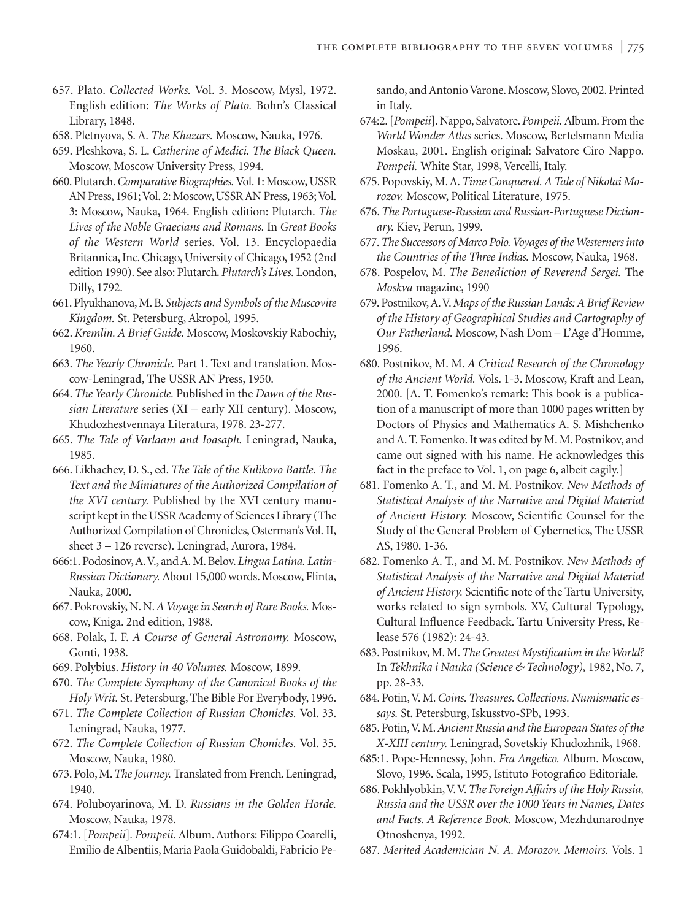- 657. Plato. *Collected Works.* Vol. 3. Moscow, Mysl, 1972. English edition: *The Works of Plato.* Bohn's Classical Library, 1848.
- 658. Pletnyova, S. A. *The Khazars.* Moscow, Nauka, 1976.
- 659. Pleshkova, S. L. *Catherine of Medici. The Black Queen.* Moscow, Moscow University Press, 1994.
- 660. Plutarch.*Comparative Biographies.*Vol. 1: Moscow, USSR AN Press, 1961; Vol. 2: Moscow, USSR AN Press, 1963; Vol. 3: Moscow, Nauka, 1964. English edition: Plutarch. *The Lives of the Noble Graecians and Romans.* In *Great Books of the Western World* series. Vol. 13. Encyclopaedia Britannica, Inc. Chicago, University of Chicago, 1952 (2nd edition 1990). See also: Plutarch*. Plutarch's Lives.* London, Dilly, 1792.
- 661. Plyukhanova, M. B. *Subjects and Symbols of the Muscovite Kingdom.* St. Petersburg, Akropol, 1995.
- 662. *Kremlin. A Brief Guide.* Moscow, Moskovskiy Rabochiy, 1960.
- 663. *The Yearly Chronicle.* Part 1. Text and translation. Moscow-Leningrad, The USSR AN Press, 1950.
- 664. *The Yearly Chronicle.* Published in the *Dawn of the Russian Literature* series (XI – early XII century). Moscow, Khudozhestvennaya Literatura, 1978. 23-277.
- 665. *The Tale of Varlaam and Ioasaph.* Leningrad, Nauka, 1985.
- 666. Likhachev, D. S., ed. *The Tale of the Kulikovo Battle. The Text and the Miniatures of the Authorized Compilation of the XVI century.* Published by the XVI century manuscript kept in the USSR Academy of Sciences Library (The Authorized Compilation of Chronicles, Osterman's Vol. II, sheet 3 – 126 reverse). Leningrad, Aurora, 1984.
- 666:1. Podosinov, A.V., and A. M. Belov. *Lingua Latina. Latin-Russian Dictionary.* About 15,000 words. Moscow, Flinta, Nauka, 2000.
- 667. Pokrovskiy, N. N.*A Voyage in Search of Rare Books.* Moscow, Kniga. 2nd edition, 1988.
- 668. Polak, I. F. *A Course of General Astronomy.* Moscow, Gonti, 1938.
- 669. Polybius. *History in 40 Volumes.* Moscow, 1899.
- 670. *The Complete Symphony of the Canonical Books of the Holy Writ.* St. Petersburg, The Bible For Everybody, 1996.
- 671. *The Complete Collection of Russian Chonicles.* Vol. 33. Leningrad, Nauka, 1977.
- 672. *The Complete Collection of Russian Chonicles.* Vol. 35. Moscow, Nauka, 1980.
- 673. Polo, M.*The Journey.* Translated from French. Leningrad, 1940.
- 674. Poluboyarinova, M. D. *Russians in the Golden Horde.* Moscow, Nauka, 1978.
- 674:1. [*Pompeii*]*. Pompeii.* Album. Authors: Filippo Coarelli, Emilio de Albentiis, Maria Paola Guidobaldi, Fabricio Pe-

sando, and Antonio Varone. Moscow, Slovo, 2002. Printed in Italy.

- 674:2. [*Pompeii*]. Nappo, Salvatore.*Pompeii.*Album. From the *World Wonder Atlas* series. Moscow, Bertelsmann Media Moskau, 2001. English original: Salvatore Ciro Nappo. *Pompeii.* White Star, 1998, Vercelli, Italy.
- 675. Popovskiy, M. A.*Time Conquered. A Tale of Nikolai Morozov.* Moscow, Political Literature, 1975.
- 676.*The Portuguese-Russian and Russian-Portuguese Dictionary.* Kiev, Perun, 1999.
- 677.*The Successors of Marco Polo. Voyages of the Westerners into the Countries of the Three Indias.* Moscow, Nauka, 1968.
- 678. Pospelov, M. *The Benediction of Reverend Sergei.* The *Moskva* magazine, 1990
- 679. Postnikov,A.V.*Maps of the Russian Lands: A Brief Review of the History of Geographical Studies and Cartography of Our Fatherland.* Moscow, Nash Dom – L'Age d'Homme, 1996.
- 680. Postnikov, M. M. *A Critical Research of the Chronology of the Ancient World.* Vols. 1-3. Moscow, Kraft and Lean, 2000. [A. T. Fomenko's remark: This book is a publication of a manuscript of more than 1000 pages written by Doctors of Physics and Mathematics A. S. Mishchenko and A. T. Fomenko. It was edited by M. M. Postnikov, and came out signed with his name. He acknowledges this fact in the preface to Vol. 1, on page 6, albeit cagily.]
- 681. Fomenko A. T., and M. M. Postnikov. *New Methods of Statistical Analysis of the Narrative and Digital Material of Ancient History.* Moscow, Scientific Counsel for the Study of the General Problem of Cybernetics, The USSR AS, 1980. 1-36.
- 682. Fomenko A. T., and M. M. Postnikov. *New Methods of Statistical Analysis of the Narrative and Digital Material of Ancient History.* Scientific note of the Tartu University, works related to sign symbols. XV, Cultural Typology, Cultural Influence Feedback. Tartu University Press, Release 576 (1982): 24-43.
- 683. Postnikov, M. M.*The Greatest Mystification in the World?* In *Tekhnika i Nauka (Science & Technology),* 1982, No. 7, pp. 28-33*.*
- 684. Potin,V. M.*Coins. Treasures. Collections. Numismatic essays.* St. Petersburg, Iskusstvo-SPb, 1993.
- 685. Potin,V. M.*Ancient Russia and the European States of the X-XIII century.* Leningrad, Sovetskiy Khudozhnik, 1968.
- 685:1. Pope-Hennessy, John. *Fra Angelico.* Album. Moscow, Slovo, 1996. Scala, 1995, Istituto Fotografico Editoriale.
- 686. Pokhlyobkin,V.V.*The Foreign Affairs of the Holy Russia, Russia and the USSR over the 1000 Years in Names, Dates and Facts. A Reference Book.* Moscow, Mezhdunarodnye Otnoshenya, 1992.
- 687. *Merited Academician N. A. Morozov. Memoirs.* Vols. 1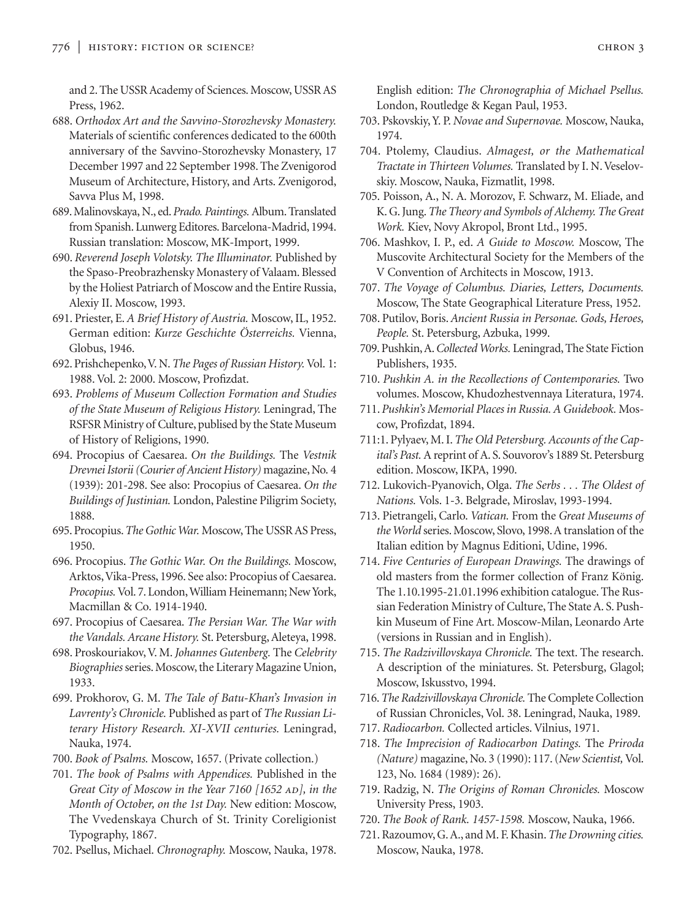and 2. The USSR Academy of Sciences. Moscow, USSR AS Press, 1962.

688. *Orthodox Art and the Savvino-Storozhevsky Monastery.* Materials of scientific conferences dedicated to the 600th anniversary of the Savvino-Storozhevsky Monastery, 17 December 1997 and 22 September 1998. The Zvenigorod Museum of Architecture, History, and Arts. Zvenigorod, Savva Plus M, 1998.

689. Malinovskaya, N., ed.*Prado. Paintings.*Album. Translated from Spanish. Lunwerg Editores. Barcelona-Madrid, 1994. Russian translation: Moscow, MK-Import, 1999.

690. *Reverend Joseph Volotsky. The Illuminator.* Published by the Spaso-Preobrazhensky Monastery of Valaam. Blessed by the Holiest Patriarch of Moscow and the Entire Russia, Alexiy II. Moscow, 1993.

691. Priester, E. *A Brief History of Austria.* Moscow, IL, 1952. German edition: *Kurze Geschichte Österreichs.* Vienna, Globus, 1946.

692. Prishchepenko,V. N.*The Pages of Russian History.*Vol. 1: 1988. Vol. 2: 2000. Moscow, Profizdat.

693. *Problems of Museum Collection Formation and Studies of the State Museum of Religious History.* Leningrad, The RSFSR Ministry of Culture, publised by the State Museum of History of Religions, 1990.

694. Procopius of Caesarea. *On the Buildings.* The *Vestnik Drevnei Istorii (Courier of Ancient History)* magazine, No. 4 (1939): 201-298. See also: Procopius of Caesarea. *On the Buildings of Justinian.* London, Palestine Piligrim Society, 1888.

695. Procopius.*The Gothic War.* Moscow, The USSR AS Press, 1950.

696. Procopius. *The Gothic War. On the Buildings.* Moscow, Arktos,Vika-Press, 1996. See also: Procopius of Caesarea. *Procopius.*Vol. 7. London,William Heinemann; New York, Macmillan & Co. 1914-1940.

697. Procopius of Caesarea. *The Persian War. The War with the Vandals. Arcane History.* St. Petersburg, Aleteya, 1998.

698. Proskouriakov, V. M. *Johannes Gutenberg.* The *Celebrity Biographies* series. Moscow, the Literary Magazine Union, 1933.

699. Prokhorov, G. M. *The Tale of Batu-Khan's Invasion in Lavrenty's Chronicle.* Published as part of *The Russian Literary History Research. XI-XVII centuries.* Leningrad, Nauka, 1974.

700. *Book of Psalms.* Moscow, 1657. (Private collection.)

701. *The book of Psalms with Appendices.* Published in the *Great City of Moscow in the Year 7160 [1652 AD], in the Month of October, on the 1st Day.* New edition: Moscow, The Vvedenskaya Church of St. Trinity Coreligionist Typography, 1867.

702. Psellus, Michael. *Chronography.* Moscow, Nauka, 1978.

English edition: *The Chronographia of Michael Psellus.* London, Routledge & Kegan Paul, 1953.

- 703. Pskovskiy, Y. P. *Novae and Supernovae.* Moscow, Nauka, 1974.
- 704. Ptolemy, Claudius. *Almagest, or the Mathematical Tractate in Thirteen Volumes.* Translated by I. N. Veselovskiy. Moscow, Nauka, Fizmatlit, 1998.

705. Poisson, A., N. A. Morozov, F. Schwarz, M. Eliade, and K. G. Jung.*The Theory and Symbols of Alchemy. The Great Work.* Kiev, Novy Akropol, Bront Ltd., 1995.

706. Mashkov, I. P., ed. *A Guide to Moscow.* Moscow, The Muscovite Architectural Society for the Members of the V Convention of Architects in Moscow, 1913.

707. *The Voyage of Columbus. Diaries, Letters, Documents.* Moscow, The State Geographical Literature Press, 1952.

708. Putilov, Boris. *Ancient Russia in Personae. Gods, Heroes, People.* St. Petersburg, Azbuka, 1999.

709. Pushkin, A.*Collected Works.* Leningrad, The State Fiction Publishers, 1935.

710. *Pushkin A. in the Recollections of Contemporaries.* Two volumes. Moscow, Khudozhestvennaya Literatura, 1974.

711. *Pushkin's Memorial Places in Russia. A Guidebook.* Moscow, Profizdat, 1894.

711:1. Pylyaev, M. I.*The Old Petersburg. Accounts of the Capital's Past.* A reprint of A. S. Souvorov's 1889 St. Petersburg edition. Moscow, IKPA, 1990.

712. Lukovich-Pyanovich, Olga. *The Serbs . . . The Oldest of Nations.* Vols. 1-3. Belgrade, Miroslav, 1993-1994.

713. Pietrangeli, Carlo. *Vatican.* From the *Great Museums of the World* series. Moscow, Slovo, 1998. A translation of the Italian edition by Magnus Editioni, Udine, 1996.

714. *Five Centuries of European Drawings.* The drawings of old masters from the former collection of Franz König. The 1.10.1995-21.01.1996 exhibition catalogue. The Russian Federation Ministry of Culture, The State A. S. Pushkin Museum of Fine Art. Moscow-Milan, Leonardo Arte (versions in Russian and in English).

715. *The Radzivillovskaya Chronicle.* The text. The research. A description of the miniatures. St. Petersburg, Glagol; Moscow, Iskusstvo, 1994.

716.*The Radzivillovskaya Chronicle.* The Complete Collection of Russian Chronicles, Vol. 38. Leningrad, Nauka, 1989.

717. *Radiocarbon.* Collected articles. Vilnius, 1971.

718. *The Imprecision of Radiocarbon Datings.* The *Priroda (Nature)* magazine, No. 3 (1990): 117. (*New Scientist,* Vol. 123, No. 1684 (1989): 26).

719. Radzig, N. *The Origins of Roman Chronicles.* Moscow University Press, 1903.

720. *The Book of Rank. 1457-1598.* Moscow, Nauka, 1966.

721. Razoumov, G. A., and M. F. Khasin.*The Drowning cities.* Moscow, Nauka, 1978.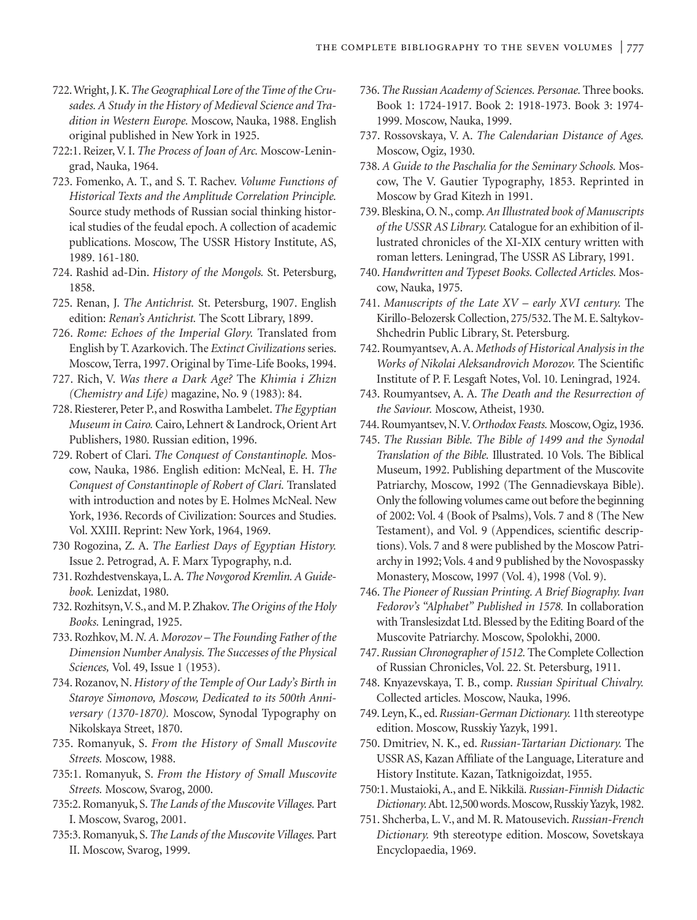- 722.Wright, J. K.*The Geographical Lore of the Time of the Crusades. A Study in the History of Medieval Science and Tradition in Western Europe.* Moscow, Nauka, 1988. English original published in New York in 1925.
- 722:1. Reizer, V. I. *The Process of Joan of Arc.* Moscow-Leningrad, Nauka, 1964.
- 723. Fomenko, A. T., and S. T. Rachev. *Volume Functions of Historical Texts and the Amplitude Correlation Principle.* Source study methods of Russian social thinking historical studies of the feudal epoch. A collection of academic publications. Moscow, The USSR History Institute, AS, 1989. 161-180.
- 724. Rashid ad-Din. *History of the Mongols.* St. Petersburg, 1858.
- 725. Renan, J. *The Antichrist.* St. Petersburg, 1907. English edition: *Renan's Antichrist.* The Scott Library, 1899.
- 726. *Rome: Echoes of the Imperial Glory.* Translated from English by T. Azarkovich. The *Extinct Civilizations* series. Moscow, Terra, 1997. Original by Time-Life Books, 1994.
- 727. Rich, V. *Was there a Dark Age?* The *Khimia i Zhizn (Chemistry and Life)* magazine, No. 9 (1983): 84.
- 728. Riesterer, Peter P., and Roswitha Lambelet.*The Egyptian Museum in Cairo.* Cairo, Lehnert & Landrock, Orient Art Publishers, 1980. Russian edition, 1996.
- 729. Robert of Clari. *The Conquest of Constantinople.* Moscow, Nauka, 1986. English edition: McNeal, E. H. *The Conquest of Constantinople of Robert of Clari.* Translated with introduction and notes by E. Holmes McNeal. New York, 1936. Records of Civilization: Sources and Studies. Vol. XXIII. Reprint: New York, 1964, 1969.
- 730 Rogozina, Z. A. *The Earliest Days of Egyptian History.* Issue 2. Petrograd, A. F. Marx Typography, n.d.
- 731. Rozhdestvenskaya, L. A.*The Novgorod Kremlin. A Guidebook.* Lenizdat, 1980.
- 732. Rozhitsyn,V. S., and M. P. Zhakov.*The Origins of the Holy Books.* Leningrad, 1925.
- 733. Rozhkov, M.*N. A. Morozov The Founding Father of the Dimension Number Analysis. The Successes of the Physical Sciences,* Vol. 49, Issue 1 (1953).
- 734. Rozanov, N. *History of the Temple of Our Lady's Birth in Staroye Simonovo, Moscow, Dedicated to its 500th Anniversary (1370-1870).* Moscow, Synodal Typography on Nikolskaya Street, 1870.
- 735. Romanyuk, S. *From the History of Small Muscovite Streets.* Moscow, 1988.
- 735:1. Romanyuk, S. *From the History of Small Muscovite Streets.* Moscow, Svarog, 2000.
- 735:2. Romanyuk, S.*The Lands of the Muscovite Villages.* Part I. Moscow, Svarog, 2001.
- 735:3. Romanyuk, S.*The Lands of the Muscovite Villages.* Part II. Moscow, Svarog, 1999.
- 736.*The Russian Academy of Sciences. Personae.* Three books. Book 1: 1724-1917. Book 2: 1918-1973. Book 3: 1974- 1999. Moscow, Nauka, 1999.
- 737. Rossovskaya, V. A. *The Calendarian Distance of Ages.* Moscow, Ogiz, 1930.
- 738. *A Guide to the Paschalia for the Seminary Schools.* Moscow, The V. Gautier Typography, 1853. Reprinted in Moscow by Grad Kitezh in 1991.
- 739. Bleskina, O. N., comp.*An Illustrated book of Manuscripts of the USSR AS Library.* Catalogue for an exhibition of illustrated chronicles of the XI-XIX century written with roman letters. Leningrad, The USSR AS Library, 1991.
- 740. *Handwritten and Typeset Books. Collected Articles.* Moscow, Nauka, 1975.
- 741. *Manuscripts of the Late XV early XVI century.* The Kirillo-Belozersk Collection, 275/532. The M. E. Saltykov-Shchedrin Public Library, St. Petersburg.
- 742. Roumyantsev, A. A. *Methods of Historical Analysis in the Works of Nikolai Aleksandrovich Morozov.* The Scientific Institute of P. F. Lesgaft Notes, Vol. 10. Leningrad, 1924.
- 743. Roumyantsev, A. A. *The Death and the Resurrection of the Saviour.* Moscow, Atheist, 1930.
- 744. Roumyantsev, N.V.*Orthodox Feasts.* Moscow, Ogiz, 1936.
- 745. *The Russian Bible. The Bible of 1499 and the Synodal Translation of the Bible.* Illustrated. 10 Vols. The Biblical Museum, 1992. Publishing department of the Muscovite Patriarchy, Moscow, 1992 (The Gennadievskaya Bible). Only the following volumes came out before the beginning of 2002: Vol. 4 (Book of Psalms), Vols. 7 and 8 (The New Testament), and Vol. 9 (Appendices, scientific descriptions). Vols. 7 and 8 were published by the Moscow Patriarchy in 1992; Vols. 4 and 9 published by the Novospassky Monastery, Moscow, 1997 (Vol. 4), 1998 (Vol. 9).
- 746. *The Pioneer of Russian Printing. A Brief Biography. Ivan Fedorov's "Alphabet" Published in 1578.* In collaboration with Translesizdat Ltd. Blessed by the Editing Board of the Muscovite Patriarchy. Moscow, Spolokhi, 2000.
- 747.*Russian Chronographer of 1512.* The Complete Collection of Russian Chronicles, Vol. 22. St. Petersburg, 1911.
- 748. Knyazevskaya, T. B., comp. *Russian Spiritual Chivalry.* Collected articles. Moscow, Nauka, 1996.
- 749. Leyn, K., ed.*Russian-German Dictionary.* 11th stereotype edition. Moscow, Russkiy Yazyk, 1991.
- 750. Dmitriev, N. K., ed. *Russian-Tartarian Dictionary.* The USSR AS, Kazan Affiliate of the Language, Literature and History Institute. Kazan, Tatknigoizdat, 1955.
- 750:1. Mustaioki, A., and E. Nikkilä. *Russian-Finnish Didactic Dictionary.*Abt. 12,500words. Moscow, Russkiy Yazyk, 1982.
- 751. Shcherba, L. V., and M. R. Matousevich. *Russian-French Dictionary.* 9th stereotype edition. Moscow, Sovetskaya Encyclopaedia, 1969.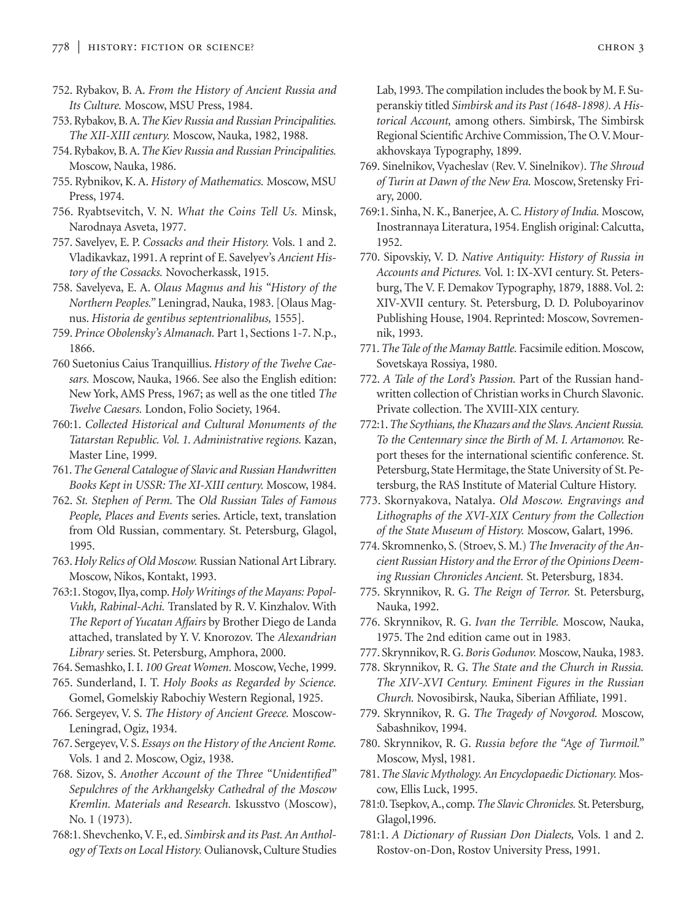- 752. Rybakov, B. A. *From the History of Ancient Russia and Its Culture.* Moscow, MSU Press, 1984.
- 753. Rybakov, B. A.*The Kiev Russia and Russian Principalities. The XII-XIII century.* Moscow, Nauka, 1982, 1988.
- 754. Rybakov, B. A.*The Kiev Russia and Russian Principalities.* Moscow, Nauka, 1986.
- 755. Rybnikov, K. A. *History of Mathematics.* Moscow, MSU Press, 1974.
- 756. Ryabtsevitch, V. N. *What the Coins Tell Us.* Minsk, Narodnaya Asveta, 1977.
- 757. Savelyev, E. P. *Cossacks and their History.* Vols. 1 and 2. Vladikavkaz, 1991. A reprint of E. Savelyev's *Ancient History of the Cossacks.* Novocherkassk, 1915.
- 758. Savelyeva, E. A. *Olaus Magnus and his "History of the Northern Peoples."* Leningrad, Nauka, 1983. [Olaus Magnus. *Historia de gentibus septentrionalibus,* 1555].
- 759. *Prince Obolensky's Almanach.* Part 1, Sections 1-7. N.p., 1866.
- 760 Suetonius Caius Tranquillius. *History of the Twelve Caesars.* Moscow, Nauka, 1966. See also the English edition: New York, AMS Press, 1967; as well as the one titled *The Twelve Caesars.* London, Folio Society, 1964.
- 760:1. *Collected Historical and Cultural Monuments of the Tatarstan Republic. Vol. 1. Administrative regions.* Kazan, Master Line, 1999.
- 761.*The General Catalogue of Slavic and Russian Handwritten Books Kept in USSR: The XI-XIII century.* Moscow, 1984.
- 762. *St. Stephen of Perm.* The *Old Russian Tales of Famous People, Places and Events* series. Article, text, translation from Old Russian, commentary. St. Petersburg, Glagol, 1995.
- 763.*Holy Relics of Old Moscow.* Russian National Art Library. Moscow, Nikos, Kontakt, 1993.
- 763:1. Stogov, Ilya, comp.*Holy Writings of the Mayans: Popol-Vukh, Rabinal-Achi.* Translated by R. V. Kinzhalov. With *The Report of Yucatan Affairs* by Brother Diego de Landa attached, translated by Y. V. Knorozov. The *Alexandrian Library* series. St. Petersburg, Amphora, 2000.
- 764. Semashko, I. I. *100 Great Women.* Moscow, Veche, 1999.
- 765. Sunderland, I. T. *Holy Books as Regarded by Science.* Gomel, Gomelskiy Rabochiy Western Regional, 1925.
- 766. Sergeyev, V. S. *The History of Ancient Greece.* Moscow-Leningrad, Ogiz, 1934.
- 767. Sergeyev, V. S. *Essays on the History of the Ancient Rome.* Vols. 1 and 2. Moscow, Ogiz, 1938.
- 768. Sizov, S. *Another Account of the Three "Unidentified" Sepulchres of the Arkhangelsky Cathedral of the Moscow Kremlin. Materials and Research.* Iskusstvo (Moscow), No. 1 (1973).
- 768:1. Shevchenko, V. F., ed. *Simbirsk and its Past. An Anthology of Texts on Local History.* Oulianovsk, Culture Studies

Lab, 1993. The compilation includes the book by M. F. Superanskiy titled *Simbirsk and its Past (1648-1898). A Historical Account,* among others. Simbirsk, The Simbirsk Regional Scientific Archive Commission, The O.V. Mourakhovskaya Typography, 1899.

- 769. Sinelnikov, Vyacheslav (Rev. V. Sinelnikov). *The Shroud of Turin at Dawn of the New Era.* Moscow, Sretensky Friary, 2000.
- 769:1. Sinha, N. K., Banerjee, A. C. *History of India.* Moscow, Inostrannaya Literatura, 1954. English original: Calcutta, 1952.
- 770. Sipovskiy, V. D. *Native Antiquity: History of Russia in Accounts and Pictures.* Vol. 1: IX-XVI century. St. Petersburg, The V. F. Demakov Typography, 1879, 1888. Vol. 2: XIV-XVII century. St. Petersburg, D. D. Poluboyarinov Publishing House, 1904. Reprinted: Moscow, Sovremennik, 1993.
- 771.*The Tale of the Mamay Battle.* Facsimile edition. Moscow, Sovetskaya Rossiya, 1980.
- 772. *A Tale of the Lord's Passion.* Part of the Russian handwritten collection of Christian works in Church Slavonic. Private collection. The XVIII-XIX century.
- 772:1.*The Scythians, the Khazars and the Slavs. Ancient Russia. To the Centennary since the Birth of M. I. Artamonov.* Report theses for the international scientific conference. St. Petersburg, State Hermitage, the State University of St. Petersburg, the RAS Institute of Material Culture History.
- 773. Skornyakova, Natalya. *Old Moscow. Engravings and Lithographs of the XVI-XIX Century from the Collection of the State Museum of History.* Moscow, Galart, 1996.
- 774. Skromnenko, S. (Stroev, S. M.) *The Inveracity of the Ancient Russian History and the Error of the Opinions Deeming Russian Chronicles Ancient.* St. Petersburg, 1834.
- 775. Skrynnikov, R. G. *The Reign of Terror.* St. Petersburg, Nauka, 1992.
- 776. Skrynnikov, R. G. *Ivan the Terrible.* Moscow, Nauka, 1975. The 2nd edition came out in 1983.
- 777. Skrynnikov, R. G.*Boris Godunov.* Moscow, Nauka, 1983.
- 778. Skrynnikov, R. G. *The State and the Church in Russia. The XIV-XVI Century. Eminent Figures in the Russian Church.* Novosibirsk, Nauka, Siberian Affiliate, 1991.
- 779. Skrynnikov, R. G. *The Tragedy of Novgorod.* Moscow, Sabashnikov, 1994.
- 780. Skrynnikov, R. G. *Russia before the "Age of Turmoil."* Moscow, Mysl, 1981.
- 781.*The Slavic Mythology. An Encyclopaedic Dictionary.* Moscow, Ellis Luck, 1995.
- 781:0. Tsepkov, A., comp.*The Slavic Chronicles.* St. Petersburg, Glagol,1996.
- 781:1. *A Dictionary of Russian Don Dialects,* Vols. 1 and 2. Rostov-on-Don, Rostov University Press, 1991.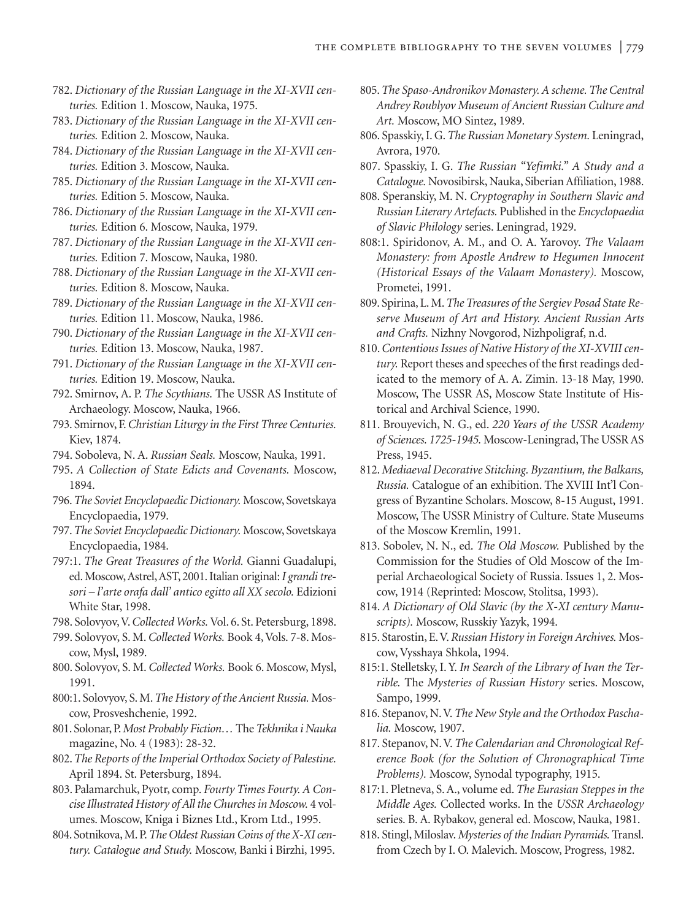- 782. *Dictionary of the Russian Language in the XI-XVII centuries.* Edition 1. Moscow, Nauka, 1975.
- 783. *Dictionary of the Russian Language in the XI-XVII centuries.* Edition 2. Moscow, Nauka.
- 784. *Dictionary of the Russian Language in the XI-XVII centuries.* Edition 3. Moscow, Nauka.
- 785. *Dictionary of the Russian Language in the XI-XVII centuries.* Edition 5. Moscow, Nauka.
- 786. *Dictionary of the Russian Language in the XI-XVII centuries.* Edition 6. Moscow, Nauka, 1979.
- 787. *Dictionary of the Russian Language in the XI-XVII centuries.* Edition 7. Moscow, Nauka, 1980.
- 788. *Dictionary of the Russian Language in the XI-XVII centuries.* Edition 8. Moscow, Nauka.
- 789. *Dictionary of the Russian Language in the XI-XVII centuries.* Edition 11. Moscow, Nauka, 1986.
- 790. *Dictionary of the Russian Language in the XI-XVII centuries.* Edition 13. Moscow, Nauka, 1987.
- 791. *Dictionary of the Russian Language in the XI-XVII centuries.* Edition 19. Moscow, Nauka.
- 792. Smirnov, A. P. *The Scythians.* The USSR AS Institute of Archaeology. Moscow, Nauka, 1966.
- 793. Smirnov, F.*Christian Liturgy in the First Three Centuries.* Kiev, 1874.
- 794. Soboleva, N. A. *Russian Seals.* Moscow, Nauka, 1991.
- 795. *A Collection of State Edicts and Covenants.* Moscow, 1894.
- 796.*The Soviet Encyclopaedic Dictionary.* Moscow, Sovetskaya Encyclopaedia, 1979.
- 797.*The Soviet Encyclopaedic Dictionary.* Moscow, Sovetskaya Encyclopaedia, 1984.
- 797:1. *The Great Treasures of the World.* Gianni Guadalupi, ed. Moscow,Astrel,AST, 2001. Italian original:*I grandi tresori – l'arte orafa dall' antico egitto all XX secolo.* Edizioni White Star, 1998.
- 798. Solovyov,V.*Collected Works.* Vol. 6. St. Petersburg, 1898.
- 799. Solovyov, S. M. *Collected Works.* Book 4, Vols. 7-8. Moscow, Mysl, 1989.
- 800. Solovyov, S. M. *Collected Works.* Book 6. Moscow, Mysl, 1991.
- 800:1. Solovyov, S. M.*The History of the Ancient Russia.* Moscow, Prosveshchenie, 1992.
- 801. Solonar, P.*Most Probably Fiction…* The *Tekhnika i Nauka* magazine, No. 4 (1983): 28-32.
- 802.*The Reports of the Imperial Orthodox Society of Palestine.* April 1894. St. Petersburg, 1894.
- 803. Palamarchuk, Pyotr, comp. *Fourty Times Fourty. A ConciseIllustrated History of All the Churches in Moscow.* 4 volumes. Moscow, Kniga i Biznes Ltd., Krom Ltd., 1995.
- 804. Sotnikova, M. P.*The Oldest Russian Coins of the X-XI century. Catalogue and Study.* Moscow, Banki i Birzhi, 1995.
- 805.*The Spaso-Andronikov Monastery. A scheme. The Central Andrey Roublyov Museum of Ancient Russian Culture and Art.* Moscow, MO Sintez, 1989.
- 806. Spasskiy, I. G.*The Russian Monetary System.* Leningrad, Avrora, 1970.
- 807. Spasskiy, I. G. *The Russian "Yefimki." A Study and a Catalogue.* Novosibirsk, Nauka, Siberian Affiliation, 1988.
- 808. Speranskiy, M. N. *Cryptography in Southern Slavic and Russian Literary Artefacts.* Published in the *Encyclopaedia of Slavic Philology* series. Leningrad, 1929.
- 808:1. Spiridonov, A. M., and O. A. Yarovoy. *The Valaam Monastery: from Apostle Andrew to Hegumen Innocent (Historical Essays of the Valaam Monastery).* Moscow, Prometei, 1991.
- 809. Spirina, L. M.*The Treasures of the Sergiev Posad State Reserve Museum of Art and History. Ancient Russian Arts and Crafts.* Nizhny Novgorod, Nizhpoligraf, n.d.
- 810.*Contentious Issues of Native History of the XI-XVIII century.* Report theses and speeches of the first readings dedicated to the memory of A. A. Zimin. 13-18 May, 1990. Moscow, The USSR AS, Moscow State Institute of Historical and Archival Science, 1990.
- 811. Brouyevich, N. G., ed. *220 Years of the USSR Academy of Sciences. 1725-1945.* Moscow-Leningrad, The USSR AS Press, 1945.
- 812. *Mediaeval Decorative Stitching. Byzantium, the Balkans, Russia.* Catalogue of an exhibition. The XVIII Int'l Congress of Byzantine Scholars. Moscow, 8-15 August, 1991. Moscow, The USSR Ministry of Culture. State Museums of the Moscow Kremlin, 1991.
- 813. Sobolev, N. N., ed. *The Old Moscow.* Published by the Commission for the Studies of Old Moscow of the Imperial Archaeological Society of Russia. Issues 1, 2. Moscow, 1914 (Reprinted: Moscow, Stolitsa, 1993).
- 814. *A Dictionary of Old Slavic (by the X-XI century Manuscripts).* Moscow, Russkiy Yazyk, 1994.
- 815. Starostin, E.V.*Russian History in Foreign Archives.* Moscow, Vysshaya Shkola, 1994.
- 815:1. Stelletsky, I. Y. *In Search of the Library of Ivan the Terrible.* The *Mysteries of Russian History* series. Moscow, Sampo, 1999.
- 816. Stepanov, N. V. *The New Style and the Orthodox Paschalia.* Moscow, 1907.
- 817. Stepanov, N. V. *The Calendarian and Chronological Reference Book (for the Solution of Chronographical Time Problems).* Moscow, Synodal typography, 1915.
- 817:1. Pletneva, S. A., volume ed. *The Eurasian Steppes in the Middle Ages.* Collected works. In the *USSR Archaeology* series. B. A. Rybakov, general ed. Moscow, Nauka, 1981.
- 818. Stingl, Miloslav. *Mysteries of the Indian Pyramids.* Transl. from Czech by I. O. Malevich. Moscow, Progress, 1982.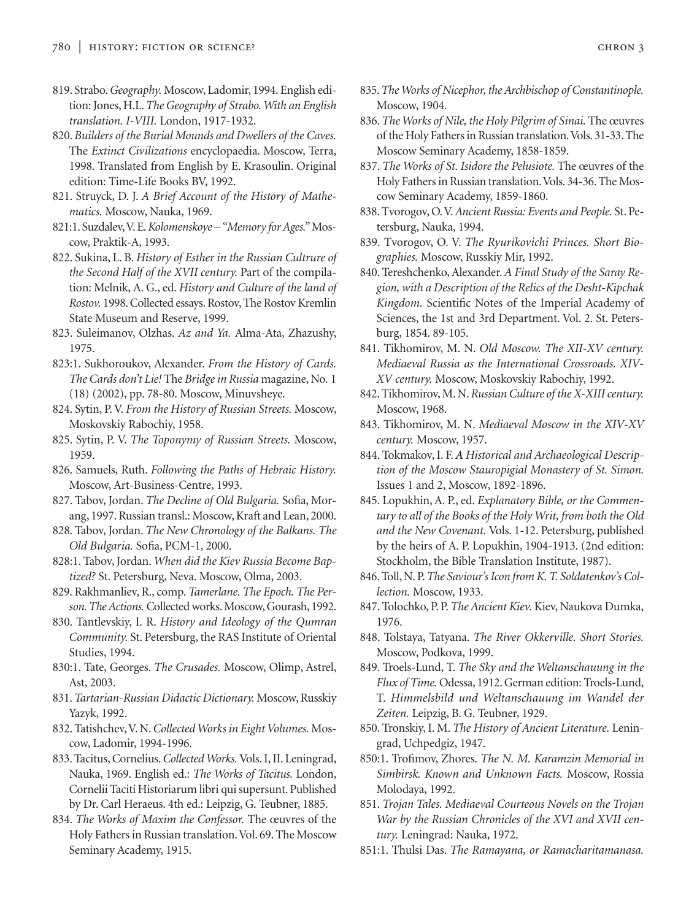- 819. Strabo.*Geography.* Moscow, Ladomir, 1994. English edition: Jones, H.L.*The Geography of Strabo. With an English translation. I-VIII.* London, 1917-1932.
- 820. *Builders of the Burial Mounds and Dwellers of the Caves.* The *Extinct Civilizations* encyclopaedia. Moscow, Terra, 1998. Translated from English by E. Krasoulin. Original edition: Time-Life Books BV, 1992.
- 821. Struyck, D. J. *A Brief Account of the History of Mathematics.* Moscow, Nauka, 1969.
- 821:1. Suzdalev,V. E.*Kolomenskoye "Memory for Ages."* Moscow, Praktik-A, 1993.
- 822. Sukina, L. B. *History of Esther in the Russian Cultrure of the Second Half of the XVII century.* Part of the compilation: Melnik, A. G., ed. *History and Culture of the land of Rostov.* 1998. Collected essays. Rostov, The Rostov Kremlin State Museum and Reserve, 1999.
- 823. Suleimanov, Olzhas. *Az and Ya.* Alma-Ata, Zhazushy, 1975.
- 823:1. Sukhoroukov, Alexander. *From the History of Cards. The Cards don't Lie!* The *Bridge in Russia* magazine, No. 1 (18) (2002), pp. 78-80. Moscow, Minuvsheye.
- 824. Sytin, P. V. *From the History of Russian Streets.* Moscow, Moskovskiy Rabochiy, 1958.
- 825. Sytin, P. V. *The Toponymy of Russian Streets.* Moscow, 1959.
- 826. Samuels, Ruth. *Following the Paths of Hebraic History.* Moscow, Art-Business-Centre, 1993.
- 827. Tabov, Jordan. *The Decline of Old Bulgaria.* Sofia, Morang, 1997. Russian transl.: Moscow, Kraft and Lean, 2000.
- 828. Tabov, Jordan. *The New Chronology of the Balkans. The Old Bulgaria.* Sofia, PCM-1, 2000.
- 828:1. Tabov, Jordan. *When did the Kiev Russia Become Baptized?* St. Petersburg, Neva. Moscow, Olma, 2003.
- 829. Rakhmanliev, R., comp. *Tamerlane. The Epoch. The Person. The Actions.*Collected works. Moscow, Gourash, 1992.
- 830. Tantlevskiy, I. R. *History and Ideology of the Qumran Community.* St. Petersburg, the RAS Institute of Oriental Studies, 1994.
- 830:1. Tate, Georges. *The Crusades.* Moscow, Olimp, Astrel, Ast, 2003.
- 831.*Tartarian-Russian Didactic Dictionary.* Moscow, Russkiy Yazyk, 1992.
- 832. Tatishchev,V. N.*Collected Works in Eight Volumes.* Moscow, Ladomir, 1994-1996.
- 833. Tacitus, Cornelius.*Collected Works.*Vols. I, II. Leningrad, Nauka, 1969. English ed.: *The Works of Tacitus.* London, Cornelii Taciti Historiarum libri qui supersunt. Published by Dr. Carl Heraeus. 4th ed.: Leipzig, G. Teubner, 1885.
- 834. *The Works of Maxim the Confessor.* The œuvres of the Holy Fathers in Russian translation.Vol. 69. The Moscow Seminary Academy, 1915.
- 835.*The Works of Nicephor, the Archbischop of Constantinople.* Moscow, 1904.
- 836.*The Works of Nile, the Holy Pilgrim of Sinai.* The œuvres of the Holy Fathers in Russian translation.Vols. 31-33. The Moscow Seminary Academy, 1858-1859.
- 837. *The Works of St. Isidore the Pelusiote.* The œuvres of the Holy Fathers in Russian translation. Vols. 34-36. The Moscow Seminary Academy, 1859-1860.
- 838. Tvorogov, O.V.*Ancient Russia: Events and People.* St. Petersburg, Nauka, 1994.
- 839. Tvorogov, O. V. *The Ryurikovichi Princes. Short Biographies.* Moscow, Russkiy Mir, 1992.
- 840. Tereshchenko, Alexander. *A Final Study of the Saray Region, with a Description of the Relics of the Desht-Kipchak Kingdom.* Scientific Notes of the Imperial Academy of Sciences, the 1st and 3rd Department. Vol. 2. St. Petersburg, 1854. 89-105.
- 841. Tikhomirov, M. N. *Old Moscow. The XII-XV century. Mediaeval Russia as the International Crossroads. XIV-XV century.* Moscow, Moskovskiy Rabochiy, 1992.
- 842. Tikhomirov, M. N.*Russian Culture of the X-XIII century.* Moscow, 1968.
- 843. Tikhomirov, M. N. *Mediaeval Moscow in the XIV-XV century.* Moscow, 1957.
- 844. Tokmakov, I. F. *A Historical and Archaeological Description of the Moscow Stauropigial Monastery of St. Simon.* Issues 1 and 2, Moscow, 1892-1896.
- 845. Lopukhin, A. P., ed. *Explanatory Bible, or the Commentary to all of the Books of the Holy Writ, from both the Old and the New Covenant.* Vols. 1-12. Petersburg, published by the heirs of A. P. Lopukhin, 1904-1913. (2nd edition: Stockholm, the Bible Translation Institute, 1987).
- 846. Toll, N. P.*The Saviour's Icon from K. T. Soldatenkov's Collection.* Moscow, 1933.
- 847. Tolochko, P. P. *The Ancient Kiev.* Kiev, Naukova Dumka, 1976.
- 848. Tolstaya, Tatyana. *The River Okkerville. Short Stories.* Moscow, Podkova, 1999.
- 849. Troels-Lund, T. *The Sky and the Weltanschauung in the Flux of Time.* Odessa, 1912. German edition: Troels-Lund, T. *Himmelsbild und Weltanschauung im Wandel der Zeiten.* Leipzig, B. G. Teubner, 1929.
- 850. Tronskiy, I. M. *The History of Ancient Literature.* Leningrad, Uchpedgiz, 1947.
- 850:1. Trofimov, Zhores. *The N. M. Karamzin Memorial in Simbirsk. Known and Unknown Facts.* Moscow, Rossia Molodaya, 1992.
- 851. *Trojan Tales. Mediaeval Courteous Novels on the Trojan War by the Russian Chronicles of the XVI and XVII century.* Leningrad: Nauka, 1972.
- 851:1. Thulsi Das. *The Ramayana, or Ramacharitamanasa.*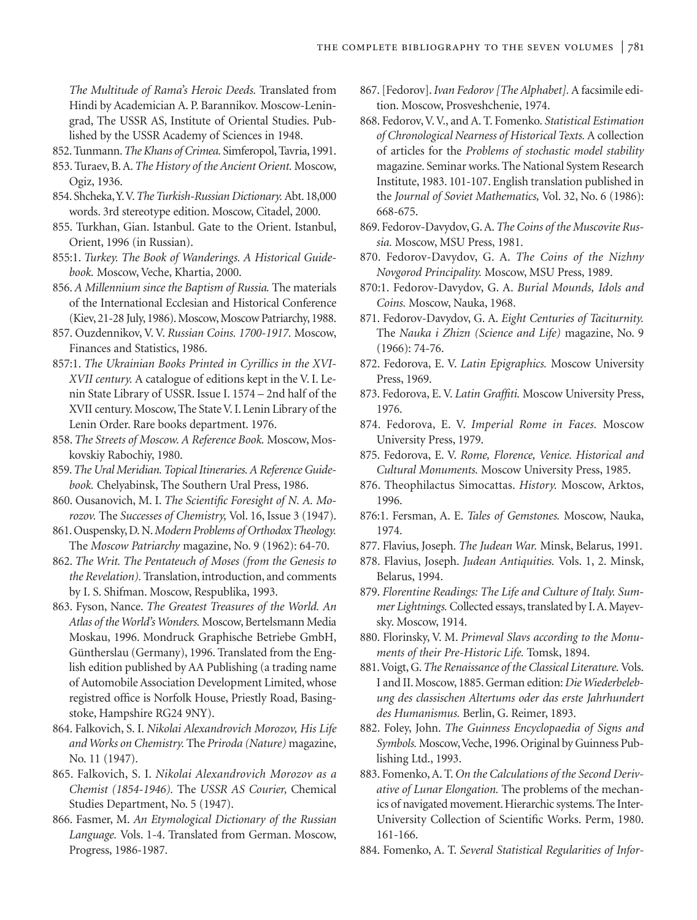*The Multitude of Rama's Heroic Deeds.* Translated from Hindi by Academician A. P. Barannikov. Moscow-Leningrad, The USSR AS, Institute of Oriental Studies. Published by the USSR Academy of Sciences in 1948.

- 852. Tunmann.*The Khans of Crimea.* Simferopol, Tavria, 1991.
- 853. Turaev, B. A.*The History of the Ancient Orient.* Moscow, Ogiz, 1936.
- 854. Shcheka,Y.V.*The Turkish-Russian Dictionary.*Abt. 18,000 words. 3rd stereotype edition. Moscow, Citadel, 2000.
- 855. Turkhan, Gian. Istanbul. Gate to the Orient. Istanbul, Orient, 1996 (in Russian).
- 855:1. *Turkey. The Book of Wanderings. A Historical Guidebook.* Moscow, Veche, Khartia, 2000.
- 856. *A Millennium since the Baptism of Russia.* The materials of the International Ecclesian and Historical Conference (Kiev, 21-28 July, 1986). Moscow, Moscow Patriarchy, 1988.
- 857. Ouzdennikov, V. V. *Russian Coins. 1700-1917.* Moscow, Finances and Statistics, 1986.
- 857:1. *The Ukrainian Books Printed in Cyrillics in the XVI-XVII century.* A catalogue of editions kept in the V. I. Lenin State Library of USSR. Issue I. 1574 – 2nd half of the XVII century. Moscow, The State V. I. Lenin Library of the Lenin Order. Rare books department. 1976.
- 858. *The Streets of Moscow. A Reference Book.* Moscow, Moskovskiy Rabochiy, 1980.
- 859.*The Ural Meridian. Topical Itineraries. A Reference Guidebook.* Chelyabinsk, The Southern Ural Press, 1986.
- 860. Ousanovich, M. I. *The Scientific Foresight of N. A. Morozov.* The *Successes of Chemistry,* Vol. 16, Issue 3 (1947).
- 861. Ouspensky, D. N.*Modern Problems of Orthodox Theology.* The *Moscow Patriarchy* magazine, No. 9 (1962): 64-70.
- 862. *The Writ. The Pentateuch of Moses (from the Genesis to the Revelation).* Translation, introduction, and comments by I. S. Shifman. Moscow, Respublika, 1993.
- 863. Fyson, Nance. *The Greatest Treasures of the World. An Atlas of the World's Wonders.* Moscow, Bertelsmann Media Moskau, 1996. Mondruck Graphische Betriebe GmbH, Güntherslau (Germany), 1996. Translated from the English edition published by AA Publishing (a trading name of Automobile Association Development Limited, whose registred office is Norfolk House, Priestly Road, Basingstoke, Hampshire RG24 9NY).
- 864. Falkovich, S. I. *Nikolai Alexandrovich Morozov, His Life and Works on Chemistry.* The *Priroda (Nature)* magazine, No. 11 (1947).
- 865. Falkovich, S. I. *Nikolai Alexandrovich Morozov as a Chemist (1854-1946).* The *USSR AS Courier,* Chemical Studies Department, No. 5 (1947).
- 866. Fasmer, M. *An Etymological Dictionary of the Russian Language.* Vols. 1-4. Translated from German. Moscow, Progress, 1986-1987.
- 867. [Fedorov].*Ivan Fedorov [The Alphabet].* A facsimile edition. Moscow, Prosveshchenie, 1974.
- 868. Fedorov, V. V., and A. T. Fomenko. *Statistical Estimation of Chronological Nearness of Historical Texts.* A collection of articles for the *Problems of stochastic model stability* magazine. Seminar works. The National System Research Institute, 1983. 101-107. English translation published in the *Journal of Soviet Mathematics,* Vol. 32, No. 6 (1986): 668-675.
- 869. Fedorov-Davydov, G. A.*The Coins of the Muscovite Russia.* Moscow, MSU Press, 1981.
- 870. Fedorov-Davydov, G. A. *The Coins of the Nizhny Novgorod Principality.* Moscow, MSU Press, 1989.
- 870:1. Fedorov-Davydov, G. A. *Burial Mounds, Idols and Coins.* Moscow, Nauka, 1968.
- 871. Fedorov-Davydov, G. A. *Eight Centuries of Taciturnity.* The *Nauka i Zhizn (Science and Life)* magazine, No. 9 (1966): 74-76.
- 872. Fedorova, E. V. *Latin Epigraphics.* Moscow University Press, 1969.
- 873. Fedorova, E. V. *Latin Graffiti.* Moscow University Press, 1976.
- 874. Fedorova, E. V. *Imperial Rome in Faces.* Moscow University Press, 1979.
- 875. Fedorova, E. V. *Rome, Florence, Venice. Historical and Cultural Monuments.* Moscow University Press, 1985.
- 876. Theophilactus Simocattas. *History.* Moscow, Arktos, 1996.
- 876:1. Fersman, A. E. *Tales of Gemstones.* Moscow, Nauka, 1974.
- 877. Flavius, Joseph. *The Judean War.* Minsk, Belarus, 1991.
- 878. Flavius, Joseph. *Judean Antiquities.* Vols. 1, 2. Minsk, Belarus, 1994.
- 879. *Florentine Readings: The Life and Culture of Italy. Summer Lightnings.*Collected essays, translated by I. A. Mayevsky. Moscow, 1914.
- 880. Florinsky, V. M. *Primeval Slavs according to the Monuments of their Pre-Historic Life.* Tomsk, 1894.
- 881.Voigt, G.*The Renaissance of the Classical Literature.* Vols. I and II. Moscow, 1885. German edition: *Die Wiederbelebung des classischen Altertums oder das erste Jahrhundert des Humanismus.* Berlin, G. Reimer, 1893.
- 882. Foley, John. *The Guinness Encyclopaedia of Signs and* Symbols. Moscow, Veche, 1996. Original by Guinness Publishing Ltd., 1993.
- 883. Fomenko, A. T. *On the Calculations of the Second Derivative of Lunar Elongation.* The problems of the mechanics of navigated movement. Hierarchic systems. The Inter-University Collection of Scientific Works. Perm, 1980. 161-166.
- 884. Fomenko, A. T. *Several Statistical Regularities of Infor-*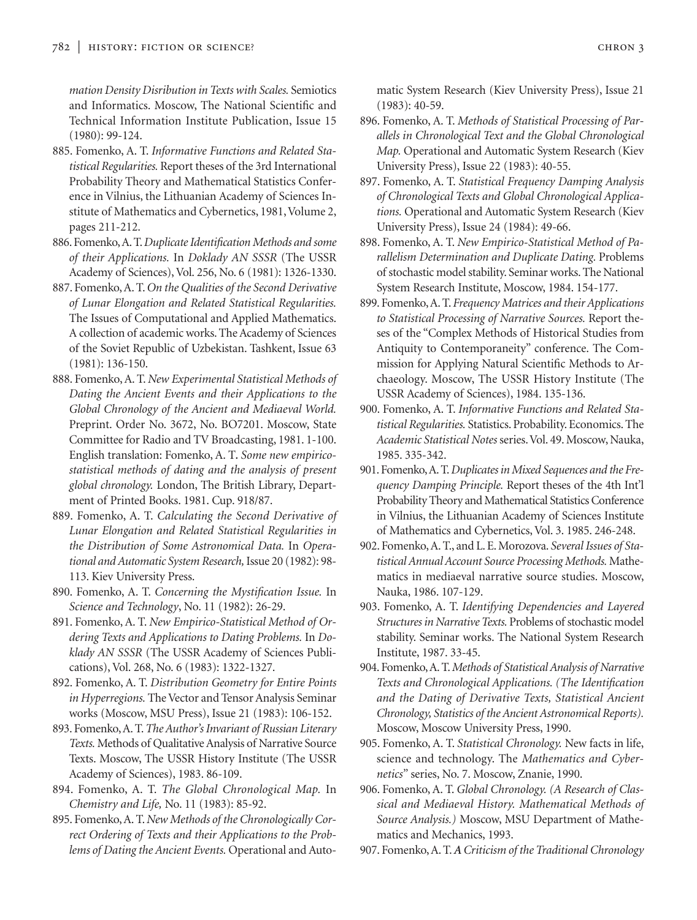*mation Density Disribution in Texts with Scales.* Semiotics and Informatics. Moscow, The National Scientific and Technical Information Institute Publication, Issue 15 (1980): 99-124.

- 885. Fomenko, A. T. *Informative Functions and Related Statistical Regularities.* Report theses of the 3rd International Probability Theory and Mathematical Statistics Conference in Vilnius, the Lithuanian Academy of Sciences Institute of Mathematics and Cybernetics, 1981, Volume 2, pages 211-212.
- 886. Fomenko,A. T.*Duplicate Identification Methods and some of their Applications.* In *Doklady AN SSSR* (The USSR Academy of Sciences), Vol. 256, No. 6 (1981): 1326-1330.
- 887. Fomenko, A. T.*On the Qualities of the Second Derivative of Lunar Elongation and Related Statistical Regularities.* The Issues of Computational and Applied Mathematics. A collection of academic works. The Academy of Sciences of the Soviet Republic of Uzbekistan. Tashkent, Issue 63 (1981): 136-150.
- 888. Fomenko, A. T. *New Experimental Statistical Methods of Dating the Ancient Events and their Applications to the Global Chronology of the Ancient and Mediaeval World.* Preprint. Order No. 3672, No. BO7201. Moscow, State Committee for Radio and TV Broadcasting, 1981. 1-100. English translation: Fomenko, A. T*. Some new empiricostatistical methods of dating and the analysis of present global chronology.* London, The British Library, Department of Printed Books. 1981. Cup. 918/87.
- 889. Fomenko, A. T. *Calculating the Second Derivative of Lunar Elongation and Related Statistical Regularities in the Distribution of Some Astronomical Data.* In *Operational and Automatic System Research,*Issue 20 (1982): 98- 113. Kiev University Press.
- 890. Fomenko, A. T. *Concerning the Mystification Issue.* In *Science and Technology*, No. 11 (1982): 26-29.
- 891. Fomenko, A. T. *New Empirico-Statistical Method of Ordering Texts and Applications to Dating Problems.* In *Doklady AN SSSR* (The USSR Academy of Sciences Publications), Vol. 268, No. 6 (1983): 1322-1327.
- 892. Fomenko, A. T. *Distribution Geometry for Entire Points in Hyperregions.* The Vector and Tensor Analysis Seminar works (Moscow, MSU Press), Issue 21 (1983): 106-152.
- 893. Fomenko, A. T.*The Author's Invariant of Russian Literary Texts.* Methods of Qualitative Analysis of Narrative Source Texts. Moscow, The USSR History Institute (The USSR Academy of Sciences), 1983. 86-109.
- 894. Fomenko, A. T. *The Global Chronological Map.* In *Chemistry and Life,* No. 11 (1983): 85-92.
- 895. Fomenko, A. T.*New Methods of the Chronologically Correct Ordering of Texts and their Applications to the Problems of Dating the Ancient Events.* Operational and Auto-

matic System Research (Kiev University Press), Issue 21 (1983): 40-59.

- 896. Fomenko, A. T. *Methods of Statistical Processing of Parallels in Chronological Text and the Global Chronological Map.* Operational and Automatic System Research (Kiev University Press), Issue 22 (1983): 40-55.
- 897. Fomenko, A. T. *Statistical Frequency Damping Analysis of Chronological Texts and Global Chronological Applications.* Operational and Automatic System Research (Kiev University Press), Issue 24 (1984): 49-66.
- 898. Fomenko, A. T. *New Empirico-Statistical Method of Parallelism Determination and Duplicate Dating.* Problems of stochastic model stability. Seminar works. The National System Research Institute, Moscow, 1984. 154-177.
- 899. Fomenko, A. T. *Frequency Matrices and their Applications to Statistical Processing of Narrative Sources.* Report theses of the "Complex Methods of Historical Studies from Antiquity to Contemporaneity" conference. The Commission for Applying Natural Scientific Methods to Archaeology. Moscow, The USSR History Institute (The USSR Academy of Sciences), 1984. 135-136.
- 900. Fomenko, A. T. *Informative Functions and Related Statistical Regularities.* Statistics. Probability. Economics. The *Academic Statistical Notes* series.Vol. 49. Moscow, Nauka, 1985. 335-342.
- 901. Fomenko,A. T.*Duplicates in Mixed Sequences and the Frequency Damping Principle.* Report theses of the 4th Int'l Probability Theory and Mathematical Statistics Conference in Vilnius, the Lithuanian Academy of Sciences Institute of Mathematics and Cybernetics, Vol. 3. 1985. 246-248.
- 902. Fomenko, A. T., and L. E. Morozova. *Several Issues of Statistical Annual Account Source Processing Methods.* Mathematics in mediaeval narrative source studies. Moscow, Nauka, 1986. 107-129.
- 903. Fomenko, A. T. *Identifying Dependencies and Layered Structures in Narrative Texts.* Problems of stochastic model stability. Seminar works. The National System Research Institute, 1987. 33-45.
- 904. Fomenko,A. T.*Methods of Statistical Analysis of Narrative Texts and Chronological Applications. (The Identification and the Dating of Derivative Texts, Statistical Ancient Chronology, Statistics of the Ancient Astronomical Reports).* Moscow, Moscow University Press, 1990.
- 905. Fomenko, A. T. *Statistical Chronology.* New facts in life, science and technology. The *Mathematics and Cybernetics"* series, No. 7. Moscow, Znanie, 1990.
- 906. Fomenko, A. T. *Global Chronology. (A Research of Classical and Mediaeval History. Mathematical Methods of Source Analysis.)* Moscow, MSU Department of Mathematics and Mechanics, 1993.
- 907. Fomenko, A. T.*A Criticism of the Traditional Chronology*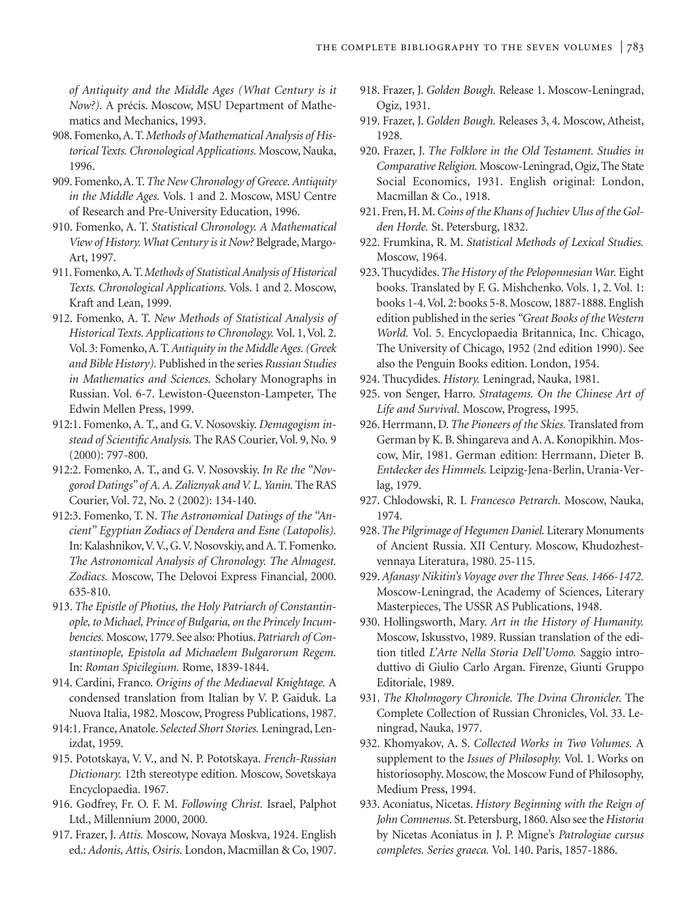*of Antiquity and the Middle Ages (What Century is it Now?).* A précis. Moscow, MSU Department of Mathematics and Mechanics, 1993.

- 908. Fomenko, A. T.*Methods of Mathematical Analysis of Historical Texts. Chronological Applications.* Moscow, Nauka, 1996.
- 909. Fomenko, A. T.*The New Chronology of Greece. Antiquity in the Middle Ages.* Vols. 1 and 2. Moscow, MSU Centre of Research and Pre-University Education, 1996.
- 910. Fomenko, A. T. *Statistical Chronology. A Mathematical View of History. What Century is it Now?* Belgrade, Margo-Art, 1997.
- 911. Fomenko,A. T.*Methods of Statistical Analysis of Historical Texts. Chronological Applications.* Vols. 1 and 2. Moscow, Kraft and Lean, 1999.
- 912. Fomenko, A. T. *New Methods of Statistical Analysis of Historical Texts. Applications to Chronology.* Vol. 1, Vol. 2. Vol. 3: Fomenko, A. T.*Antiquity in the Middle Ages. (Greek and Bible History).* Published in the series *Russian Studies in Mathematics and Sciences.* Scholary Monographs in Russian. Vol. 6-7. Lewiston-Queenston-Lampeter, The Edwin Mellen Press, 1999.
- 912:1. Fomenko, A. T., and G. V. Nosovskiy. *Demagogism instead of Scientific Analysis.* The RAS Courier, Vol. 9, No. 9 (2000): 797-800.
- 912:2. Fomenko, A. T., and G. V. Nosovskiy. *In Re the "Novgorod Datings" of A. A. Zaliznyak and V. L. Yanin.* The RAS Courier, Vol. 72, No. 2 (2002): 134-140.
- 912:3. Fomenko, T. N. *The Astronomical Datings of the "Ancient" Egyptian Zodiacs of Dendera and Esne (Latopolis).* In: Kalashnikov,V.V., G.V. Nosovskiy, and A. T. Fomenko. *The Astronomical Analysis of Chronology. The Almagest. Zodiacs.* Moscow, The Delovoi Express Financial, 2000. 635-810.
- 913. *The Epistle of Photius, the Holy Patriarch of Constantinople, to Michael, Prince of Bulgaria, on the Princely Incumbencies.* Moscow, 1779. See also: Photius. *Patriarch of Constantinople, Epistola ad Michaelem Bulgarorum Regem.* In: *Roman Spicilegium.* Rome, 1839-1844.
- 914. Cardini, Franco. *Origins of the Mediaeval Knightage.* A condensed translation from Italian by V. P. Gaiduk. La Nuova Italia, 1982. Moscow, Progress Publications, 1987.
- 914:1. France, Anatole. *Selected Short Stories.* Leningrad, Lenizdat, 1959.
- 915. Pototskaya, V. V., and N. P. Pototskaya. *French-Russian Dictionary.* 12th stereotype edition. Moscow, Sovetskaya Encyclopaedia. 1967.
- 916. Godfrey, Fr. O. F. M. *Following Christ.* Israel, Palphot Ltd., Millennium 2000, 2000.
- 917. Frazer, J. *Attis.* Moscow, Novaya Moskva, 1924. English ed.: *Adonis, Attis, Osiris.* London, Macmillan & Co, 1907.
- 918. Frazer, J. *Golden Bough.* Release 1. Moscow-Leningrad, Ogiz, 1931.
- 919. Frazer, J. *Golden Bough.* Releases 3, 4. Moscow, Atheist, 1928.
- 920. Frazer, J. *The Folklore in the Old Testament. Studies in Comparative Religion.* Moscow-Leningrad, Ogiz, The State Social Economics, 1931. English original: London, Macmillan & Co., 1918.
- 921. Fren, H. M.*Coins of the Khans of Juchiev Ulus of the Golden Horde.* St. Petersburg, 1832.
- 922. Frumkina, R. M. *Statistical Methods of Lexical Studies.* Moscow, 1964.
- 923. Thucydides.*The History of the Peloponnesian War.* Eight books. Translated by F. G. Mishchenko. Vols. 1, 2. Vol. 1: books 1-4.Vol. 2: books 5-8. Moscow, 1887-1888. English edition published in the series *"Great Books of the Western World.* Vol. 5. Encyclopaedia Britannica, Inc. Chicago, The University of Chicago, 1952 (2nd edition 1990). See also the Penguin Books edition. London, 1954.
- 924. Thucydides. *History.* Leningrad, Nauka, 1981.
- 925. von Senger, Harro. *Stratagems. On the Chinese Art of Life and Survival.* Moscow, Progress, 1995.
- 926. Herrmann, D.*The Pioneers of the Skies.* Translated from German by K. B. Shingareva and A. A. Konopikhin. Moscow, Mir, 1981. German edition: Herrmann, Dieter B. *Entdecker des Himmels.* Leipzig-Jena-Berlin, Urania-Verlag, 1979.
- 927. Chlodowski, R. I. *Francesco Petrarch.* Moscow, Nauka, 1974.
- 928.*The Pilgrimage of Hegumen Daniel.* Literary Monuments of Ancient Russia. XII Century. Moscow, Khudozhestvennaya Literatura, 1980. 25-115.
- 929.*Afanasy Nikitin's Voyage over the Three Seas. 1466-1472.* Moscow-Leningrad, the Academy of Sciences, Literary Masterpieces, The USSR AS Publications, 1948.
- 930. Hollingsworth, Mary. *Art in the History of Humanity.* Moscow, Iskusstvo, 1989. Russian translation of the edition titled *L'Arte Nella Storia Dell'Uomo.* Saggio introduttivo di Giulio Carlo Argan. Firenze, Giunti Gruppo Editoriale, 1989.
- 931. *The Kholmogory Chronicle. The Dvina Chronicler.* The Complete Collection of Russian Chronicles, Vol. 33. Leningrad, Nauka, 1977.
- 932. Khomyakov, A. S. *Collected Works in Two Volumes.* A supplement to the *Issues of Philosophy.* Vol. 1. Works on historiosophy. Moscow, the Moscow Fund of Philosophy, Medium Press, 1994.
- 933. Aconiatus, Nicetas. *History Beginning with the Reign of John Comnenus.* St. Petersburg, 1860. Also see the *Historia* by Nicetas Aconiatus in J. P. Migne's *Patrologiae cursus completes. Series graeca.* Vol. 140. Paris, 1857-1886.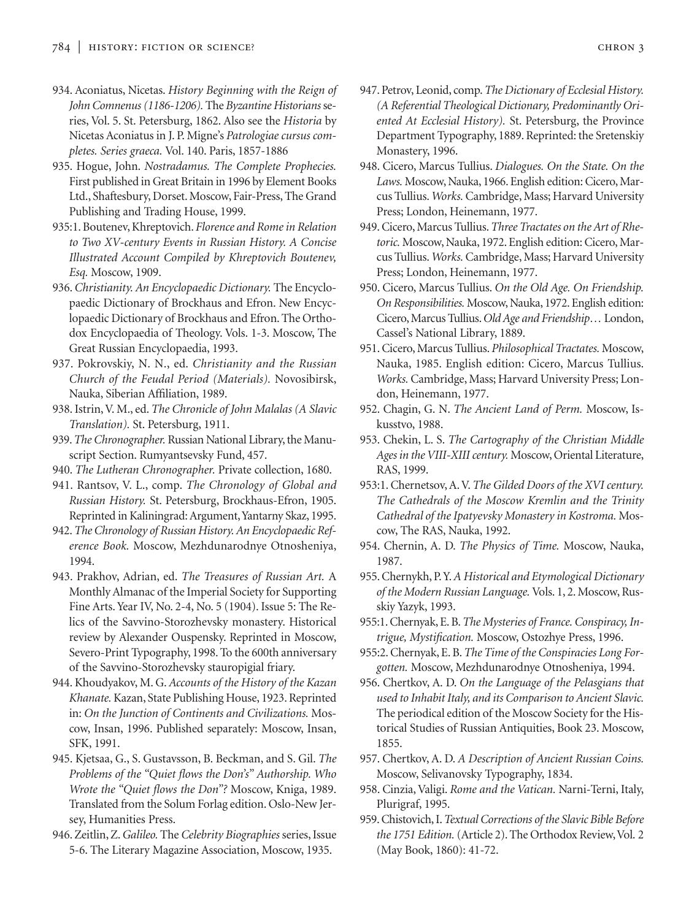- 934. Aconiatus, Nicetas. *History Beginning with the Reign of John Comnenus (1186-1206).* The *Byzantine Historians* series, Vol. 5. St. Petersburg, 1862. Also see the *Historia* by Nicetas Aconiatus in J. P. Migne's *Patrologiae cursus completes. Series graeca.* Vol. 140. Paris, 1857-1886
- 935. Hogue, John. *Nostradamus. The Complete Prophecies.* First published in Great Britain in 1996 by Element Books Ltd., Shaftesbury, Dorset. Moscow, Fair-Press, The Grand Publishing and Trading House, 1999.
- 935:1. Boutenev, Khreptovich. *Florence and Rome in Relation to Two XV-century Events in Russian History. A Concise Illustrated Account Compiled by Khreptovich Boutenev, Esq.* Moscow, 1909.
- 936. *Christianity. An Encyclopaedic Dictionary.* The Encyclopaedic Dictionary of Brockhaus and Efron. New Encyclopaedic Dictionary of Brockhaus and Efron. The Orthodox Encyclopaedia of Theology. Vols. 1-3. Moscow, The Great Russian Encyclopaedia, 1993.
- 937. Pokrovskiy, N. N., ed. *Christianity and the Russian Church of the Feudal Period (Materials).* Novosibirsk, Nauka, Siberian Affiliation, 1989.
- 938. Istrin, V. M., ed. *The Chronicle of John Malalas (A Slavic Translation).* St. Petersburg, 1911.
- 939.*The Chronographer.* Russian National Library, the Manuscript Section. Rumyantsevsky Fund, 457.
- 940. *The Lutheran Chronographer.* Private collection, 1680.
- 941. Rantsov, V. L., comp. *The Chronology of Global and Russian History.* St. Petersburg, Brockhaus-Efron, 1905. Reprinted in Kaliningrad: Argument,Yantarny Skaz, 1995.
- 942.*The Chronology of Russian History. An Encyclopaedic Reference Book.* Moscow, Mezhdunarodnye Otnosheniya, 1994.
- 943. Prakhov, Adrian, ed. *The Treasures of Russian Art.* A Monthly Almanac of the Imperial Society for Supporting Fine Arts. Year IV, No. 2-4, No. 5 (1904). Issue 5: The Relics of the Savvino-Storozhevsky monastery. Historical review by Alexander Ouspensky. Reprinted in Moscow, Severo-Print Typography, 1998. To the 600th anniversary of the Savvino-Storozhevsky stauropigial friary.
- 944. Khoudyakov, M. G. *Accounts of the History of the Kazan Khanate.* Kazan, State Publishing House, 1923. Reprinted in: *On the Junction of Continents and Civilizations.* Moscow, Insan, 1996. Published separately: Moscow, Insan, SFK, 1991.
- 945. Kjetsaa, G., S. Gustavsson, B. Beckman, and S. Gil. *The Problems of the "Quiet flows the Don's" Authorship. Who Wrote the "Quiet flows the Don"?* Moscow, Kniga, 1989. Translated from the Solum Forlag edition. Oslo-New Jersey, Humanities Press.
- 946. Zeitlin, Z.*Galileo.* The *Celebrity Biographies* series, Issue 5-6. The Literary Magazine Association, Moscow, 1935.
- 947. Petrov, Leonid, comp.*The Dictionary of Ecclesial History. (A Referential Theological Dictionary, Predominantly Oriented At Ecclesial History).* St. Petersburg, the Province Department Typography, 1889. Reprinted: the Sretenskiy Monastery, 1996.
- 948. Cicero, Marcus Tullius. *Dialogues. On the State. On the Laws.* Moscow, Nauka, 1966. English edition: Cicero, Marcus Tullius.*Works.* Cambridge, Mass; Harvard University Press; London, Heinemann, 1977.
- 949. Cicero, Marcus Tullius.*Three Tractates on the Art of Rhetoric.* Moscow, Nauka, 1972. English edition: Cicero, Marcus Tullius.*Works.* Cambridge, Mass; Harvard University Press; London, Heinemann, 1977.
- 950. Cicero, Marcus Tullius. *On the Old Age. On Friendship. On Responsibilities.* Moscow, Nauka, 1972. English edition: Cicero, Marcus Tullius.*Old Age and Friendship…* London, Cassel's National Library, 1889.
- 951. Cicero, Marcus Tullius. *Philosophical Tractates.* Moscow, Nauka, 1985. English edition: Cicero, Marcus Tullius. *Works.* Cambridge, Mass; Harvard University Press; London, Heinemann, 1977.
- 952. Chagin, G. N. *The Ancient Land of Perm.* Moscow, Iskusstvo, 1988.
- 953. Chekin, L. S. *The Cartography of the Christian Middle Ages in the VIII-XIII century.* Moscow, Oriental Literature, RAS, 1999.
- 953:1. Chernetsov, A. V. *The Gilded Doors of the XVI century. The Cathedrals of the Moscow Kremlin and the Trinity Cathedral of the Ipatyevsky Monastery in Kostroma.* Moscow, The RAS, Nauka, 1992.
- 954. Chernin, A. D. *The Physics of Time.* Moscow, Nauka, 1987.
- 955. Chernykh, P.Y.*A Historical and Etymological Dictionary of the Modern Russian Language.* Vols. 1, 2. Moscow, Russkiy Yazyk, 1993.
- 955:1. Chernyak, E. B.*The Mysteries of France. Conspiracy, Intrigue, Mystification.* Moscow, Ostozhye Press, 1996.
- 955:2. Chernyak, E. B.*The Time of the Conspiracies Long Forgotten.* Moscow, Mezhdunarodnye Otnosheniya, 1994.
- 956. Chertkov, A. D. *On the Language of the Pelasgians that used to Inhabit Italy, and its Comparison to Ancient Slavic.* The periodical edition of the Moscow Society for the Historical Studies of Russian Antiquities, Book 23. Moscow, 1855.
- 957. Chertkov, A. D. *A Description of Ancient Russian Coins.* Moscow, Selivanovsky Typography, 1834.
- 958. Cinzia, Valigi. *Rome and the Vatican.* Narni-Terni, Italy, Plurigraf, 1995.
- 959. Chistovich, I.*Textual Corrections of the Slavic Bible Before* the 1751 Edition. (Article 2). The Orthodox Review, Vol. 2 (May Book, 1860): 41-72.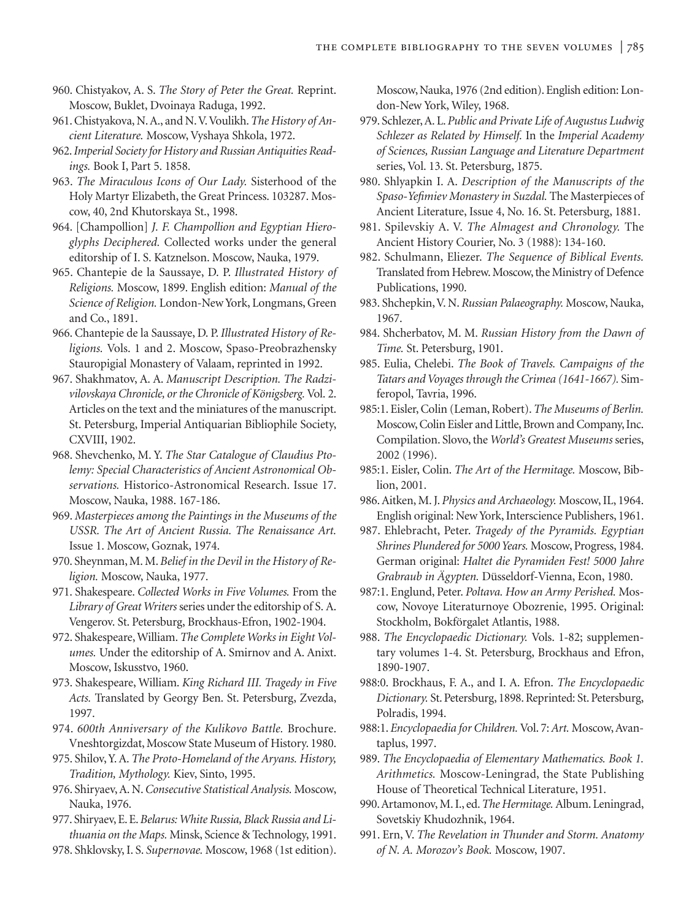- 960. Chistyakov, A. S. *The Story of Peter the Great.* Reprint. Moscow, Buklet, Dvoinaya Raduga, 1992.
- 961. Chistyakova, N. A., and N.V.Voulikh.*The History of Ancient Literature.* Moscow, Vyshaya Shkola, 1972.
- 962.*Imperial Society for History and Russian Antiquities Readings.* Book I, Part 5. 1858.
- 963. *The Miraculous Icons of Our Lady.* Sisterhood of the Holy Martyr Elizabeth, the Great Princess. 103287. Moscow, 40, 2nd Khutorskaya St., 1998.
- 964. [Champollion] *J. F. Champollion and Egyptian Hieroglyphs Deciphered.* Collected works under the general editorship of I. S. Katznelson. Moscow, Nauka, 1979.
- 965. Chantepie de la Saussaye, D. P. *Illustrated History of Religions.* Moscow, 1899. English edition: *Manual of the Science of Religion.* London-New York, Longmans, Green and Co., 1891.
- 966. Chantepie de la Saussaye, D. P. *Illustrated History of Religions.* Vols. 1 and 2. Moscow, Spaso-Preobrazhensky Stauropigial Monastery of Valaam, reprinted in 1992.
- 967. Shakhmatov, A. A. *Manuscript Description. The Radzivilovskaya Chronicle, or the Chronicle of Königsberg.*Vol. 2. Articles on the text and the miniatures of the manuscript. St. Petersburg, Imperial Antiquarian Bibliophile Society, CXVIII, 1902.
- 968. Shevchenko, M. Y. *The Star Catalogue of Claudius Ptolemy: Special Characteristics of Ancient Astronomical Observations.* Historico-Astronomical Research. Issue 17. Moscow, Nauka, 1988. 167-186.
- 969. *Masterpieces among the Paintings in the Museums of the USSR. The Art of Ancient Russia. The Renaissance Art.* Issue 1. Moscow, Goznak, 1974.
- 970. Sheynman, M. M.*Belief in the Devil in the History of Religion.* Moscow, Nauka, 1977.
- 971. Shakespeare. *Collected Works in Five Volumes.* From the *Library of Great Writers* series under the editorship of S. A. Vengerov. St. Petersburg, Brockhaus-Efron, 1902-1904.
- 972. Shakespeare, William. *The Complete Works in Eight Volumes.* Under the editorship of A. Smirnov and A. Anixt. Moscow, Iskusstvo, 1960.
- 973. Shakespeare, William. *King Richard III. Tragedy in Five Acts.* Translated by Georgy Ben. St. Petersburg, Zvezda, 1997.
- 974. *600th Anniversary of the Kulikovo Battle.* Brochure. Vneshtorgizdat, Moscow State Museum of History. 1980.
- 975. Shilov, Y. A. *The Proto-Homeland of the Aryans. History, Tradition, Mythology.* Kiev, Sinto, 1995.
- 976. Shiryaev, A. N.*Consecutive Statistical Analysis.* Moscow, Nauka, 1976.
- 977. Shiryaev, E. E.*Belarus: White Russia, Black Russia and Lithuania on the Maps.* Minsk, Science & Technology, 1991.
- 978. Shklovsky, I. S. *Supernovae.* Moscow, 1968 (1st edition).

Moscow, Nauka, 1976 (2nd edition). English edition: London-New York, Wiley, 1968.

- 979. Schlezer, A. L. *Public and Private Life of Augustus Ludwig Schlezer as Related by Himself.* In the *Imperial Academy of Sciences, Russian Language and Literature Department* series, Vol. 13. St. Petersburg, 1875.
- 980. Shlyapkin I. A. *Description of the Manuscripts of the Spaso-Yefimiev Monastery in Suzdal.* The Masterpieces of Ancient Literature, Issue 4, No. 16. St. Petersburg, 1881.
- 981. Spilevskiy A. V. *The Almagest and Chronology.* The Ancient History Courier, No. 3 (1988): 134-160.
- 982. Schulmann, Eliezer. *The Sequence of Biblical Events.* Translated from Hebrew. Moscow, the Ministry of Defence Publications, 1990.
- 983. Shchepkin, V. N. *Russian Palaeography.* Moscow, Nauka, 1967.
- 984. Shcherbatov, M. M. *Russian History from the Dawn of Time.* St. Petersburg, 1901.
- 985. Eulia, Chelebi. *The Book of Travels. Campaigns of the Tatars and Voyages through the Crimea (1641-1667).* Simferopol, Tavria, 1996.
- 985:1. Eisler, Colin (Leman, Robert).*The Museums of Berlin.* Moscow, Colin Eisler and Little, Brown and Company, Inc. Compilation. Slovo, the *World's Greatest Museums* series, 2002 (1996).
- 985:1. Eisler, Colin. *The Art of the Hermitage.* Moscow, Biblion, 2001.
- 986. Aitken, M. J. *Physics and Archaeology.* Moscow, IL, 1964. English original: New York, Interscience Publishers, 1961.
- 987. Ehlebracht, Peter. *Tragedy of the Pyramids. Egyptian Shrines Plundered for 5000 Years.* Moscow, Progress, 1984. German original: *Haltet die Pyramiden Fest! 5000 Jahre Grabraub in Ägypten.* Düsseldorf-Vienna, Econ, 1980.
- 987:1. Englund, Peter. *Poltava. How an Army Perished.* Moscow, Novoye Literaturnoye Obozrenie, 1995. Original: Stockholm, Bokförgalet Atlantis, 1988.
- 988. *The Encyclopaedic Dictionary.* Vols. 1-82; supplementary volumes 1-4. St. Petersburg, Brockhaus and Efron, 1890-1907.
- 988:0. Brockhaus, F. A., and I. A. Efron. *The Encyclopaedic Dictionary.* St. Petersburg, 1898. Reprinted: St. Petersburg, Polradis, 1994.
- 988:1. *Encyclopaedia for Children.* Vol. 7: *Art.* Moscow, Avantaplus, 1997.
- 989. *The Encyclopaedia of Elementary Mathematics. Book 1. Arithmetics.* Moscow-Leningrad, the State Publishing House of Theoretical Technical Literature, 1951.
- 990. Artamonov, M. I., ed.*The Hermitage.* Album. Leningrad, Sovetskiy Khudozhnik, 1964.
- 991. Ern, V. *The Revelation in Thunder and Storm. Anatomy of N. A. Morozov's Book.* Moscow, 1907.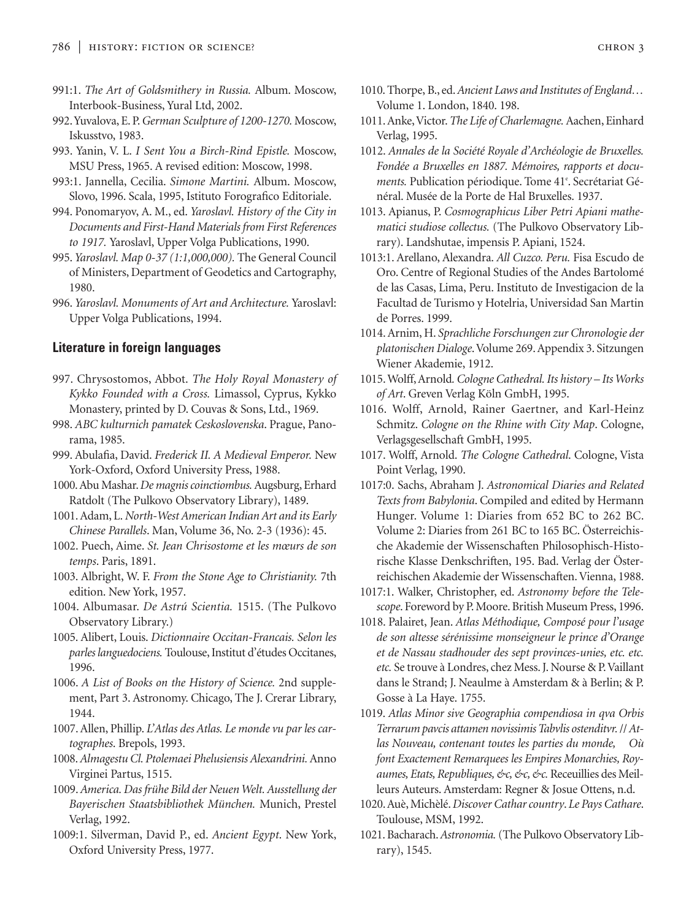- 991:1. *The Art of Goldsmithery in Russia.* Album. Moscow, Interbook-Business, Yural Ltd, 2002.
- 992.Yuvalova, E. P.*German Sculpture of 1200-1270.* Moscow, Iskusstvo, 1983.
- 993. Yanin, V. L. *I Sent You a Birch-Rind Epistle.* Moscow, MSU Press, 1965. A revised edition: Moscow, 1998.
- 993:1. Jannella, Cecilia. *Simone Martini.* Album. Moscow, Slovo, 1996. Scala, 1995, Istituto Forografico Editoriale.
- 994. Ponomaryov, A. M., ed. *Yaroslavl. History of the City in Documents and First-Hand Materials from First References to 1917.* Yaroslavl, Upper Volga Publications, 1990.
- 995. *Yaroslavl. Map 0-37 (1:1,000,000).* The General Council of Ministers, Department of Geodetics and Cartography, 1980.
- 996. *Yaroslavl. Monuments of Art and Architecture.* Yaroslavl: Upper Volga Publications, 1994.

## **Literature in foreign languages**

- 997. Chrysostomos, Abbot. *The Holy Royal Monastery of Kykko Founded with a Cross.* Limassol, Cyprus, Kykko Monastery, printed by D. Couvas & Sons, Ltd., 1969.
- 998. *ABC kulturnich pamatek Ceskoslovenska*. Prague, Panorama, 1985.
- 999. Abulafia, David. *Frederick II. A Medieval Emperor.* New York-Oxford, Oxford University Press, 1988.
- 1000. Abu Mashar.*De magnis coinctiombus.*Augsburg, Erhard Ratdolt (The Pulkovo Observatory Library), 1489.
- 1001. Adam, L. *North-West American Indian Art and its Early Chinese Parallels*. Man, Volume 36, No. 2-3 (1936): 45.
- 1002. Puech, Aime. *St. Jean Chrisostome et les mœurs de son temps*. Paris, 1891.
- 1003. Albright, W. F. *From the Stone Age to Christianity.* 7th edition. New York, 1957.
- 1004. Albumasar. *De Astrú Scientia.* 1515. (The Pulkovo Observatory Library.)
- 1005. Alibert, Louis. *Dictionnaire Occitan-Francais. Selon les parles languedociens.* Toulouse, Institut d'études Occitanes, 1996.
- 1006. *A List of Books on the History of Science.* 2nd supplement, Part 3. Astronomy. Chicago, The J. Crerar Library, 1944.
- 1007. Allen, Phillip. *L'Atlas des Atlas. Le monde vu par les cartographes*. Brepols, 1993.
- 1008.*Almagestu Cl. Ptolemaei Phelusiensis Alexandrini.*Anno Virginei Partus, 1515.
- 1009.*America. Das frühe Bild der Neuen Welt. Ausstellung der Bayerischen Staatsbibliothek München.* Munich, Prestel Verlag, 1992.
- 1009:1. Silverman, David P., ed. *Ancient Egypt*. New York, Oxford University Press, 1977.
- 1010. Thorpe, B., ed.*Ancient Laws and Institutes of England…* Volume 1. London, 1840. 198.
- 1011. Anke,Victor.*The Life of Charlemagne.*Aachen, Einhard Verlag, 1995.
- 1012. *Annales de la Société Royale d'Archéologie de Bruxelles. Fondée a Bruxelles en 1887. Mémoires, rapports et docu*ments. Publication périodique. Tome 41<sup>e</sup>. Secrétariat Général. Musée de la Porte de Hal Bruxelles. 1937.
- 1013. Apianus, P. *Cosmographicus Liber Petri Apiani mathematici studiose collectus.* (The Pulkovo Observatory Library). Landshutae, impensis P. Apiani, 1524.
- 1013:1. Arellano, Alexandra. *All Cuzco. Peru.* Fisa Escudo de Oro. Centre of Regional Studies of the Andes Bartolomé de las Casas, Lima, Peru. Instituto de Investigacion de la Facultad de Turismo y Hotelria, Universidad San Martin de Porres. 1999.
- 1014. Arnim, H. *Sprachliche Forschungen zur Chronologie der platonischen Dialoge*.Volume 269. Appendix 3. Sitzungen Wiener Akademie, 1912.
- 1015. Wolff, Arnold*. Cologne Cathedral. Its history Its Works of Art*. Greven Verlag Köln GmbH, 1995.
- 1016. Wolff, Arnold, Rainer Gaertner, and Karl-Heinz Schmitz. *Cologne on the Rhine with City Map*. Cologne, Verlagsgesellschaft GmbH, 1995.
- 1017. Wolff, Arnold. *The Cologne Cathedral*. Cologne, Vista Point Verlag, 1990.
- 1017:0. Sachs, Abraham J. *Astronomical Diaries and Related Texts from Babylonia*. Compiled and edited by Hermann Hunger. Volume 1: Diaries from 652 BC to 262 BC. Volume 2: Diaries from 261 BC to 165 BC. Österreichische Akademie der Wissenschaften Philosophisch-Historische Klasse Denkschriften, 195. Bad. Verlag der Österreichischen Akademie der Wissenschaften. Vienna, 1988.
- 1017:1. Walker, Christopher, ed. *Astronomy before the Telescope*. Foreword by P. Moore. British Museum Press, 1996.
- 1018. Palairet, Jean. *Atlas Méthodique, Composé pour l'usage de son altesse sérénissime monseigneur le prince d'Orange et de Nassau stadhouder des sept provinces-unies, etc. etc. etc.* Se trouve à Londres, chez Mess. J. Nourse & P.Vaillant dans le Strand; J. Neaulme à Amsterdam & à Berlin; & P. Gosse à La Haye. 1755.
- 1019. *Atlas Minor sive Geographia compendiosa in qva Orbis Terrarum pavcis attamen novissimis Tabvlis ostenditvr.*// *Atlas Nouveau, contenant toutes les parties du monde, Où font Exactement Remarquees les Empires Monarchies, Royaumes, Etats, Republiques, &c, &c, &c.* Receuillies des Meilleurs Auteurs. Amsterdam: Regner & Josue Ottens, n.d.
- 1020. Auè, Michèlé. *Discover Cathar country*. *Le Pays Cathare*. Toulouse, MSM, 1992.
- 1021. Bacharach.*Astronomia.*(The Pulkovo Observatory Library), 1545.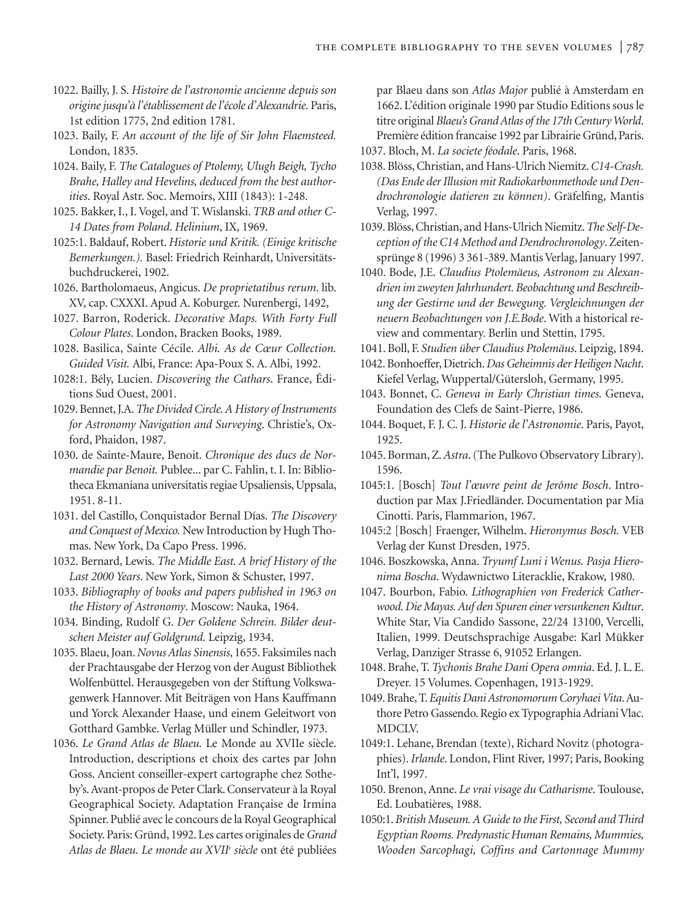- 1022. Bailly, J. S. *Histoire de l'astronomie ancienne depuis son origine jusqu'à l'établissement de l'école d'Alexandrie.* Paris, 1st edition 1775, 2nd edition 1781.
- 1023. Baily, F. *An account of the life of Sir John Flaemsteed.* London, 1835.
- 1024. Baily, F. *The Catalogues of Ptolemy, Ulugh Beigh, Tycho Brahe, Halley and Hevelins, deduced from the best authorities*. Royal Astr. Soc. Memoirs, XIII (1843): 1-248.
- 1025. Bakker, I., I. Vogel, and T. Wislanski. *TRB and other C-14 Dates from Poland*. *Helinium*, IX, 1969.
- 1025:1. Baldauf, Robert. *Historie und Kritik. (Einige kritische Bemerkungen.).* Basel: Friedrich Reinhardt, Universitätsbuchdruckerei, 1902.
- 1026. Bartholomaeus, Angicus. *De proprietatibus rerum*. lib. XV, cap. CXXXI. Apud A. Koburger. Nurenbergi, 1492,
- 1027. Barron, Roderick. *Decorative Maps. With Forty Full Colour Plates*. London, Bracken Books, 1989.
- 1028. Basilica, Sainte Cécile. *Albi. As de Cœur Collection. Guided Visit.* Albi, France: Apa-Poux S. A. Albi, 1992.
- 1028:1. Bély, Lucien. *Discovering the Cathars*. France, Éditions Sud Ouest, 2001.
- 1029. Bennet, J.A.*The Divided Circle. A History of Instruments for Astronomy Navigation and Surveying*. Christie's, Oxford, Phaidon, 1987.
- 1030. de Sainte-Maure, Benoit. *Chronique des ducs de Normandie par Benoit.* Publee... par C. Fahlin, t. I. In: Bibliotheca Ekmaniana universitatis regiae Upsaliensis, Uppsala, 1951. 8-11.
- 1031. del Castillo, Conquistador Bernal Días. *The Discovery and Conquest of Mexico.* New Introduction by Hugh Thomas. New York, Da Capo Press. 1996.
- 1032. Bernard, Lewis. *The Middle East. A brief History of the Last 2000 Years*. New York, Simon & Schuster, 1997.
- 1033. *Bibliography of books and papers published in 1963 on the History of Astronomy*. Moscow: Nauka, 1964.
- 1034. Binding, Rudolf G. *Der Goldene Schrein. Bilder deutschen Meister auf Goldgrund.* Leipzig, 1934.
- 1035. Blaeu, Joan.*Novus Atlas Sinensis*, 1655. Faksimiles nach der Prachtausgabe der Herzog von der August Bibliothek Wolfenbüttel. Herausgegeben von der Stiftung Volkswagenwerk Hannover. Mit Beiträgen von Hans Kauffmann und Yorck Alexander Haase, und einem Geleitwort von Gotthard Gambke. Verlag Müller und Schindler, 1973.
- 1036. *Le Grand Atlas de Blaeu.* Le Monde au XVIIe siècle. Introduction, descriptions et choix des cartes par John Goss. Ancient conseiller-expert cartographe chez Sotheby's. Avant-propos de Peter Clark. Conservateur à la Royal Geographical Society. Adaptation Française de Irmina Spinner. Publié avec le concours de la Royal Geographical Society. Paris: Gründ, 1992. Les cartes originales de *Grand Atlas de Blaeu. Le monde au XVIIe siècle* ont été publiées

par Blaeu dans son *Atlas Major* publié à Amsterdam en 1662. L'édition originale 1990 par Studio Editions sous le titre original *Blaeu's Grand Atlas of the 17th Century World*. Première édition francaise 1992 par Librairie Gründ, Paris.

- 1037. Bloch, M. *La societe féodale*. Paris, 1968.
- 1038. Blöss, Christian, and Hans-Ulrich Niemitz.*C14-Crash. (Das Ende der Illusion mit Radiokarbonmethode und Dendrochronologie datieren zu können)*. Gräfelfing, Mantis Verlag, 1997.
- 1039. Blöss, Christian, and Hans-Ulrich Niemitz.*The Self-Deception of the C14 Method and Dendrochronology*. Zeitensprünge 8 (1996) 3 361-389. Mantis Verlag, January 1997.
- 1040. Bode, J.E. *Claudius Ptolemäeus, Astronom zu Alexandrien im zweyten Jahrhundert. Beobachtung und Beschreibung der Gestirne und der Bewegung. Vergleichnungen der neuern Beobachtungen von J.E.Bode*. With a historical review and commentary. Berlin und Stettin, 1795.
- 1041. Boll, F. *Studien über Claudius Ptolemäus*. Leipzig, 1894.
- 1042. Bonhoeffer, Dietrich.*Das Geheimnis der Heiligen Nacht*. Kiefel Verlag, Wuppertal/Gütersloh, Germany, 1995.
- 1043. Bonnet, C. *Geneva in Early Christian times*. Geneva, Foundation des Clefs de Saint-Pierre, 1986.
- 1044. Boquet, F. J. C. J. *Historie de l'Astronomie*. Paris, Payot, 1925.
- 1045. Borman, Z.*Astra*. (The Pulkovo Observatory Library). 1596.
- 1045:1. [Bosch] *Tout l'œuvre peint de Jerôme Bosch*. Introduction par Max J.Friedländer. Documentation par Mia Cinotti. Paris, Flammarion, 1967.
- 1045:2 [Bosch] Fraenger, Wilhelm. *Hieronymus Bosch.* VEB Verlag der Kunst Dresden, 1975.
- 1046. Boszkowska, Anna. *Tryumf Luni i Wenus. Pasja Hieronima Boscha*. Wydawnictwo Literacklie, Krakow, 1980.
- 1047. Bourbon, Fabio. *Lithographien von Frederick Catherwood. Die Mayas. Auf den Spuren einer versunkenen Kultur*. White Star, Via Candido Sassone, 22/24 13100, Vercelli, Italien, 1999. Deutschsprachige Ausgabe: Karl Mükker Verlag, Danziger Strasse 6, 91052 Erlangen.
- 1048. Brahe, T. *Tychonis Brahe Dani Opera omnia*. Ed. J. L. E. Dreyer. 15 Volumes. Copenhagen, 1913-1929.
- 1049. Brahe, T.*Equitis Dani Astronomorum Coryhaei Vita*. Authore Petro Gassendo. Regio ex Typographia Adriani Vlac. MDCLV.
- 1049:1. Lehane, Brendan (texte), Richard Novitz (photographies). *Irlande*. London, Flint River, 1997; Paris, Booking Int'l, 1997.
- 1050. Brenon, Anne. *Le vrai visage du Catharisme*. Toulouse, Ed. Loubatières, 1988.
- 1050:1.*British Museum. A Guide to the First, Second and Third Egyptian Rooms. Predynastic Human Remains, Mummies, Wooden Sarcophagi, Coffins and Cartonnage Mummy*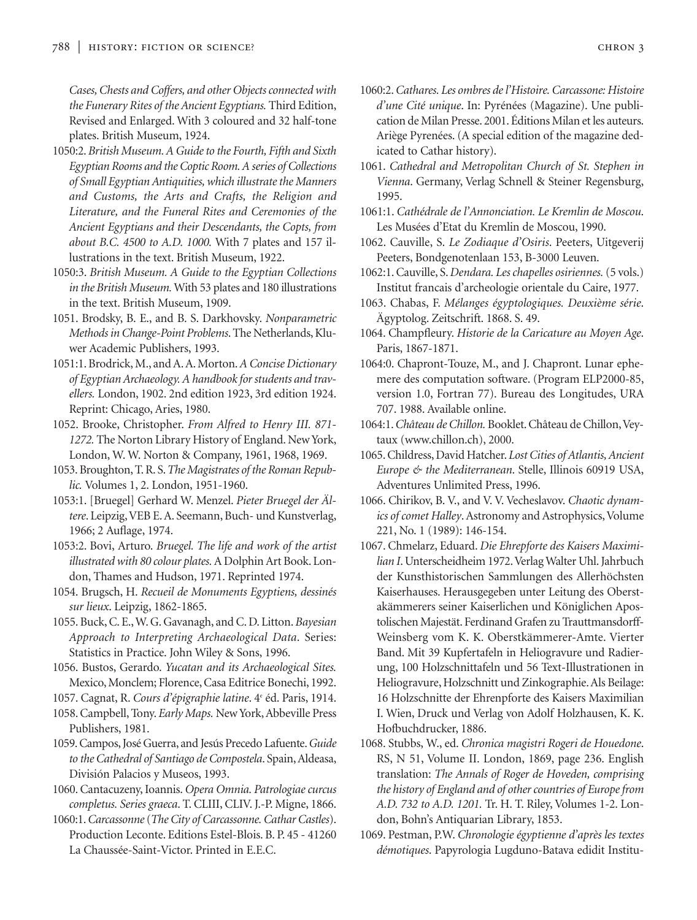*Cases, Chests and Coffers, and other Objects connected with the Funerary Rites of the Ancient Egyptians.* Third Edition, Revised and Enlarged. With 3 coloured and 32 half-tone plates. British Museum, 1924.

- 1050:2.*British Museum. A Guide to the Fourth, Fifth and Sixth Egyptian Rooms and the Coptic Room. A series of Collections of Small Egyptian Antiquities, which illustrate the Manners and Customs, the Arts and Crafts, the Religion and Literature, and the Funeral Rites and Ceremonies of the Ancient Egyptians and their Descendants, the Copts, from about B.C. 4500 to A.D. 1000.* With 7 plates and 157 illustrations in the text. British Museum, 1922.
- 1050:3. *British Museum. A Guide to the Egyptian Collections in the British Museum.*With 53 plates and 180 illustrations in the text. British Museum, 1909.
- 1051. Brodsky, B. E., and B. S. Darkhovsky. *Nonparametric Methods in Change-Point Problems*. The Netherlands, Kluwer Academic Publishers, 1993.
- 1051:1. Brodrick, M., and A. A. Morton.*A Concise Dictionary of Egyptian Archaeology. A handbook for students and travellers.* London, 1902. 2nd edition 1923, 3rd edition 1924. Reprint: Chicago, Aries, 1980.
- 1052. Brooke, Christopher. *From Alfred to Henry III. 871- 1272.* The Norton Library History of England. New York, London, W. W. Norton & Company, 1961, 1968, 1969.
- 1053. Broughton, T. R. S.*The Magistrates of the Roman Republic.* Volumes 1, 2. London, 1951-1960.
- 1053:1. [Bruegel] Gerhard W. Menzel. *Pieter Bruegel der Ältere*. Leipzig,VEB E. A. Seemann, Buch- und Kunstverlag, 1966; 2 Auflage, 1974.
- 1053:2. Bovi, Arturo. *Bruegel. The life and work of the artist illustrated with 80 colour plates.*A Dolphin Art Book. London, Thames and Hudson, 1971. Reprinted 1974.
- 1054. Brugsch, H. *Recueil de Monuments Egyptiens, dessinés sur lieux*. Leipzig, 1862-1865.
- 1055. Buck, C. E., W. G. Gavanagh, and C. D. Litton.*Bayesian Approach to Interpreting Archaeological Data*. Series: Statistics in Practice. John Wiley & Sons, 1996.
- 1056. Bustos, Gerardo. *Yucatan and its Archaeological Sites.* Mexico, Monclem; Florence, Casa Editrice Bonechi, 1992.
- 1057. Cagnat, R. *Cours d'épigraphie latine*. 4e éd. Paris, 1914.
- 1058. Campbell, Tony. *Early Maps.* New York, Abbeville Press Publishers, 1981.
- 1059. Campos, José Guerra, and Jesús Precedo Lafuente.*Guide to the Cathedral of Santiago de Compostela*. Spain, Aldeasa, División Palacios y Museos, 1993.
- 1060. Cantacuzeny, Ioannis. *Opera Omnia. Patrologiae curcus completus. Series graeca*. T. CLIII, CLIV. J.-P. Migne, 1866.
- 1060:1.*Carcassonne*(*The City of Carcassonne. Cathar Castles*). Production Leconte. Editions Estel-Blois. B. P. 45 - 41260 La Chaussée-Saint-Victor. Printed in E.E.C.
- 1060:2.*Cathares. Les ombres de l'Histoire. Carcassone: Histoire d'une Cité unique*. In: Pyrénées (Magazine). Une publication de Milan Presse. 2001. Éditions Milan et les auteurs. Ariège Pyrenées. (A special edition of the magazine dedicated to Cathar history).
- 1061. *Cathedral and Metropolitan Church of St. Stephen in Vienna*. Germany, Verlag Schnell & Steiner Regensburg, 1995.
- 1061:1. *Cathédrale de l'Annonciation. Le Kremlin de Moscou*. Les Musées d'Etat du Kremlin de Moscou, 1990.
- 1062. Cauville, S. *Le Zodiaque d'Osiris*. Peeters, Uitgeverij Peeters, Bondgenotenlaan 153, B-3000 Leuven.
- 1062:1. Cauville, S. *Dendara. Les chapelles osiriennes.*(5 vols.) Institut francais d'archeologie orientale du Caire, 1977.
- 1063. Chabas, F. *Mélanges égyptologiques. Deuxième série*. Ägyptolog. Zeitschrift. 1868. S. 49.
- 1064. Champfleury. *Historie de la Caricature au Moyen Age*. Paris, 1867-1871.
- 1064:0. Chapront-Touze, M., and J. Chapront. Lunar ephemere des computation software. (Program ELP2000-85, version 1.0, Fortran 77). Bureau des Longitudes, URA 707. 1988. Available online.
- 1064:1.*Château de Chillon.* Booklet. Château de Chillon,Veytaux (www.chillon.ch), 2000.
- 1065. Childress, David Hatcher. *Lost Cities of Atlantis, Ancient Europe & the Mediterranean*. Stelle, Illinois 60919 USA, Adventures Unlimited Press, 1996.
- 1066. Chirikov, B. V., and V. V. Vecheslavov. *Chaotic dynamics of comet Halley*. Astronomy and Astrophysics, Volume 221, No. 1 (1989): 146-154.
- 1067. Chmelarz, Eduard. *Die Ehrepforte des Kaisers Maximilian I*. Unterscheidheim 1972.Verlag Walter Uhl. Jahrbuch der Kunsthistorischen Sammlungen des Allerhöchsten Kaiserhauses. Herausgegeben unter Leitung des Oberstakämmerers seiner Kaiserlichen und Königlichen Apostolischen Majestät. Ferdinand Grafen zu Trauttmansdorff-Weinsberg vom K. K. Oberstkämmerer-Amte. Vierter Band. Mit 39 Kupfertafeln in Heliogravure und Radierung, 100 Holzschnittafeln und 56 Text-Illustrationen in Heliogravure, Holzschnitt und Zinkographie. Als Beilage: 16 Holzschnitte der Ehrenpforte des Kaisers Maximilian I. Wien, Druck und Verlag von Adolf Holzhausen, K. K. Hofbuchdrucker, 1886.
- 1068. Stubbs, W., ed. *Chronica magistri Rogeri de Houedone*. RS, N 51, Volume II. London, 1869, page 236. English translation: *The Annals of Roger de Hoveden, comprising the history of England and of other countries of Europe from A.D. 732 to A.D. 1201.* Tr. H. T. Riley, Volumes 1-2. London, Bohn's Antiquarian Library, 1853.
- 1069. Pestman, P.W. *Chronologie égyptienne d'après les textes démotiques*. Papyrologia Lugduno-Batava edidit Institu-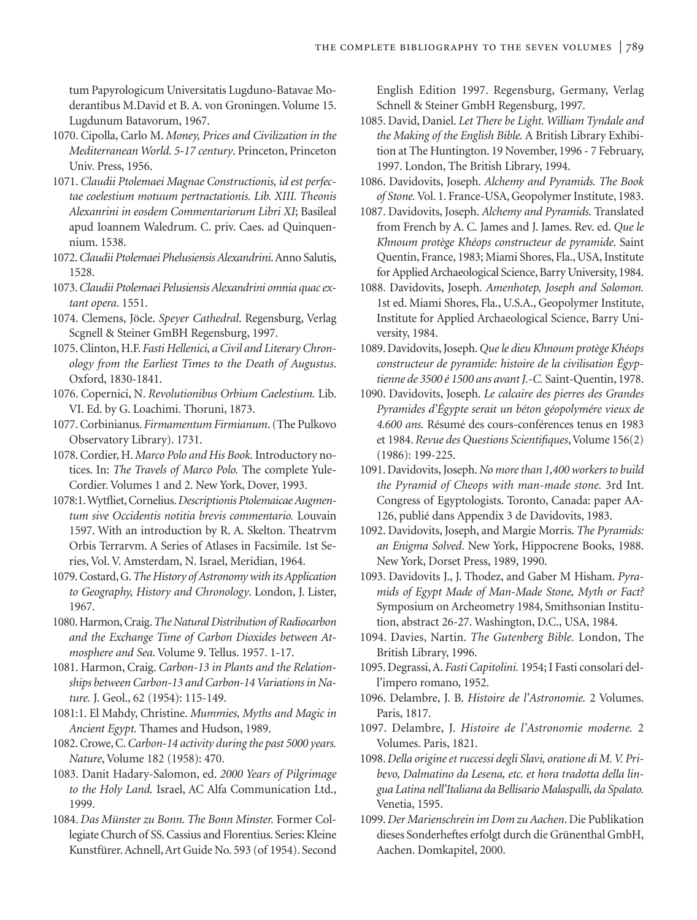tum Papyrologicum Universitatis Lugduno-Batavae Moderantibus M.David et B. A. von Groningen. Volume 15. Lugdunum Batavorum, 1967.

- 1070. Cipolla, Carlo M. *Money, Prices and Civilization in the Mediterranean World. 5-17 century*. Princeton, Princeton Univ. Press, 1956.
- 1071. *Claudii Ptolemaei Magnae Constructionis, id est perfectae coelestium motuum pertractationis. Lib. XIII. Theonis Alexanrini in eosdem Commentariorum Libri XI*; Basileal apud Ioannem Waledrum. C. priv. Caes. ad Quinquennium. 1538.
- 1072.*Claudii Ptolemaei Phelusiensis Alexandrini*.Anno Salutis, 1528.
- 1073.*Claudii Ptolemaei Pelusiensis Alexandrini omnia quac extant opera*. 1551.
- 1074. Clemens, Jöcle. *Speyer Cathedral*. Regensburg, Verlag Scgnell & Steiner GmBH Regensburg, 1997.
- 1075. Clinton, H.F. *Fasti Hellenici, a Civil and Literary Chronology from the Earliest Times to the Death of Augustus*. Oxford, 1830-1841.
- 1076. Copernici, N. *Revolutionibus Orbium Caelestium.* Lib. VI. Ed. by G. Loachimi. Thoruni, 1873.
- 1077. Corbinianus. *Firmamentum Firmianum*. (The Pulkovo Observatory Library). 1731.
- 1078. Cordier, H.*Marco Polo and His Book.*Introductory notices. In: *The Travels of Marco Polo.* The complete Yule-Cordier. Volumes 1 and 2. New York, Dover, 1993.
- 1078:1.Wytfliet, Cornelius.*Descriptionis Ptolemaicae Augmentum sive Occidentis notitia brevis commentario.* Louvain 1597. With an introduction by R. A. Skelton. Theatrvm Orbis Terrarvm. A Series of Atlases in Facsimile. 1st Series, Vol. V. Amsterdam, N. Israel, Meridian, 1964.
- 1079. Costard, G.*The History of Astronomy with its Application to Geography, History and Chronology*. London, J. Lister, 1967.
- 1080. Harmon, Craig.*The Natural Distribution of Radiocarbon and the Exchange Time of Carbon Dioxides between Atmosphere and Sea*. Volume 9. Tellus. 1957. 1-17.
- 1081. Harmon, Craig. *Carbon-13 in Plants and the Relationships between Carbon-13 and Carbon-14 Variations in Nature.* J. Geol., 62 (1954): 115-149.
- 1081:1. El Mahdy, Christine. *Mummies, Myths and Magic in Ancient Egypt.* Thames and Hudson, 1989.
- 1082. Crowe, C.*Carbon-14 activity during the past 5000 years. Nature*, Volume 182 (1958): 470.
- 1083. Danit Hadary-Salomon, ed. *2000 Years of Pilgrimage to the Holy Land.* Israel, AC Alfa Communication Ltd., 1999.
- 1084. *Das Münster zu Bonn. The Bonn Minster.* Former Collegiate Church of SS. Cassius and Florentius. Series: Kleine Kunstfürer. Achnell, Art Guide No. 593 (of 1954). Second

English Edition 1997. Regensburg, Germany, Verlag Schnell & Steiner GmbH Regensburg, 1997.

- 1085. David, Daniel. *Let There be Light. William Tyndale and the Making of the English Bible.* A British Library Exhibition at The Huntington. 19 November, 1996 - 7 February, 1997. London, The British Library, 1994.
- 1086. Davidovits, Joseph. *Alchemy and Pyramids. The Book of Stone.*Vol. 1. France-USA, Geopolymer Institute, 1983.
- 1087. Davidovits, Joseph. *Alchemy and Pyramids.* Translated from French by A. C. James and J. James. Rev. ed. *Que le Khnoum protège Khéops constructeur de pyramide*. Saint Quentin, France, 1983; Miami Shores, Fla., USA, Institute for Applied Archaeological Science, Barry University, 1984.
- 1088. Davidovits, Joseph. *Amenhotep, Joseph and Solomon.* 1st ed. Miami Shores, Fla., U.S.A., Geopolymer Institute, Institute for Applied Archaeological Science, Barry University, 1984.
- 1089. Davidovits, Joseph. *Que le dieu Khnoum protège Khéops constructeur de pyramide: histoire de la civilisation Égyptienne de 3500 é 1500 ans avant J.-C.* Saint-Quentin, 1978.
- 1090. Davidovits, Joseph. *Le calcaire des pierres des Grandes Pyramides d'Égypte serait un béton géopolymére vieux de 4.600 ans.* Résumé des cours-conférences tenus en 1983 et 1984. *Revue des Questions Scientifiques*, Volume 156(2) (1986): 199-225.
- 1091. Davidovits, Joseph.*No more than 1,400 workers to build the Pyramid of Cheops with man-made stone.* 3rd Int. Congress of Egyptologists. Toronto, Canada: paper AA-126, publié dans Appendix 3 de Davidovits, 1983.
- 1092. Davidovits, Joseph, and Margie Morris. *The Pyramids: an Enigma Solved*. New York, Hippocrene Books, 1988. New York, Dorset Press, 1989, 1990.
- 1093. Davidovits J., J. Thodez, and Gaber M Hisham. *Pyramids of Egypt Made of Man-Made Stone, Myth or Fact?* Symposium on Archeometry 1984, Smithsonian Institution, abstract 26-27. Washington, D.C., USA, 1984.
- 1094. Davies, Nartin. *The Gutenberg Bible.* London, The British Library, 1996.
- 1095. Degrassi, A. *Fasti Capitolini.* 1954; I Fasti consolari dell'impero romano, 1952.
- 1096. Delambre, J. B. *Histoire de l'Astronomie.* 2 Volumes. Paris, 1817.
- 1097. Delambre, J. *Histoire de l'Astronomie moderne.* 2 Volumes. Paris, 1821.
- 1098. *Della origine et ruccessi degli Slavi, oratione di M. V. Pribevo, Dalmatino da Lesena, etc. et hora tradotta della lingua Latina nell'Italiana da Bellisario Malaspalli, da Spalato.* Venetia, 1595.
- 1099. *Der Marienschrein im Dom zu Aachen*. Die Publikation dieses Sonderheftes erfolgt durch die Grünenthal GmbH, Aachen. Domkapitel, 2000.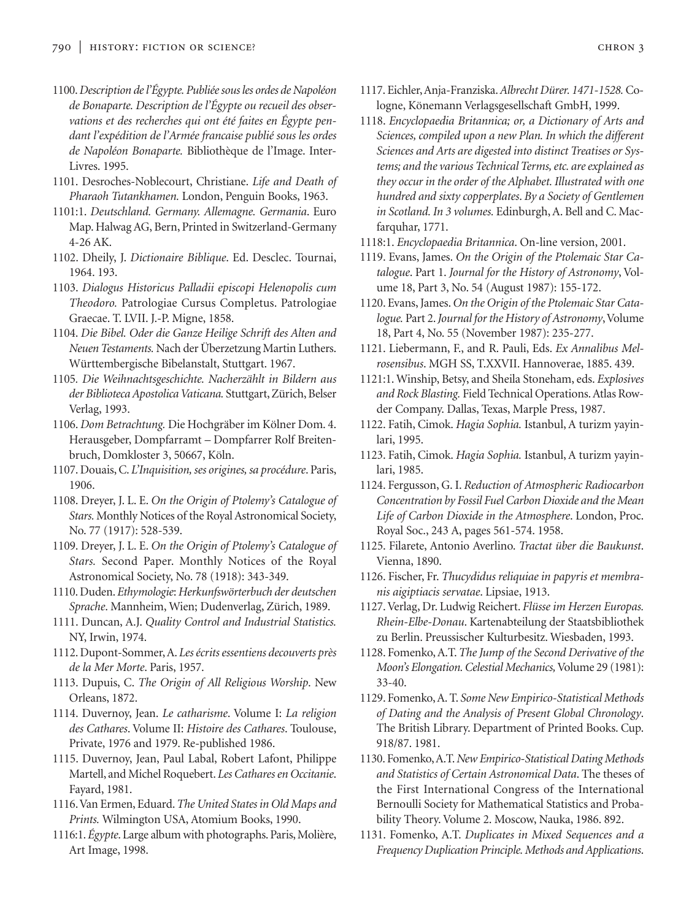- 1100.*Description de l'Égypte. Publiée sous les ordes de Napoléon de Bonaparte. Description de l'Égypte ou recueil des observations et des recherches qui ont été faites en Égypte pendant l'expédition de l'Armée francaise publié sous les ordes de Napoléon Bonaparte.* Bibliothèque de l'Image. Inter-Livres. 1995.
- 1101. Desroches-Noblecourt, Christiane. *Life and Death of Pharaoh Tutankhamen.* London, Penguin Books, 1963.
- 1101:1. *Deutschland. Germany. Allemagne. Germania*. Euro Map.Halwag AG, Bern, Printed in Switzerland-Germany 4-26 AK.
- 1102. Dheily, J. *Dictionaire Biblique*. Ed. Desclec. Tournai, 1964. 193.
- 1103. *Dialogus Historicus Palladii episcopi Helenopolis cum Theodoro.* Patrologiae Cursus Completus. Patrologiae Graecae. T. LVII. J.-P. Migne, 1858.
- 1104. *Die Bibel. Oder die Ganze Heilige Schrift des Alten and Neuen Testaments.* Nach der Überzetzung Martin Luthers. Württembergische Bibelanstalt, Stuttgart. 1967.
- 1105*. Die Weihnachtsgeschichte. Nacherzählt in Bildern aus der Biblioteca Apostolica Vaticana.* Stuttgart, Zürich, Belser Verlag, 1993.
- 1106. *Dom Betrachtung.* Die Hochgräber im Kölner Dom. 4. Herausgeber, Dompfarramt – Dompfarrer Rolf Breitenbruch, Domkloster 3, 50667, Köln.
- 1107. Douais, C. *L'Inquisition, ses origines, sa procédure*. Paris, 1906.
- 1108. Dreyer, J. L. E. *On the Origin of Ptolemy's Catalogue of Stars.* Monthly Notices of the Royal Astronomical Society, No. 77 (1917): 528-539.
- 1109. Dreyer, J. L. E. *On the Origin of Ptolemy's Catalogue of Stars.* Second Paper. Monthly Notices of the Royal Astronomical Society, No. 78 (1918): 343-349.
- 1110. Duden. *Ethymologie*: *Herkunfswörterbuch der deutschen Sprache*. Mannheim, Wien; Dudenverlag, Zürich, 1989.
- 1111. Duncan, A.J. *Quality Control and Industrial Statistics.* NY, Irwin, 1974.
- 1112. Dupont-Sommer, A. *Les écrits essentiens decouverts près de la Mer Morte*. Paris, 1957.
- 1113. Dupuis, C. *The Origin of All Religious Worship*. New Orleans, 1872.
- 1114. Duvernoy, Jean. *Le catharisme*. Volume I: *La religion des Cathares*. Volume II: *Histoire des Cathares*. Toulouse, Private, 1976 and 1979. Re-published 1986.
- 1115. Duvernoy, Jean, Paul Labal, Robert Lafont, Philippe Martell, and Michel Roquebert. *Les Cathares en Occitanie*. Fayard, 1981.
- 1116.Van Ermen, Eduard.*The United States in Old Maps and Prints.* Wilmington USA, Atomium Books, 1990.
- 1116:1. *Égypte*. Large album with photographs. Paris, Molière, Art Image, 1998.
- 1117. Eichler, Anja-Franziska.*Albrecht Dürer. 1471-1528.*Cologne, Könemann Verlagsgesellschaft GmbH, 1999.
- 1118. *Encyclopaedia Britannica; or, a Dictionary of Arts and Sciences, compiled upon a new Plan. In which the different Sciences and Arts are digested into distinct Treatises or Systems; and the various Technical Terms, etc. are explained as they occur in the order of the Alphabet. Illustrated with one hundred and sixty copperplates*. *By a Society of Gentlemen in Scotland. In 3 volumes.* Edinburgh, A. Bell and C. Macfarquhar, 1771.
- 1118:1. *Encyclopaedia Britannica*. On-line version, 2001.
- 1119. Evans, James. *On the Origin of the Ptolemaic Star Catalogue*. Part 1. *Journal for the History of Astronomy*, Volume 18, Part 3, No. 54 (August 1987): 155-172.
- 1120. Evans, James. *On the Origin of the Ptolemaic Star Cata*logue. Part 2. Journal for the History of Astronomy, Volume 18, Part 4, No. 55 (November 1987): 235-277.
- 1121. Liebermann, F., and R. Pauli, Eds. *Ex Annalibus Melrosensibus*. MGH SS, T.XXVII. Hannoverae, 1885. 439.
- 1121:1. Winship, Betsy, and Sheila Stoneham, eds. *Explosives and Rock Blasting.* Field Technical Operations. Atlas Rowder Company. Dallas, Texas, Marple Press, 1987.
- 1122. Fatih, Cimok. *Hagia Sophia.* Istanbul, A turizm yayinlari, 1995.
- 1123. Fatih, Cimok. *Hagia Sophia.* Istanbul, A turizm yayinlari, 1985.
- 1124. Fergusson, G. I. *Reduction of Atmospheric Radiocarbon Concentration by Fossil Fuel Carbon Dioxide and the Mean Life of Carbon Dioxide in the Atmosphere*. London, Proc. Royal Soc., 243 A, pages 561-574. 1958.
- 1125. Filarete, Antonio Averlino. *Tractat über die Baukunst*. Vienna, 1890.
- 1126. Fischer, Fr. *Thucydidus reliquiae in papyris et membranis aigiptiacis servatae*. Lipsiae, 1913.
- 1127. Verlag, Dr. Ludwig Reichert. *Flüsse im Herzen Europas. Rhein-Elbe-Donau*. Kartenabteilung der Staatsbibliothek zu Berlin. Preussischer Kulturbesitz. Wiesbaden, 1993.
- 1128. Fomenko, A.T. *The Jump of the Second Derivative of the Moon's Elongation. Celestial Mechanics,*Volume 29 (1981): 33-40.
- 1129. Fomenko, A. T. *Some New Empirico-Statistical Methods of Dating and the Analysis of Present Global Chronology*. The British Library. Department of Printed Books. Cup. 918/87. 1981.
- 1130. Fomenko, A.T.*New Empirico-Statistical Dating Methods and Statistics of Certain Astronomical Data*. The theses of the First International Congress of the International Bernoulli Society for Mathematical Statistics and Probability Theory. Volume 2. Moscow, Nauka, 1986. 892.
- 1131. Fomenko, A.T. *Duplicates in Mixed Sequences and a Frequency Duplication Principle. Methods and Applications*.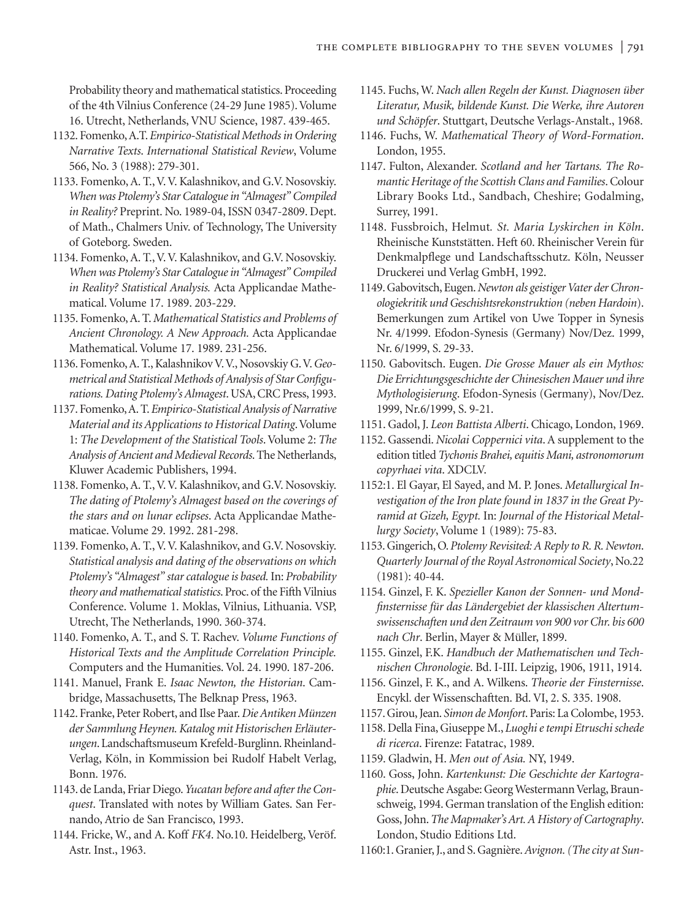Probability theory and mathematical statistics. Proceeding of the 4th Vilnius Conference (24-29 June 1985). Volume 16. Utrecht, Netherlands, VNU Science, 1987. 439-465.

- 1132. Fomenko, A.T. *Empirico-Statistical Methods in Ordering Narrative Texts*. *International Statistical Review*, Volume 566, No. 3 (1988): 279-301.
- 1133. Fomenko, A. T., V. V. Kalashnikov, and G.V. Nosovskiy. *When was Ptolemy's Star Catalogue in "Almagest" Compiled in Reality?* Preprint. No. 1989-04, ISSN 0347-2809. Dept. of Math., Chalmers Univ. of Technology, The University of Goteborg. Sweden.
- 1134. Fomenko, A. T., V. V. Kalashnikov, and G.V. Nosovskiy. *When was Ptolemy's Star Catalogue in "Almagest" Compiled in Reality? Statistical Analysis.* Acta Applicandae Mathematical. Volume 17. 1989. 203-229.
- 1135. Fomenko, A. T. *Mathematical Statistics and Problems of Ancient Chronology. A New Approach.* Acta Applicandae Mathematical. Volume 17. 1989. 231-256.
- 1136. Fomenko, A. T., Kalashnikov V.V., Nosovskiy G.V.*Geometrical and Statistical Methods of Analysis of Star Configurations. Dating Ptolemy's Almagest*.USA, CRC Press, 1993.
- 1137. Fomenko, A. T. *Empirico-Statistical Analysis of Narrative Material and its Applications to Historical Dating*. Volume 1: *The Development of the Statistical Tools*. Volume 2: *The Analysis of Ancient and Medieval Records*. The Netherlands, Kluwer Academic Publishers, 1994.
- 1138. Fomenko, A. T., V. V. Kalashnikov, and G.V. Nosovskiy. *The dating of Ptolemy's Almagest based on the coverings of the stars and on lunar eclipses*. Acta Applicandae Mathematicae. Volume 29. 1992. 281-298.
- 1139. Fomenko, A. T., V. V. Kalashnikov, and G.V. Nosovskiy. *Statistical analysis and dating of the observations on which Ptolemy's "Almagest" star catalogue is based.*In: *Probability theory and mathematical statistics*. Proc. of the Fifth Vilnius Conference. Volume 1. Moklas, Vilnius, Lithuania. VSP, Utrecht, The Netherlands, 1990. 360-374.
- 1140. Fomenko, A. T., and S. T. Rachev. *Volume Functions of Historical Texts and the Amplitude Correlation Principle.* Computers and the Humanities. Vol. 24. 1990. 187-206.
- 1141. Manuel, Frank E. *Isaac Newton, the Historian*. Cambridge, Massachusetts, The Belknap Press, 1963.
- 1142. Franke, Peter Robert, and Ilse Paar.*Die Antiken Münzen der Sammlung Heynen. Katalog mit Historischen Erläuterungen*. Landschaftsmuseum Krefeld-Burglinn. Rheinland-Verlag, Köln, in Kommission bei Rudolf Habelt Verlag, Bonn. 1976.
- 1143. de Landa, Friar Diego.*Yucatan before and after the Conquest*. Translated with notes by William Gates. San Fernando, Atrio de San Francisco, 1993.
- 1144. Fricke, W., and A. Koff *FK4*. No.10. Heidelberg, Veröf. Astr. Inst., 1963.
- 1145. Fuchs, W. *Nach allen Regeln der Kunst. Diagnosen über Literatur, Musik, bildende Kunst. Die Werke, ihre Autoren und Schöpfer*. Stuttgart, Deutsche Verlags-Anstalt., 1968.
- 1146. Fuchs, W. *Mathematical Theory of Word-Formation*. London, 1955.
- 1147. Fulton, Alexander. *Scotland and her Tartans. The Romantic Heritage of the Scottish Clans and Families*. Colour Library Books Ltd., Sandbach, Cheshire; Godalming, Surrey, 1991.
- 1148. Fussbroich, Helmut*. St. Maria Lyskirchen in Köln*. Rheinische Kunststätten. Heft 60. Rheinischer Verein für Denkmalpflege und Landschaftsschutz. Köln, Neusser Druckerei und Verlag GmbH, 1992.
- 1149. Gabovitsch, Eugen.*Newton als geistiger Vater der Chronologiekritik und Geschishtsrekonstruktion (neben Hardoin*). Bemerkungen zum Artikel von Uwe Topper in Synesis Nr. 4/1999. Efodon-Synesis (Germany) Nov/Dez. 1999, Nr. 6/1999, S. 29-33.
- 1150. Gabovitsch. Eugen. *Die Grosse Mauer als ein Mythos: Die Errichtungsgeschichte der Chinesischen Mauer und ihre Mythologisierung*. Efodon-Synesis (Germany), Nov/Dez. 1999, Nr.6/1999, S. 9-21.
- 1151. Gadol, J. *Leon Battista Alberti*. Chicago, London, 1969.
- 1152. Gassendi. *Nicolai Coppernici vita*. A supplement to the edition titled *Tychonis Brahei, equitis Mani, astronomorum copyrhaei vita*. XDCLV.
- 1152:1. El Gayar, El Sayed, and M. P. Jones. *Metallurgical Investigation of the Iron plate found in 1837 in the Great Pyramid at Gizeh, Egypt.* In: *Journal of the Historical Metallurgy Society*, Volume 1 (1989): 75-83.
- 1153. Gingerich, O.*Ptolemy Revisited: A Reply to R. R. Newton*. *Quarterly Journal of the Royal Astronomical Society*, No.22 (1981): 40-44.
- 1154. Ginzel, F. K. *Spezieller Kanon der Sonnen- und Mondfinsternisse für das Ländergebiet der klassischen Altertumswissenschaften und den Zeitraum von 900 vor Chr. bis 600 nach Chr*. Berlin, Mayer & Müller, 1899.
- 1155. Ginzel, F.K. *Handbuch der Mathematischen und Technischen Chronologie*. Bd. I-III. Leipzig, 1906, 1911, 1914.
- 1156. Ginzel, F. K., and A. Wilkens. *Theorie der Finsternisse*. Encykl. der Wissenschaftten. Bd. VI, 2. S. 335. 1908.
- 1157. Girou, Jean. *Simon de Monfort*. Paris: La Colombe, 1953.
- 1158. Della Fina, Giuseppe M., *Luoghi e tempi Etruschi schede di ricerca*. Firenze: Fatatrac, 1989.
- 1159. Gladwin, H. *Men out of Asia.* NY, 1949.
- 1160. Goss, John. *Kartenkunst: Die Geschichte der Kartographie*. Deutsche Asgabe: Georg Westermann Verlag, Braunschweig, 1994. German translation of the English edition: Goss, John.*The Mapmaker's Art. A History of Cartography*. London, Studio Editions Ltd.
- 1160:1. Granier, J., and S. Gagnière.*Avignon. (The city at Sun-*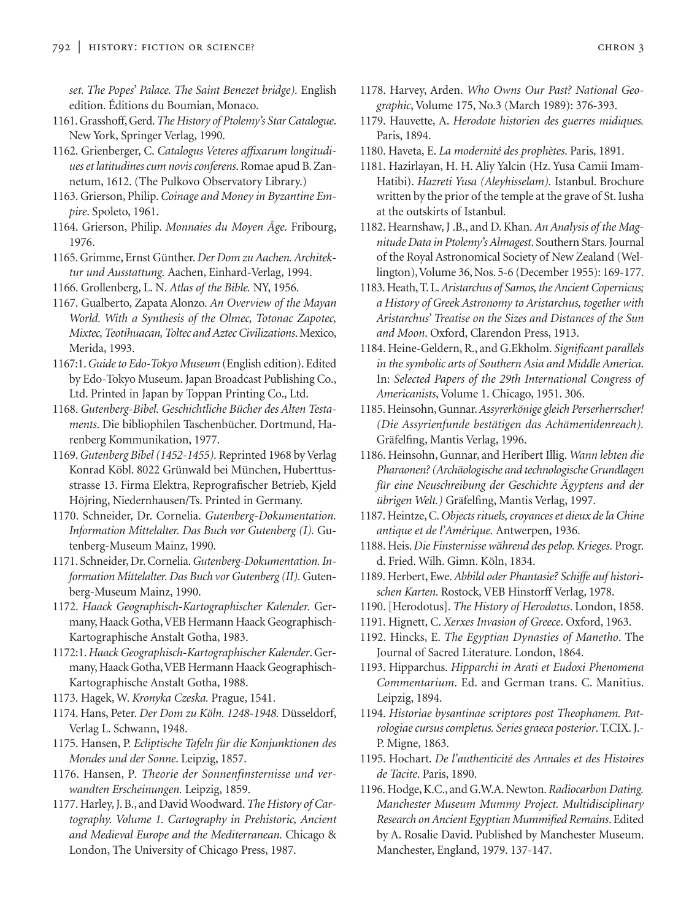*set. The Popes' Palace. The Saint Benezet bridge).* English edition. Éditions du Boumian, Monaco.

- 1161. Grasshoff, Gerd.*The History of Ptolemy's Star Catalogue*. New York, Springer Verlag, 1990.
- 1162. Grienberger, C. *Catalogus Veteres affixarum longitudiues et latitudines cum novis conferens*. Romae apud B. Zannetum, 1612. (The Pulkovo Observatory Library.)
- 1163. Grierson, Philip. *Coinage and Money in Byzantine Empire*. Spoleto, 1961.
- 1164. Grierson, Philip. *Monnaies du Moyen Âge.* Fribourg, 1976.
- 1165. Grimme, Ernst Günther. *Der Dom zu Aachen. Architektur und Ausstattung.* Aachen, Einhard-Verlag, 1994.
- 1166. Grollenberg, L. N. *Atlas of the Bible.* NY, 1956.
- 1167. Gualberto, Zapata Alonzo. *An Overview of the Mayan World. With a Synthesis of the Olmec, Totonac Zapotec, Mixtec, Teotihuacan, Toltec and Aztec Civilizations*. Mexico, Merida, 1993.
- 1167:1.*Guide to Edo-Tokyo Museum* (English edition). Edited by Edo-Tokyo Museum. Japan Broadcast Publishing Co., Ltd. Printed in Japan by Toppan Printing Co., Ltd.
- 1168. *Gutenberg-Bibel. Geschichtliche Bücher des Alten Testaments*. Die bibliophilen Taschenbücher. Dortmund, Harenberg Kommunikation, 1977.
- 1169.*Gutenberg Bibel (1452-1455).* Reprinted 1968 by Verlag Konrad Köbl. 8022 Grünwald bei München, Huberttusstrasse 13. Firma Elektra, Reprografischer Betrieb, Kjeld Höjring, Niedernhausen/Ts. Printed in Germany.
- 1170. Schneider, Dr. Cornelia. *Gutenberg-Dokumentation. Information Mittelalter. Das Buch vor Gutenberg (I).* Gutenberg-Museum Mainz, 1990.
- 1171. Schneider, Dr. Cornelia.*Gutenberg-Dokumentation. Information Mittelalter. Das Buch vor Gutenberg (II).* Gutenberg-Museum Mainz, 1990.
- 1172. *Haack Geographisch-Kartographischer Kalender.* Germany, Haack Gotha,VEB Hermann Haack Geographisch-Kartographische Anstalt Gotha, 1983.
- 1172:1.*Haack Geographisch-Kartographischer Kalender*. Germany, Haack Gotha,VEB Hermann Haack Geographisch-Kartographische Anstalt Gotha, 1988.
- 1173. Hagek, W. *Kronyka Czeska.* Prague, 1541.
- 1174. Hans, Peter. *Der Dom zu Köln. 1248-1948.* Düsseldorf, Verlag L. Schwann, 1948.
- 1175. Hansen, P. *Ecliptische Tafeln für die Konjunktionen des Mondes und der Sonne*. Leipzig, 1857.
- 1176. Hansen, P*. Theorie der Sonnenfinsternisse und verwandten Erscheinungen.* Leipzig, 1859.
- 1177. Harley, J. B., and David Woodward.*The History of Cartography. Volume 1. Cartography in Prehistoric, Ancient and Medieval Europe and the Mediterranean.* Chicago & London, The University of Chicago Press, 1987.
- 1178. Harvey, Arden. *Who Owns Our Past? National Geographic*, Volume 175, No.3 (March 1989): 376-393.
- 1179. Hauvette, A. *Herodote historien des guerres midiques.* Paris, 1894.
- 1180. Haveta, E. *La modernité des prophètes*. Paris, 1891.
- 1181. Hazirlayan, H. H. Aliy Yalcin (Hz. Yusa Camii Imam-Hatibi). *Hazreti Yusa (Aleyhisselam).* Istanbul. Brochure written by the prior of the temple at the grave of St. Iusha at the outskirts of Istanbul.
- 1182. Hearnshaw, J .B., and D. Khan. *An Analysis of the Magnitude Data in Ptolemy's Almagest*. Southern Stars. Journal of the Royal Astronomical Society of New Zealand (Wellington),Volume 36, Nos. 5-6 (December 1955): 169-177.
- 1183. Heath, T. L.*Aristarchus of Samos, the Ancient Copernicus; a History of Greek Astronomy to Aristarchus, together with Aristarchus' Treatise on the Sizes and Distances of the Sun and Moon*. Oxford, Clarendon Press, 1913.
- 1184. Heine-Geldern, R., and G.Ekholm. *Significant parallels in the symbolic arts of Southern Asia and Middle America*. In: *Selected Papers of the 29th International Congress of Americanists*, Volume 1. Chicago, 1951. 306.
- 1185. Heinsohn, Gunnar.*Assyrerkönige gleich Perserherrscher! (Die Assyrienfunde bestätigen das Achämenidenreach).* Gräfelfing, Mantis Verlag, 1996.
- 1186. Heinsohn, Gunnar, and Heribert Illig. *Wann lebten die Pharaonen? (Archäologische and technologische Grundlagen für eine Neuschreibung der Geschichte Ägyptens and der übrigen Welt.)* Gräfelfing, Mantis Verlag, 1997.
- 1187. Heintze, C.*Objects rituels, croyances et dieux de la Chine antique et de l'Amérique.* Antwerpen, 1936.
- 1188. Heis. *Die Finsternisse während des pelop. Krieges.* Progr. d. Fried. Wilh. Gimn. Köln, 1834.
- 1189. Herbert, Ewe. *Abbild oder Phantasie? Schiffe auf historischen Karten*. Rostock, VEB Hinstorff Verlag, 1978.
- 1190. [Herodotus]. *The History of Herodotus*. London, 1858.
- 1191. Hignett, C. *Xerxes Invasion of Greece*. Oxford, 1963.
- 1192. Hincks, E. *The Egyptian Dynasties of Manetho*. The Journal of Sacred Literature. London, 1864.
- 1193. Hipparchus. *Hipparchi in Arati et Eudoxi Phenomena Commentarium*. Ed. and German trans. C. Manitius. Leipzig, 1894.
- 1194. *Historiae bysantinae scriptores post Theophanem. Patrologiae cursus completus. Series graeca posterior*. T.CIX. J.- P. Migne, 1863.
- 1195. Hochart. *De l'authenticité des Annales et des Histoires de Tacite*. Paris, 1890.
- 1196. Hodge, K.C., and G.W.A. Newton.*Radiocarbon Dating. Manchester Museum Mummy Project. Multidisciplinary Research on Ancient Egyptian Mummified Remains*. Edited by A. Rosalie David. Published by Manchester Museum. Manchester, England, 1979. 137-147.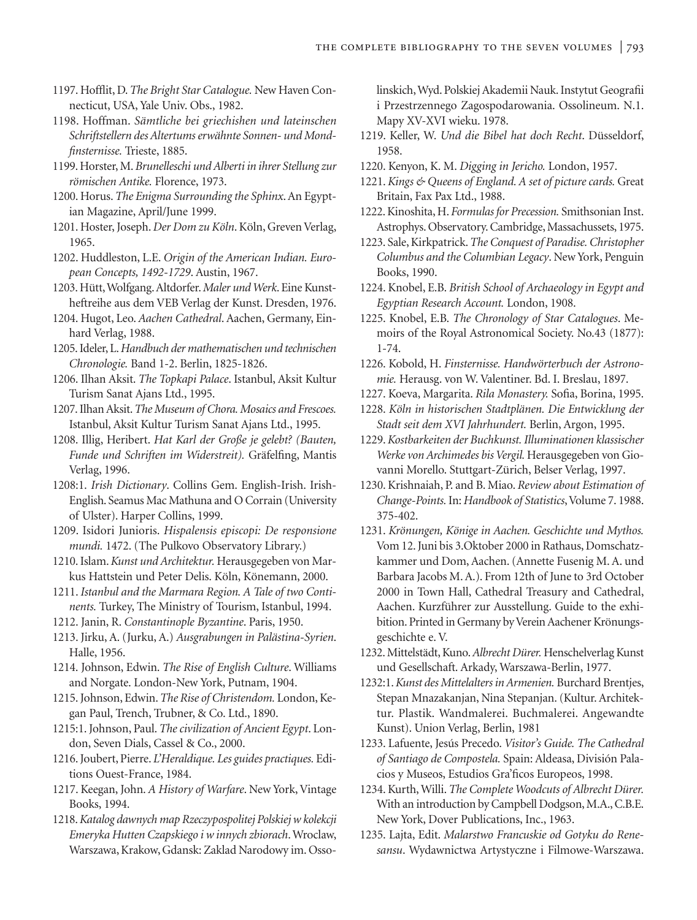- 1197. Hofflit, D.*The Bright Star Catalogue.* New Haven Connecticut, USA, Yale Univ. Obs., 1982.
- 1198. Hoffman. *Sämtliche bei griechishen und lateinschen Schriftstellern des Altertums erwähnte Sonnen- und Mondfinsternisse.* Trieste, 1885.
- 1199. Horster, M.*Brunelleschi und Alberti in ihrer Stellung zur römischen Antike.* Florence, 1973.
- 1200. Horus. *The Enigma Surrounding the Sphinx*. An Egyptian Magazine, April/June 1999.
- 1201. Hoster, Joseph. *Der Dom zu Köln*. Köln, Greven Verlag, 1965.
- 1202. Huddleston, L.E. *Origin of the American Indian. European Concepts, 1492-1729*. Austin, 1967.
- 1203. Hütt, Wolfgang. Altdorfer.*Maler und Werk*. Eine Kunstheftreihe aus dem VEB Verlag der Kunst. Dresden, 1976.
- 1204. Hugot, Leo. *Aachen Cathedral*. Aachen, Germany, Einhard Verlag, 1988.
- 1205. Ideler, L.*Handbuch der mathematischen und technischen Chronologie.* Band 1-2. Berlin, 1825-1826.
- 1206. Ilhan Aksit. *The Topkapi Palace*. Istanbul, Aksit Kultur Turism Sanat Ajans Ltd., 1995.

1207. Ilhan Aksit.*The Museum of Chora. Mosaics and Frescoes.* Istanbul, Aksit Kultur Turism Sanat Ajans Ltd., 1995.

- 1208. Illig, Heribert. *Hat Karl der Große je gelebt? (Bauten, Funde und Schriften im Widerstreit).* Gräfelfing, Mantis Verlag, 1996.
- 1208:1. *Irish Dictionary*. Collins Gem. English-Irish. Irish-English. Seamus Mac Mathuna and O Corrain (University of Ulster). Harper Collins, 1999.
- 1209. Isidori Junioris. *Hispalensis episcopi: De responsione mundi.* 1472. (The Pulkovo Observatory Library.)
- 1210. Islam.*Kunst und Architektur.* Herausgegeben von Markus Hattstein und Peter Delis. Köln, Könemann, 2000.
- 1211. *Istanbul and the Marmara Region. A Tale of two Continents.* Turkey, The Ministry of Tourism, Istanbul, 1994.
- 1212. Janin, R. *Constantinople Byzantine*. Paris, 1950.
- 1213. Jirku, A. (Jurku, A.) *Ausgrabungen in Palästina-Syrien*. Halle, 1956.
- 1214. Johnson, Edwin. *The Rise of English Culture*. Williams and Norgate. London-New York, Putnam, 1904.
- 1215. Johnson, Edwin.*The Rise of Christendom.* London, Kegan Paul, Trench, Trubner, & Co. Ltd., 1890.
- 1215:1. Johnson, Paul. *The civilization of Ancient Egypt*. London, Seven Dials, Cassel & Co., 2000.
- 1216. Joubert, Pierre. *L'Heraldique. Les guides practiques.* Editions Ouest-France, 1984.
- 1217. Keegan, John. *A History of Warfare*. New York, Vintage Books, 1994.
- 1218.*Katalog dawnych map Rzeczypospolitej Polskiej w kolekcji Emeryka Hutten Czapskiego i w innych zbiorach*. Wroclaw, Warszawa, Krakow, Gdansk: Zaklad Narodowy im. Osso-

linskich, Wyd. Polskiej Akademii Nauk. Instytut Geografii i Przestrzennego Zagospodarowania. Ossolineum. N.1. Mapy XV-XVI wieku. 1978.

- 1219. Keller, W. *Und die Bibel hat doch Recht*. Düsseldorf, 1958.
- 1220. Kenyon, K. M. *Digging in Jericho.* London, 1957.
- 1221. *Kings & Queens of England. A set of picture cards.* Great Britain, Fax Pax Ltd., 1988.
- 1222. Kinoshita, H. *Formulas for Precession.* Smithsonian Inst. Astrophys. Observatory. Cambridge, Massachussets, 1975.
- 1223. Sale, Kirkpatrick.*The Conquest of Paradise. Christopher Columbus and the Columbian Legacy*. New York, Penguin Books, 1990.
- 1224. Knobel, E.B. *British School of Archaeology in Egypt and Egyptian Research Account.* London, 1908.
- 1225. Knobel, E.B. *The Chronology of Star Catalogues*. Memoirs of the Royal Astronomical Society. No.43 (1877): 1-74.
- 1226. Kobold, H. *Finsternisse. Handwörterbuch der Astronomie.* Herausg. von W. Valentiner. Bd. I. Breslau, 1897.
- 1227. Koeva, Margarita. *Rila Monastery.* Sofia, Borina, 1995.
- 1228. *Köln in historischen Stadtplänen. Die Entwicklung der Stadt seit dem XVI Jahrhundert.* Berlin, Argon, 1995.
- 1229.*Kostbarkeiten der Buchkunst. Illuminationen klassischer Werke von Archimedes bis Vergil.* Herausgegeben von Giovanni Morello. Stuttgart-Zürich, Belser Verlag, 1997.
- 1230. Krishnaiah, P. and B. Miao. *Review about Estimation of Change-Points.*In: *Handbook of Statistics*,Volume 7. 1988. 375-402.
- 1231. *Krönungen, Könige in Aachen. Geschichte und Mythos.* Vom 12. Juni bis 3.Oktober 2000 in Rathaus, Domschatzkammer und Dom, Aachen. (Annette Fusenig M. A. und Barbara Jacobs M. A.). From 12th of June to 3rd October 2000 in Town Hall, Cathedral Treasury and Cathedral, Aachen. Kurzführer zur Ausstellung. Guide to the exhibition. Printed in Germany by Verein Aachener Krönungsgeschichte e. V.
- 1232. Mittelstädt, Kuno.*Albrecht Dürer.*Henschelverlag Kunst und Gesellschaft. Arkady, Warszawa-Berlin, 1977.
- 1232:1.*Kunst des Mittelalters in Armenien.* Burchard Brentjes, Stepan Mnazakanjan, Nina Stepanjan. (Kultur. Architektur. Plastik. Wandmalerei. Buchmalerei. Angewandte Kunst). Union Verlag, Berlin, 1981
- 1233. Lafuente, Jesús Precedo. *Visitor's Guide. The Cathedral of Santiago de Compostela.* Spain: Aldeasa, División Palacios y Museos, Estudios Gra'ficos Europeos, 1998.
- 1234. Kurth, Willi. *The Complete Woodcuts of Albrecht Dürer.* With an introduction by Campbell Dodgson, M.A., C.B.E. New York, Dover Publications, Inc., 1963.
- 1235. Lajta, Edit. *Malarstwo Francuskie od Gotyku do Renesansu*. Wydawnictwa Artystyczne i Filmowe-Warszawa.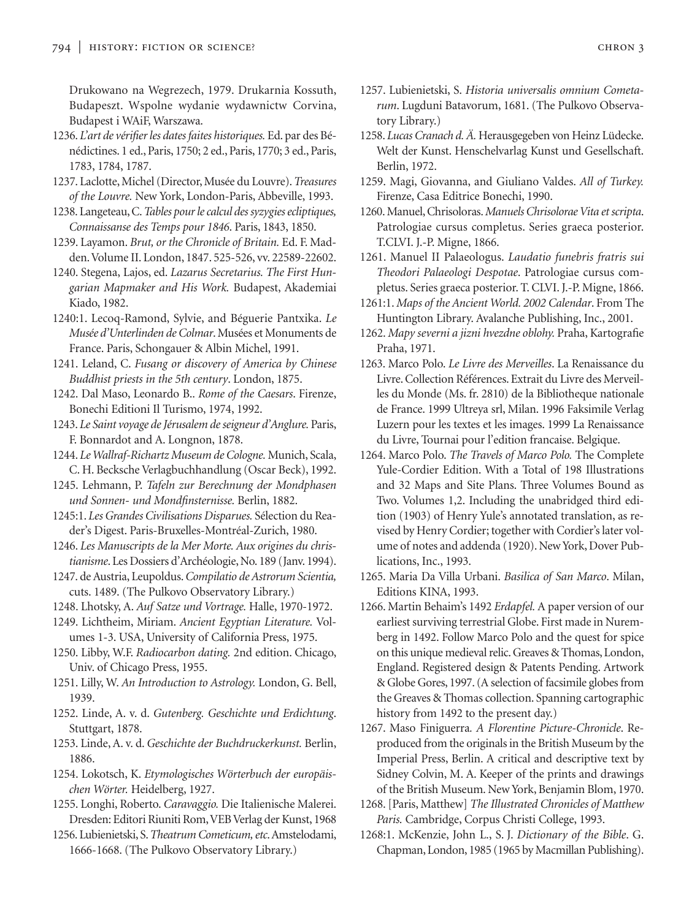Drukowano na Wegrezech, 1979. Drukarnia Kossuth, Budapeszt. Wspolne wydanie wydawnictw Corvina, Budapest i WAiF, Warszawa.

- 1236. *L'art de vérifier les dates faites historiques.* Ed. par des Bénédictines. 1 ed., Paris, 1750; 2 ed., Paris, 1770; 3 ed., Paris, 1783, 1784, 1787.
- 1237. Laclotte, Michel (Director, Musée du Louvre).*Treasures of the Louvre.* New York, London-Paris, Abbeville, 1993.
- 1238. Langeteau, C.*Tables pour le calcul des syzygies ecliptiques, Connaissanse des Temps pour 1846*. Paris, 1843, 1850.
- 1239. Layamon. *Brut, or the Chronicle of Britain.* Ed. F. Madden.Volume II. London, 1847. 525-526, vv. 22589-22602.
- 1240. Stegena, Lajos, ed. *Lazarus Secretarius. The First Hungarian Mapmaker and His Work.* Budapest, Akademiai Kiado, 1982.
- 1240:1. Lecoq-Ramond, Sylvie, and Béguerie Pantxika. *Le Musée d'Unterlinden de Colmar*. Musées et Monuments de France. Paris, Schongauer & Albin Michel, 1991.
- 1241. Leland, C. *Fusang or discovery of America by Chinese Buddhist priests in the 5th century*. London, 1875.
- 1242. Dal Maso, Leonardo B.. *Rome of the Caesars*. Firenze, Bonechi Editioni Il Turismo, 1974, 1992.
- 1243. *Le Saint voyage de Jérusalem de seigneur d'Anglure.* Paris, F. Bonnardot and A. Longnon, 1878.
- 1244. *LeWallraf-Richartz Museum de Cologne.* Munich, Scala, C. H. Becksche Verlagbuchhandlung (Oscar Beck), 1992.
- 1245. Lehmann, P. *Tafeln zur Berechnung der Mondphasen und Sonnen- und Mondfinsternisse.* Berlin, 1882.
- 1245:1. *Les Grandes Civilisations Disparues.* Sélection du Reader's Digest. Paris-Bruxelles-Montréal-Zurich, 1980.
- 1246. *Les Manuscripts de la Mer Morte. Aux origines du christianisme*. Les Dossiers d'Archéologie, No. 189 (Janv. 1994).
- 1247. de Austria, Leupoldus.*Compilatio de Astrorum Scientia,* cuts. 1489. (The Pulkovo Observatory Library.)
- 1248. Lhotsky, A. *Auf Satze und Vortrage.* Halle, 1970-1972.
- 1249. Lichtheim, Miriam. *Ancient Egyptian Literature.* Volumes 1-3. USA, University of California Press, 1975.
- 1250. Libby, W.F. *Radiocarbon dating.* 2nd edition. Chicago, Univ. of Chicago Press, 1955.
- 1251. Lilly, W. *An Introduction to Astrology.* London, G. Bell, 1939.
- 1252. Linde, A. v. d. *Gutenberg. Geschichte und Erdichtung*. Stuttgart, 1878.
- 1253. Linde, A. v. d. *Geschichte der Buchdruckerkunst.* Berlin, 1886.
- 1254. Lokotsch, K. *Etymologisches Wörterbuch der europäischen Wörter.* Heidelberg, 1927.
- 1255. Longhi, Roberto. *Caravaggio.* Die Italienische Malerei. Dresden: Editori Riuniti Rom,VEB Verlag der Kunst, 1968
- 1256. Lubienietski, S.*Theatrum Cometicum, etc*.Amstelodami, 1666-1668. (The Pulkovo Observatory Library.)
- 1257. Lubienietski, S. *Historia universalis omnium Cometarum*. Lugduni Batavorum, 1681. (The Pulkovo Observatory Library.)
- 1258. *Lucas Cranach d. Ä.* Herausgegeben von Heinz Lüdecke. Welt der Kunst. Henschelvarlag Kunst und Gesellschaft. Berlin, 1972.
- 1259. Magi, Giovanna, and Giuliano Valdes. *All of Turkey.* Firenze, Casa Editrice Bonechi, 1990.
- 1260. Manuel, Chrisoloras.*Manuels Chrisolorae Vita et scripta*. Patrologiae cursus completus. Series graeca posterior. T.CLVI. J.-P. Migne, 1866.
- 1261. Manuel II Palaeologus. *Laudatio funebris fratris sui Theodori Palaeologi Despotae*. Patrologiae cursus completus. Series graeca posterior. T. CLVI. J.-P. Migne, 1866.
- 1261:1. *Maps of the Ancient World. 2002 Calendar*. From The Huntington Library. Avalanche Publishing, Inc., 2001.
- 1262. *Mapy severni a jizni hvezdne oblohy.* Praha, Kartografie Praha, 1971.
- 1263. Marco Polo. *Le Livre des Merveilles*. La Renaissance du Livre. Collection Références. Extrait du Livre des Merveilles du Monde (Ms. fr. 2810) de la Bibliotheque nationale de France. 1999 Ultreya srl, Milan. 1996 Faksimile Verlag Luzern pour les textes et les images. 1999 La Renaissance du Livre, Tournai pour l'edition francaise. Belgique.
- 1264. Marco Polo. *The Travels of Marco Polo.* The Complete Yule-Cordier Edition. With a Total of 198 Illustrations and 32 Maps and Site Plans. Three Volumes Bound as Two. Volumes 1,2. Including the unabridged third edition (1903) of Henry Yule's annotated translation, as revised by Henry Cordier; together with Cordier's later volume of notes and addenda (1920). New York, Dover Publications, Inc., 1993.
- 1265. Maria Da Villa Urbani. *Basilica of San Marco*. Milan, Editions KINA, 1993.
- 1266. Martin Behaim's 1492 *Erdapfel.* A paper version of our earliest surviving terrestrial Globe. First made in Nuremberg in 1492. Follow Marco Polo and the quest for spice on this unique medieval relic. Greaves & Thomas, London, England. Registered design & Patents Pending. Artwork & Globe Gores, 1997. (A selection of facsimile globes from the Greaves & Thomas collection. Spanning cartographic history from 1492 to the present day.)
- 1267. Maso Finiguerra*. A Florentine Picture-Chronicle*. Reproduced from the originals in the British Museum by the Imperial Press, Berlin. A critical and descriptive text by Sidney Colvin, M. A. Keeper of the prints and drawings of the British Museum. New York, Benjamin Blom, 1970.
- 1268. [Paris, Matthew] *The Illustrated Chronicles of Matthew Paris.* Cambridge, Corpus Christi College, 1993.
- 1268:1. McKenzie, John L., S. J. *Dictionary of the Bible*. G. Chapman, London, 1985 (1965 by Macmillan Publishing).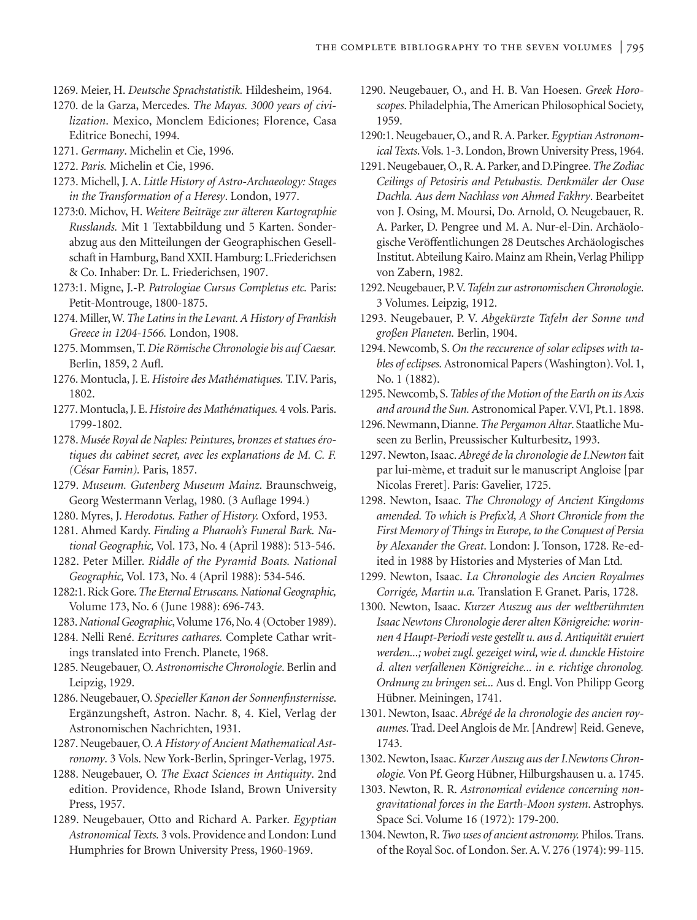- 1269. Meier, H. *Deutsche Sprachstatistik.* Hildesheim, 1964.
- 1270. de la Garza, Mercedes. *The Mayas. 3000 years of civilization*. Mexico, Monclem Ediciones; Florence, Casa Editrice Bonechi, 1994.
- 1271. *Germany*. Michelin et Cie, 1996.
- 1272. *Paris.* Michelin et Cie, 1996.
- 1273. Michell, J. A. *Little History of Astro-Archaeology: Stages in the Transformation of a Heresy*. London, 1977.
- 1273:0. Michov, H. *Weitere Beiträge zur älteren Kartographie Russlands.* Mit 1 Textabbildung und 5 Karten. Sonderabzug aus den Mitteilungen der Geographischen Gesellschaft in Hamburg, Band XXII. Hamburg: L.Friederichsen & Co. Inhaber: Dr. L. Friederichsen, 1907.
- 1273:1. Migne, J.-P. *Patrologiae Cursus Completus etc.* Paris: Petit-Montrouge, 1800-1875.
- 1274. Miller, W.*The Latins in the Levant. A History of Frankish Greece in 1204-1566.* London, 1908.
- 1275. Mommsen, T. *Die Römische Chronologie bis auf Caesar.* Berlin, 1859, 2 Aufl.
- 1276. Montucla, J. E. *Histoire des Mathématiques.* T.IV. Paris, 1802.
- 1277. Montucla, J. E.*Histoire des Mathématiques.* 4 vols. Paris. 1799-1802.
- 1278. *Musée Royal de Naples: Peintures, bronzes et statues érotiques du cabinet secret, avec les explanations de M. C. F. (César Famin).* Paris, 1857.
- 1279. *Museum. Gutenberg Museum Mainz*. Braunschweig, Georg Westermann Verlag, 1980. (3 Auflage 1994.)
- 1280. Myres, J. *Herodotus. Father of History.* Oxford, 1953.
- 1281. Ahmed Kardy. *Finding a Pharaoh's Funeral Bark. National Geographic,* Vol. 173, No. 4 (April 1988): 513-546.
- 1282. Peter Miller. *Riddle of the Pyramid Boats. National Geographic,* Vol. 173, No. 4 (April 1988): 534-546.
- 1282:1. Rick Gore.*The Eternal Etruscans. National Geographic,* Volume 173, No. 6 (June 1988): 696-743.
- 1283.*National Geographic*,Volume 176, No. 4 (October 1989).
- 1284. Nelli René. *Ecritures cathares.* Complete Cathar writings translated into French. Planete, 1968.
- 1285. Neugebauer, O. *Astronomische Chronologie*. Berlin and Leipzig, 1929.
- 1286. Neugebauer, O. *Specieller Kanon der Sonnenfinsternisse*. Ergänzungsheft, Astron. Nachr. 8, 4. Kiel, Verlag der Astronomischen Nachrichten, 1931.
- 1287. Neugebauer, O.*A History of Ancient Mathematical Astronomy*. 3 Vols. New York-Berlin, Springer-Verlag, 1975.
- 1288. Neugebauer, O. *The Exact Sciences in Antiquity*. 2nd edition. Providence, Rhode Island, Brown University Press, 1957.
- 1289. Neugebauer, Otto and Richard A. Parker. *Egyptian Astronomical Texts.* 3 vols. Providence and London: Lund Humphries for Brown University Press, 1960-1969.
- 1290. Neugebauer, O., and H. B. Van Hoesen. *Greek Horoscopes*. Philadelphia, The American Philosophical Society, 1959.
- 1290:1. Neugebauer, O., and R. A. Parker. *Egyptian Astronomical Texts*.Vols. 1-3. London, Brown University Press, 1964.
- 1291. Neugebauer, O., R. A. Parker, and D.Pingree.*The Zodiac Ceilings of Petosiris and Petubastis. Denkmäler der Oase Dachla. Aus dem Nachlass von Ahmed Fakhry*. Bearbeitet von J. Osing, M. Moursi, Do. Arnold, O. Neugebauer, R. A. Parker, D. Pengree und M. A. Nur-el-Din. Archäologische Veröffentlichungen 28 Deutsches Archäologisches Institut. Abteilung Kairo. Mainz am Rhein, Verlag Philipp von Zabern, 1982.
- 1292. Neugebauer, P.V.*Tafeln zur astronomischen Chronologie*. 3 Volumes. Leipzig, 1912.
- 1293. Neugebauer, P. V. *Abgekürzte Tafeln der Sonne und großen Planeten.* Berlin, 1904.
- 1294. Newcomb, S. *On the reccurence of solar eclipses with tables of eclipses.* Astronomical Papers (Washington).Vol. 1, No. 1 (1882).
- 1295. Newcomb, S.*Tables of the Motion of the Earth on its Axis and around the Sun.*Astronomical Paper.V.VI, Pt.1. 1898.
- 1296. Newmann, Dianne.*The Pergamon Altar*. Staatliche Museen zu Berlin, Preussischer Kulturbesitz, 1993.
- 1297. Newton, Isaac.*Abregé de la chronologie de I.Newton* fait par lui-mème, et traduit sur le manuscript Angloise [par Nicolas Freret]. Paris: Gavelier, 1725.
- 1298. Newton, Isaac. *The Chronology of Ancient Kingdoms amended. To which is Prefix'd, A Short Chronicle from the First Memory of Things in Europe, to the Conquest of Persia by Alexander the Great*. London: J. Tonson, 1728. Re-edited in 1988 by Histories and Mysteries of Man Ltd.
- 1299. Newton, Isaac. *La Chronologie des Ancien Royalmes Corrigée, Martin u.a.* Translation F. Granet. Paris, 1728.
- 1300. Newton, Isaac. *Kurzer Auszug aus der weltberühmten Isaac Newtons Chronologie derer alten Königreiche: worinnen 4 Haupt-Periodi veste gestellt u. aus d. Antiquität eruiert werden...; wobei zugl. gezeiget wird, wie d. dunckle Histoire d. alten verfallenen Königreiche... in e. richtige chronolog. Ordnung zu bringen sei...* Aus d. Engl. Von Philipp Georg Hübner. Meiningen, 1741.
- 1301. Newton, Isaac. *Abrégé de la chronologie des ancien royaumes*. Trad. Deel Anglois de Mr. [Andrew] Reid. Geneve, 1743.
- 1302. Newton, Isaac.*Kurzer Auszug aus der I.Newtons Chronologie.*Von Pf. Georg Hübner, Hilburgshausen u. a. 1745.
- 1303. Newton, R. R. *Astronomical evidence concerning nongravitational forces in the Earth-Moon system*. Astrophys. Space Sci. Volume 16 (1972): 179-200.
- 1304. Newton, R.*Two uses of ancient astronomy.* Philos. Trans. of the Royal Soc. of London. Ser. A.V. 276 (1974): 99-115.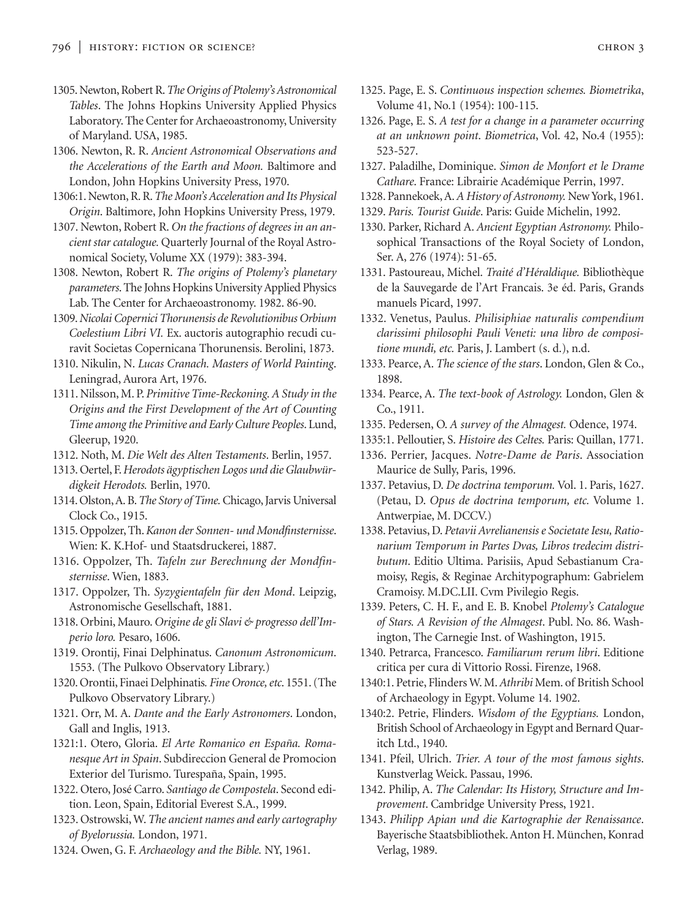- 1305. Newton, Robert R.*The Origins of Ptolemy's Astronomical Tables*. The Johns Hopkins University Applied Physics Laboratory. The Center for Archaeoastronomy, University of Maryland. USA, 1985.
- 1306. Newton, R. R. *Ancient Astronomical Observations and the Accelerations of the Earth and Moon.* Baltimore and London, John Hopkins University Press, 1970.
- 1306:1. Newton, R. R.*The Moon's Acceleration and Its Physical Origin*. Baltimore, John Hopkins University Press, 1979.
- 1307. Newton, Robert R. *On the fractions of degrees in an ancient star catalogue.* Quarterly Journal of the Royal Astronomical Society, Volume XX (1979): 383-394.
- 1308. Newton, Robert R. *The origins of Ptolemy's planetary parameters*. The Johns Hopkins University Applied Physics Lab. The Center for Archaeoastronomy. 1982. 86-90.
- 1309.*Nicolai Copernici Thorunensis de Revolutionibus Orbium Coelestium Libri VI.* Ex. auctoris autographio recudi curavit Societas Copernicana Thorunensis. Berolini, 1873.
- 1310. Nikulin, N. *Lucas Cranach. Masters of World Painting*. Leningrad, Aurora Art, 1976.
- 1311. Nilsson, M. P. *Primitive Time-Reckoning. A Study in the Origins and the First Development of the Art of Counting Time among the Primitive and Early Culture Peoples*. Lund, Gleerup, 1920.
- 1312. Noth, M. *Die Welt des Alten Testaments*. Berlin, 1957.
- 1313. Oertel, F.*Herodots ägyptischen Logos und die Glaubwürdigkeit Herodots.* Berlin, 1970.
- 1314. Olston,A. B.*The Story of Time.*Chicago, Jarvis Universal Clock Co., 1915.
- 1315. Oppolzer, Th.*Kanon der Sonnen- und Mondfinsternisse*. Wien: K. K.Hof- und Staatsdruckerei, 1887.
- 1316. Oppolzer, Th. *Tafeln zur Berechnung der Mondfinsternisse*. Wien, 1883.
- 1317. Oppolzer, Th. *Syzygientafeln für den Mond*. Leipzig, Astronomische Gesellschaft, 1881.
- 1318. Orbini, Mauro. *Origine de gli Slavi & progresso dell'Imperio loro.* Pesaro, 1606.
- 1319. Orontij, Finai Delphinatus. *Canonum Astronomicum*. 1553. (The Pulkovo Observatory Library.)
- 1320. Orontii, Finaei Delphinatis*. Fine Oronce, etc*. 1551. (The Pulkovo Observatory Library.)
- 1321. Orr, M. A. *Dante and the Early Astronomers*. London, Gall and Inglis, 1913.
- 1321:1. Otero, Gloria. *El Arte Romanico en España. Romanesque Art in Spain*. Subdireccion General de Promocion Exterior del Turismo. Turespaña, Spain, 1995.
- 1322. Otero, José Carro. *Santiago de Compostela*. Second edition. Leon, Spain, Editorial Everest S.A., 1999.
- 1323. Ostrowski, W. *The ancient names and early cartography of Byelorussia.* London, 1971.
- 1324. Owen, G. F. *Archaeology and the Bible.* NY, 1961.
- 1325. Page, E. S. *Continuous inspection schemes. Biometrika*, Volume 41, No.1 (1954): 100-115.
- 1326. Page, E. S. *A test for a change in a parameter occurring at an unknown point*. *Biometrica*, Vol. 42, No.4 (1955): 523-527.
- 1327. Paladilhe, Dominique. *Simon de Monfort et le Drame Cathare*. France: Librairie Académique Perrin, 1997.
- 1328. Pannekoek, A.*A History of Astronomy.* New York, 1961.
- 1329. *Paris. Tourist Guide*. Paris: Guide Michelin, 1992.
- 1330. Parker, Richard A. *Ancient Egyptian Astronomy.* Philosophical Transactions of the Royal Society of London, Ser. A, 276 (1974): 51-65.
- 1331. Pastoureau, Michel. *Traité d'Héraldique.* Bibliothèque de la Sauvegarde de l'Art Francais. 3e éd. Paris, Grands manuels Picard, 1997.
- 1332. Venetus, Paulus. *Philisiphiae naturalis compendium clarissimi philosophi Pauli Veneti: una libro de compositione mundi, etc.* Paris, J. Lambert (s. d.), n.d.
- 1333. Pearce, A. *The science of the stars*. London, Glen & Co., 1898.
- 1334. Pearce, A. *The text-book of Astrology.* London, Glen & Co., 1911.
- 1335. Pedersen, O. *A survey of the Almagest.* Odence, 1974.
- 1335:1. Pelloutier, S. *Histoire des Celtes.* Paris: Quillan, 1771.
- 1336. Perrier, Jacques. *Notre-Dame de Paris*. Association Maurice de Sully, Paris, 1996.
- 1337. Petavius, D. *De doctrina temporum.* Vol. 1. Paris, 1627. (Petau, D. *Opus de doctrina temporum, etc.* Volume 1. Antwerpiae, M. DCCV.)
- 1338. Petavius, D. *Petavii Avrelianensis e Societate Iesu, Rationarium Temporum in Partes Dvas, Libros tredecim distributum*. Editio Ultima. Parisiis, Apud Sebastianum Cramoisy, Regis, & Reginae Architypographum: Gabrielem Cramoisy. M.DC.LII. Cvm Pivilegio Regis.
- 1339. Peters, C. H. F., and E. B. Knobel *Ptolemy's Catalogue of Stars. A Revision of the Almagest*. Publ. No. 86. Washington, The Carnegie Inst. of Washington, 1915.
- 1340. Petrarca, Francesco. *Familiarum rerum libri*. Editione critica per cura di Vittorio Rossi. Firenze, 1968.
- 1340:1. Petrie, Flinders W. M.*Athribi* Mem. of British School of Archaeology in Egypt. Volume 14. 1902.
- 1340:2. Petrie, Flinders. *Wisdom of the Egyptians.* London, British School of Archaeology in Egypt and Bernard Quaritch Ltd., 1940.
- 1341. Pfeil, Ulrich. *Trier. A tour of the most famous sights*. Kunstverlag Weick. Passau, 1996.
- 1342. Philip, A. *The Calendar: Its History, Structure and Improvement*. Cambridge University Press, 1921.
- 1343. *Philipp Apian und die Kartographie der Renaissance*. Bayerische Staatsbibliothek. Anton H. München, Konrad Verlag, 1989.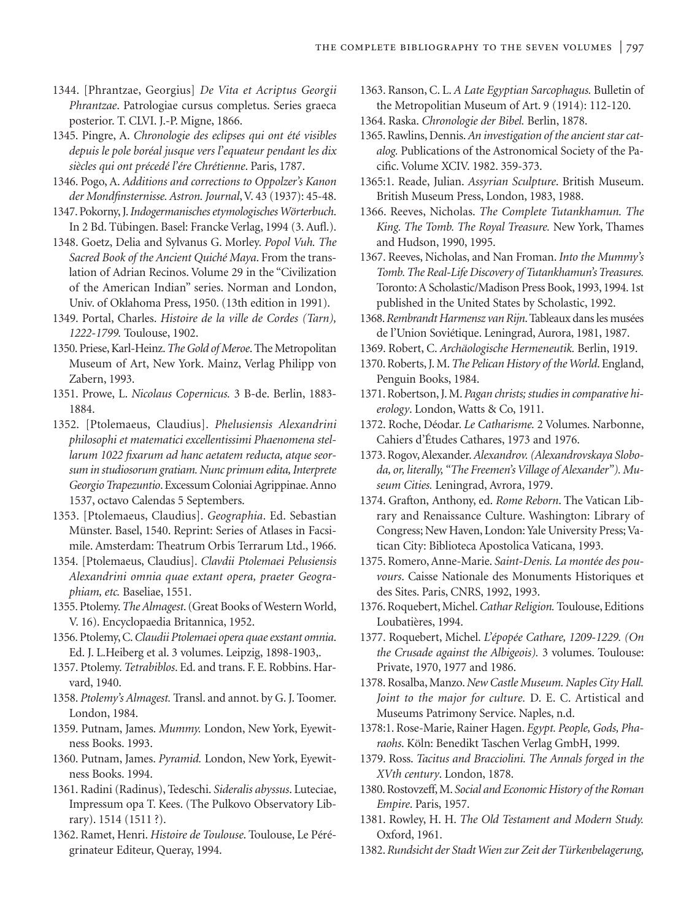- 1344. [Phrantzae, Georgius] *De Vita et Acriptus Georgii Phrantzae*. Patrologiae cursus completus. Series graeca posterior. T. CLVI. J.-P. Migne, 1866.
- 1345. Pingre, A. *Chronologie des eclipses qui ont été visibles depuis le pole boréal jusque vers l'equateur pendant les dix siècles qui ont précedé l'ére Chrétienne*. Paris, 1787.
- 1346. Pogo, A. *Additions and corrections to Oppolzer's Kanon der Mondfinsternisse. Astron. Journal*, V. 43 (1937): 45-48.
- 1347. Pokorny, J.*Indogermanisches etymologisches Wörterbuch*. In 2 Bd. Tübingen. Basel: Francke Verlag, 1994 (3. Aufl.).
- 1348. Goetz, Delia and Sylvanus G. Morley. *Popol Vuh. The Sacred Book of the Ancient Quiché Maya*. From the translation of Adrian Recinos. Volume 29 in the "Civilization of the American Indian" series. Norman and London, Univ. of Oklahoma Press, 1950. (13th edition in 1991).
- 1349. Portal, Charles. *Histoire de la ville de Cordes (Tarn), 1222-1799.* Toulouse, 1902.
- 1350. Priese, Karl-Heinz.*The Gold of Meroe*. The Metropolitan Museum of Art, New York. Mainz, Verlag Philipp von Zabern, 1993.
- 1351. Prowe, L. *Nicolaus Copernicus.* 3 B-de. Berlin, 1883- 1884.
- 1352. [Ptolemaeus, Claudius]. *Phelusiensis Alexandrini philosophi et matematici excellentissimi Phaenomena stellarum 1022 fixarum ad hanc aetatem reducta, atque seorsum in studiosorum gratiam. Nunc primum edita, Interprete Georgio Trapezuntio*. Excessum Coloniai Agrippinae.Anno 1537, octavo Calendas 5 Septembers.
- 1353. [Ptolemaeus, Claudius]. *Geographia*. Ed. Sebastian Münster. Basel, 1540. Reprint: Series of Atlases in Facsimile. Amsterdam: Theatrum Orbis Terrarum Ltd., 1966.
- 1354. [Ptolemaeus, Claudius]. *Clavdii Ptolemaei Pelusiensis Alexandrini omnia quae extant opera, praeter Geographiam, etc.* Baseliae, 1551.
- 1355. Ptolemy.*The Almagest*. (Great Books of Western World, V. 16). Encyclopaedia Britannica, 1952.
- 1356. Ptolemy, C.*Claudii Ptolemaei opera quae exstant omnia*. Ed. J. L.Heiberg et al. 3 volumes. Leipzig, 1898-1903,.
- 1357. Ptolemy. *Tetrabiblos*. Ed. and trans. F. E. Robbins. Harvard, 1940.
- 1358. *Ptolemy's Almagest.* Transl. and annot. by G. J. Toomer. London, 1984.
- 1359. Putnam, James. *Mummy.* London, New York, Eyewitness Books. 1993.
- 1360. Putnam, James. *Pyramid.* London, New York, Eyewitness Books. 1994.
- 1361. Radini (Radinus), Tedeschi. *Sideralis abyssus*. Luteciae, Impressum opa T. Kees. (The Pulkovo Observatory Library). 1514 (1511 ?).
- 1362. Ramet, Henri. *Histoire de Toulouse*. Toulouse, Le Pérégrinateur Editeur, Queray, 1994.
- 1363. Ranson, C. L. *A Late Egyptian Sarcophagus.* Bulletin of the Metropolitian Museum of Art. 9 (1914): 112-120.
- 1364. Raska. *Chronologie der Bibel.* Berlin, 1878.
- 1365. Rawlins, Dennis.*An investigation of the ancient star catalog.* Publications of the Astronomical Society of the Pacific. Volume XCIV. 1982. 359-373.
- 1365:1. Reade, Julian. *Assyrian Sculpture*. British Museum. British Museum Press, London, 1983, 1988.
- 1366. Reeves, Nicholas. *The Complete Tutankhamun. The King. The Tomb. The Royal Treasure.* New York, Thames and Hudson, 1990, 1995.
- 1367. Reeves, Nicholas, and Nan Froman. *Into the Mummy's Tomb. The Real-Life Discovery of Tutankhamun's Treasures.* Toronto: A Scholastic/Madison Press Book, 1993, 1994. 1st published in the United States by Scholastic, 1992.
- 1368.*Rembrandt Harmensz van Rijn*. Tableaux dans les musées de l'Union Soviétique. Leningrad, Aurora, 1981, 1987.
- 1369. Robert, C. *Archäologische Hermeneutik.* Berlin, 1919.
- 1370. Roberts, J. M.*The Pelican History of the World*. England, Penguin Books, 1984.
- 1371. Robertson, J. M. *Pagan christs; studies in comparative hierology*. London, Watts & Co, 1911.
- 1372. Roche, Déodar. *Le Catharisme.* 2 Volumes. Narbonne, Cahiers d'Études Cathares, 1973 and 1976.
- 1373. Rogov, Alexander.*Alexandrov. (Alexandrovskaya Sloboda, or, literally, "The Freemen's Village of Alexander"). Museum Cities.* Leningrad, Avrora, 1979.
- 1374. Grafton, Anthony, ed. *Rome Reborn*. The Vatican Library and Renaissance Culture. Washington: Library of Congress; New Haven, London: Yale University Press; Vatican City: Biblioteca Apostolica Vaticana, 1993.
- 1375. Romero, Anne-Marie. *Saint-Denis. La montée des pouvours*. Caisse Nationale des Monuments Historiques et des Sites. Paris, CNRS, 1992, 1993.
- 1376. Roquebert, Michel.*Cathar Religion.* Toulouse, Editions Loubatières, 1994.
- 1377. Roquebert, Michel. *L'épopée Cathare, 1209-1229. (On the Crusade against the Albigeois).* 3 volumes. Toulouse: Private, 1970, 1977 and 1986.
- 1378. Rosalba, Manzo.*New Castle Museum. Naples City Hall. Joint to the major for culture.* D. E. C. Artistical and Museums Patrimony Service. Naples, n.d.
- 1378:1. Rose-Marie, Rainer Hagen. *Egypt. People, Gods, Pharaohs*. Köln: Benedikt Taschen Verlag GmbH, 1999.
- 1379. Ross. *Tacitus and Bracciolini. The Annals forged in the XVth century*. London, 1878.
- 1380. Rostovzeff, M. *Social and Economic History of the Roman Empire*. Paris, 1957.
- 1381. Rowley, H. H. *The Old Testament and Modern Study.* Oxford, 1961.
- 1382.*Rundsicht der Stadt Wien zur Zeit der Türkenbelagerung,*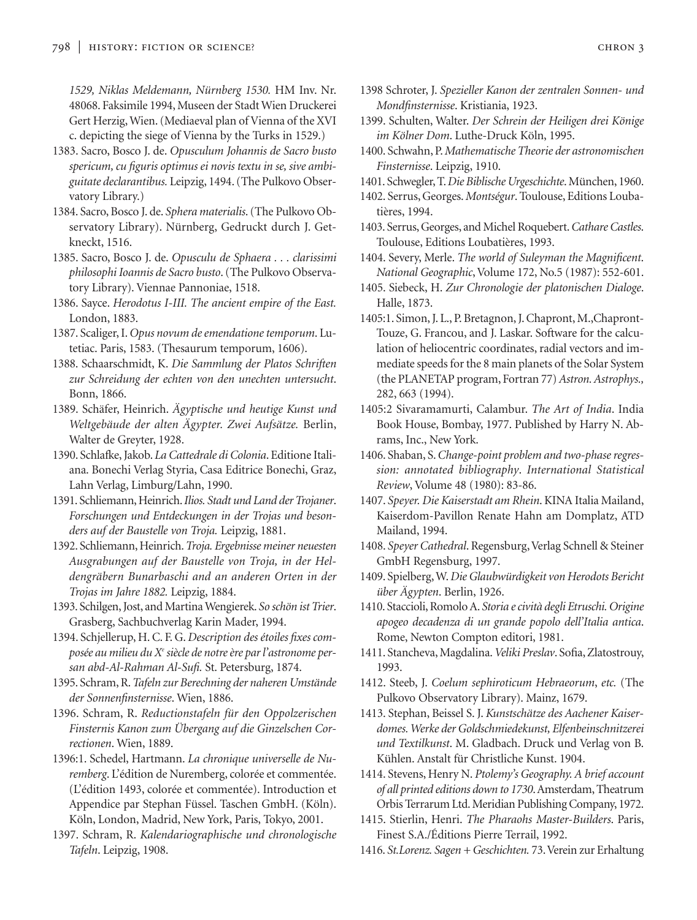*1529, Niklas Meldemann, Nürnberg 1530.* HM Inv. Nr. 48068. Faksimile 1994, Museen der Stadt Wien Druckerei Gert Herzig, Wien. (Mediaeval plan of Vienna of the XVI c. depicting the siege of Vienna by the Turks in 1529.)

- 1383. Sacro, Bosco J. de. *Opusculum Johannis de Sacro busto spericum, cu figuris optimus ei novis textu in se, sive ambiguitate declarantibus.* Leipzig, 1494. (The Pulkovo Observatory Library.)
- 1384. Sacro, Bosco J. de. *Sphera materialis*. (The Pulkovo Observatory Library). Nürnberg, Gedruckt durch J. Getkneckt, 1516.
- 1385. Sacro, Bosco J. de. *Opusculu de Sphaera . . . clarissimi philosophi Ioannis de Sacro busto*. (The Pulkovo Observatory Library). Viennae Pannoniae, 1518.
- 1386. Sayce. *Herodotus I-III. The ancient empire of the East.* London, 1883.
- 1387. Scaliger, I. *Opus novum de emendatione temporum*. Lutetiac. Paris, 1583. (Thesaurum temporum, 1606).
- 1388. Schaarschmidt, K. *Die Sammlung der Platos Schriften zur Schreidung der echten von den unechten untersucht*. Bonn, 1866.
- 1389. Schäfer, Heinrich. *Ägyptische und heutige Kunst und Weltgebäude der alten Ägypter. Zwei Aufsätze.* Berlin, Walter de Greyter, 1928.
- 1390. Schlafke, Jakob. *La Cattedrale di Colonia*. Editione Italiana. Bonechi Verlag Styria, Casa Editrice Bonechi, Graz, Lahn Verlag, Limburg/Lahn, 1990.
- 1391. Schliemann, Heinrich.*Ilios. Stadt und Land der Trojaner*. *Forschungen und Entdeckungen in der Trojas und besonders auf der Baustelle von Troja.* Leipzig, 1881.
- 1392. Schliemann, Heinrich.*Troja. Ergebnisse meiner neuesten Ausgrabungen auf der Baustelle von Troja, in der Heldengräbern Bunarbaschi and an anderen Orten in der Trojas im Jahre 1882.* Leipzig, 1884.
- 1393. Schilgen, Jost, and Martina Wengierek. *So schön ist Trier*. Grasberg, Sachbuchverlag Karin Mader, 1994.
- 1394. Schjellerup, H. C. F. G. *Description des étoiles fixes composée au milieu du Xe siècle de notre ère par l'astronome persan abd-Al-Rahman Al-Sufi.* St. Petersburg, 1874.
- 1395. Schram, R.*Tafeln zur Berechning der naheren Umstände der Sonnenfinsternisse*. Wien, 1886.
- 1396. Schram, R. *Reductionstafeln für den Oppolzerischen Finsternis Kanon zum Übergang auf die Ginzelschen Correctionen*. Wien, 1889.
- 1396:1. Schedel, Hartmann. *La chronique universelle de Nuremberg*. L'édition de Nuremberg, colorée et commentée. (L'édition 1493, colorée et commentée). Introduction et Appendice par Stephan Füssel. Taschen GmbH. (Köln). Köln, London, Madrid, New York, Paris, Tokyo, 2001.
- 1397. Schram, R. *Kalendariographische und chronologische Tafeln*. Leipzig, 1908.
- 1398 Schroter, J. *Spezieller Kanon der zentralen Sonnen- und Mondfinsternisse*. Kristiania, 1923.
- 1399. Schulten, Walter. *Der Schrein der Heiligen drei Könige im Kölner Dom*. Luthe-Druck Köln, 1995.
- 1400. Schwahn, P.*Mathematische Theorie der astronomischen Finsternisse*. Leipzig, 1910.
- 1401. Schwegler, T.*Die Biblische Urgeschichte*.München, 1960.
- 1402. Serrus, Georges.*Montségur*. Toulouse, Editions Loubatières, 1994.
- 1403. Serrus, Georges, and Michel Roquebert.*Cathare Castles*. Toulouse, Editions Loubatières, 1993.
- 1404. Severy, Merle. *The world of Suleyman the Magnificent*. *National Geographic*, Volume 172, No.5 (1987): 552-601.
- 1405. Siebeck, H. *Zur Chronologie der platonischen Dialoge*. Halle, 1873.
- 1405:1. Simon, J. L., P. Bretagnon, J. Chapront, M.,Chapront-Touze, G. Francou, and J. Laskar. Software for the calculation of heliocentric coordinates, radial vectors and immediate speeds for the 8 main planets of the Solar System (the PLANETAP program, Fortran 77) *Astron. Astrophys.,* 282, 663 (1994).
- 1405:2 Sivaramamurti, Calambur. *The Art of India*. India Book House, Bombay, 1977. Published by Harry N. Abrams, Inc., New York.
- 1406. Shaban, S.*Change-point problem and two-phase regression: annotated bibliography*. *International Statistical Review*, Volume 48 (1980): 83-86.
- 1407. *Speyer. Die Kaiserstadt am Rhein*.KINA Italia Mailand, Kaiserdom-Pavillon Renate Hahn am Domplatz, ATD Mailand, 1994.
- 1408. *Speyer Cathedral*. Regensburg, Verlag Schnell & Steiner GmbH Regensburg, 1997.
- 1409. Spielberg, W. *Die Glaubwürdigkeit von Herodots Bericht über Ägypten*. Berlin, 1926.
- 1410. Staccioli, Romolo A. *Storia e cività degli Etruschi. Origine apogeo decadenza di un grande popolo dell'Italia antica*. Rome, Newton Compton editori, 1981.
- 1411. Stancheva, Magdalina.*Veliki Preslav*. Sofia, Zlatostrouy, 1993.
- 1412. Steeb, J. *Coelum sephiroticum Hebraeorum*, *etc.* (The Pulkovo Observatory Library). Mainz, 1679.
- 1413. Stephan, Beissel S. J. *Kunstschätze des Aachener Kaiserdomes. Werke der Goldschmiedekunst, Elfenbeinschnitzerei und Textilkunst*. M. Gladbach. Druck und Verlag von B. Kühlen. Anstalt für Christliche Kunst. 1904.
- 1414. Stevens, Henry N. *Ptolemy's Geography. A brief account of all printed editions down to 1730*. Amsterdam, Theatrum Orbis Terrarum Ltd. Meridian Publishing Company, 1972.
- 1415. Stierlin, Henri. *The Pharaohs Master-Builders*. Paris, Finest S.A./Éditions Pierre Terrail, 1992.
- 1416. *St.Lorenz. Sagen + Geschichten.* 73.Verein zur Erhaltung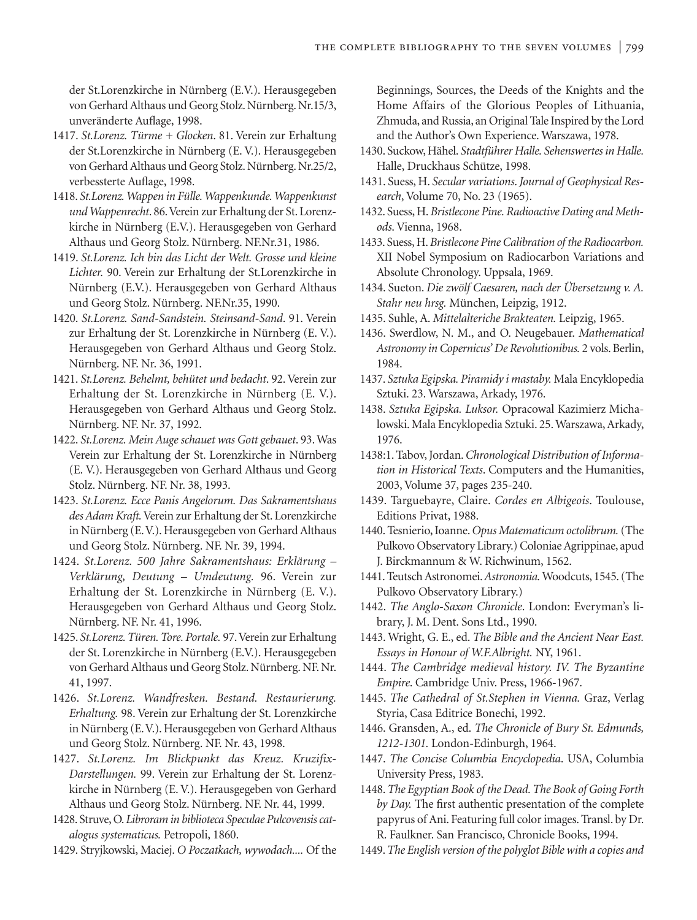der St.Lorenzkirche in Nürnberg (E.V.). Herausgegeben von Gerhard Althaus und Georg Stolz. Nürnberg. Nr.15/3, unveränderte Auflage, 1998.

- 1417. *St.Lorenz. Türme + Glocken*. 81. Verein zur Erhaltung der St.Lorenzkirche in Nürnberg (E. V.). Herausgegeben von Gerhard Althaus und Georg Stolz. Nürnberg. Nr.25/2, verbessterte Auflage, 1998.
- 1418. *St.Lorenz. Wappen in Fülle. Wappenkunde. Wappenkunst und Wappenrecht*. 86.Verein zur Erhaltung der St. Lorenzkirche in Nürnberg (E.V.). Herausgegeben von Gerhard Althaus und Georg Stolz. Nürnberg. NF.Nr.31, 1986.
- 1419. *St.Lorenz. Ich bin das Licht der Welt. Grosse und kleine Lichter.* 90. Verein zur Erhaltung der St.Lorenzkirche in Nürnberg (E.V.). Herausgegeben von Gerhard Althaus und Georg Stolz. Nürnberg. NF.Nr.35, 1990.
- 1420. *St.Lorenz. Sand-Sandstein. Steinsand-Sand*. 91. Verein zur Erhaltung der St. Lorenzkirche in Nürnberg (E. V.). Herausgegeben von Gerhard Althaus und Georg Stolz. Nürnberg. NF. Nr. 36, 1991.
- 1421. *St.Lorenz. Behelmt, behütet und bedacht*. 92. Verein zur Erhaltung der St. Lorenzkirche in Nürnberg (E. V.). Herausgegeben von Gerhard Althaus und Georg Stolz. Nürnberg. NF. Nr. 37, 1992.
- 1422. *St.Lorenz. Mein Auge schauet was Gott gebauet*. 93. Was Verein zur Erhaltung der St. Lorenzkirche in Nürnberg (E. V.). Herausgegeben von Gerhard Althaus und Georg Stolz. Nürnberg. NF. Nr. 38, 1993.
- 1423. *St.Lorenz. Ecce Panis Angelorum. Das Sakramentshaus des Adam Kraft.*Verein zur Erhaltung der St. Lorenzkirche in Nürnberg (E.V.). Herausgegeben von Gerhard Althaus und Georg Stolz. Nürnberg. NF. Nr. 39, 1994.
- 1424. *St.Lorenz. 500 Jahre Sakramentshaus: Erklärung – Verklärung, Deutung – Umdeutung.* 96. Verein zur Erhaltung der St. Lorenzkirche in Nürnberg (E. V.). Herausgegeben von Gerhard Althaus und Georg Stolz. Nürnberg. NF. Nr. 41, 1996.
- 1425. *St.Lorenz. Türen. Tore. Portale.* 97.Verein zur Erhaltung der St. Lorenzkirche in Nürnberg (E.V.). Herausgegeben von Gerhard Althaus und Georg Stolz. Nürnberg. NF. Nr. 41, 1997.
- 1426. *St.Lorenz. Wandfresken. Bestand. Restaurierung. Erhaltung.* 98. Verein zur Erhaltung der St. Lorenzkirche in Nürnberg (E.V.). Herausgegeben von Gerhard Althaus und Georg Stolz. Nürnberg. NF. Nr. 43, 1998.
- 1427. *St.Lorenz. Im Blickpunkt das Kreuz. Kruzifix-Darstellungen.* 99. Verein zur Erhaltung der St. Lorenzkirche in Nürnberg (E. V.). Herausgegeben von Gerhard Althaus und Georg Stolz. Nürnberg. NF. Nr. 44, 1999.
- 1428. Struve, O. *Libroram in biblioteca Speculae Pulcovensis catalogus systematicus.* Petropoli, 1860.
- 1429. Stryjkowski, Maciej. *O Poczatkach, wywodach....* Of the

Beginnings, Sources, the Deeds of the Knights and the Home Affairs of the Glorious Peoples of Lithuania, Zhmuda, and Russia, an Original Tale Inspired by the Lord and the Author's Own Experience. Warszawa, 1978.

- 1430. Suckow, Hähel. *Stadtführer Halle. Sehenswertes in Halle.* Halle, Druckhaus Schütze, 1998.
- 1431. Suess, H. *Secular variations*.*Journal of Geophysical Research*, Volume 70, No. 23 (1965).
- 1432. Suess, H.*Bristlecone Pine. Radioactive Dating and Methods*. Vienna, 1968.
- 1433. Suess, H.*Bristlecone Pine Calibration of the Radiocarbon.* XII Nobel Symposium on Radiocarbon Variations and Absolute Chronology. Uppsala, 1969.
- 1434. Sueton. *Die zwölf Caesaren, nach der Übersetzung v. A. Stahr neu hrsg.* München, Leipzig, 1912.
- 1435. Suhle, A. *Mittelalteriche Brakteaten.* Leipzig, 1965.
- 1436. Swerdlow, N. M., and O. Neugebauer. *Mathematical Astronomy in Copernicus' De Revolutionibus.* 2 vols. Berlin, 1984.
- 1437. *Sztuka Egipska. Piramidy i mastaby.* Mala Encyklopedia Sztuki. 23. Warszawa, Arkady, 1976.
- 1438. *Sztuka Egipska. Luksor.* Opracowal Kazimierz Michalowski. Mala Encyklopedia Sztuki. 25. Warszawa, Arkady, 1976.
- 1438:1. Tabov, Jordan.*Chronological Distribution of Information in Historical Texts*. Computers and the Humanities, 2003, Volume 37, pages 235-240.
- 1439. Targuebayre, Claire. *Cordes en Albigeois*. Toulouse, Editions Privat, 1988.
- 1440. Tesnierio, Ioanne.*Opus Matematicum octolibrum.*(The Pulkovo Observatory Library.) Coloniae Agrippinae, apud J. Birckmannum & W. Richwinum, 1562.
- 1441. Teutsch Astronomei.*Astronomia.*Woodcuts, 1545. (The Pulkovo Observatory Library.)
- 1442. *The Anglo-Saxon Chronicle*. London: Everyman's library, J. M. Dent. Sons Ltd., 1990.
- 1443. Wright, G. E., ed. *The Bible and the Ancient Near East. Essays in Honour of W.F.Albright.* NY, 1961.
- 1444. *The Cambridge medieval history. IV. The Byzantine Empire*. Cambridge Univ. Press, 1966-1967.
- 1445. *The Cathedral of St.Stephen in Vienna.* Graz, Verlag Styria, Casa Editrice Bonechi, 1992.
- 1446. Gransden, A., ed. *The Chronicle of Bury St. Edmunds, 1212-1301.* London-Edinburgh, 1964.
- 1447. *The Concise Columbia Encyclopedia*. USA, Columbia University Press, 1983.
- 1448.*The Egyptian Book of the Dead. The Book of Going Forth by Day.* The first authentic presentation of the complete papyrus of Ani. Featuring full color images. Transl. by Dr. R. Faulkner. San Francisco, Chronicle Books, 1994.
- 1449.*The English version of the polyglot Bible with a copies and*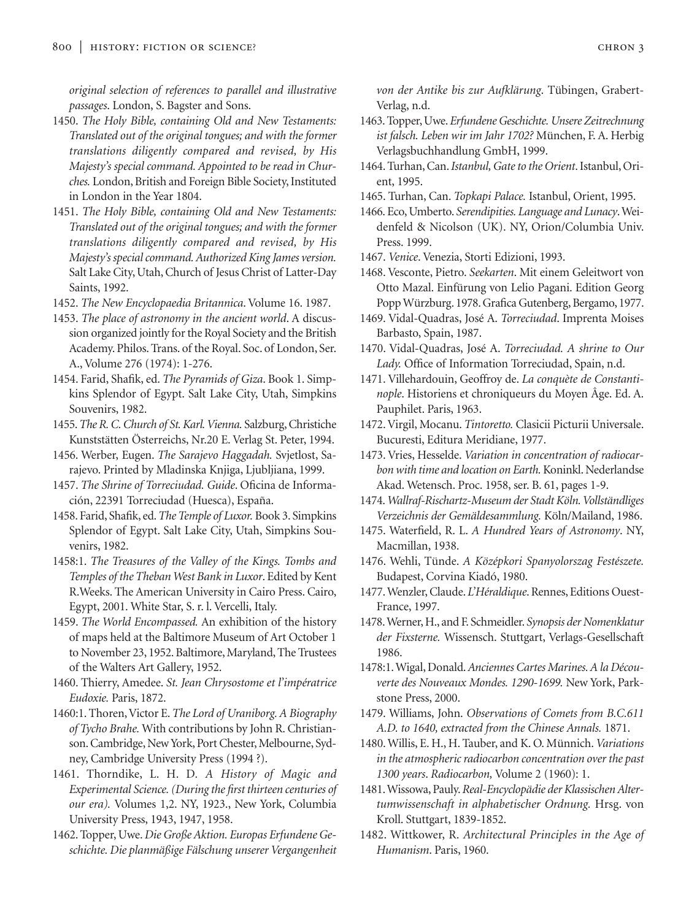*original selection of references to parallel and illustrative passages*. London, S. Bagster and Sons.

- 1450. *The Holy Bible, containing Old and New Testaments: Translated out of the original tongues; and with the former translations diligently compared and revised, by His Majesty's special command. Appointed to be read in Churches.* London, British and Foreign Bible Society, Instituted in London in the Year 1804.
- 1451. *The Holy Bible, containing Old and New Testaments: Translated out of the original tongues; and with the former translations diligently compared and revised, by His Majesty's special command. Authorized King James version.* Salt Lake City, Utah, Church of Jesus Christ of Latter-Day Saints, 1992.
- 1452. *The New Encyclopaedia Britannica*. Volume 16. 1987.
- 1453. *The place of astronomy in the ancient world*. A discussion organized jointly for the Royal Society and the British Academy. Philos. Trans. of the Royal. Soc. of London, Ser. A., Volume 276 (1974): 1-276.
- 1454. Farid, Shafik, ed. *The Pyramids of Giza*. Book 1. Simpkins Splendor of Egypt. Salt Lake City, Utah, Simpkins Souvenirs, 1982.
- 1455.*The R. C. Church of St. Karl. Vienna.* Salzburg, Christiche Kunststätten Österreichs, Nr.20 E. Verlag St. Peter, 1994.
- 1456. Werber, Eugen. *The Sarajevo Haggadah.* Svjetlost, Sarajevo. Printed by Mladinska Knjiga, Ljubljiana, 1999.
- 1457. *The Shrine of Torreciudad. Guide*. Oficina de Información, 22391 Torreciudad (Huesca), España.
- 1458. Farid, Shafik, ed.*The Temple of Luxor.* Book 3. Simpkins Splendor of Egypt. Salt Lake City, Utah, Simpkins Souvenirs, 1982.
- 1458:1. *The Treasures of the Valley of the Kings. Tombs and Temples of the Theban West Bank in Luxor*. Edited by Kent R.Weeks. The American University in Cairo Press. Cairo, Egypt, 2001. White Star, S. r. l. Vercelli, Italy.
- 1459. *The World Encompassed.* An exhibition of the history of maps held at the Baltimore Museum of Art October 1 to November 23, 1952. Baltimore, Maryland, The Trustees of the Walters Art Gallery, 1952.
- 1460. Thierry, Amedee. *St. Jean Chrysostome et l'impératrice Eudoxie.* Paris, 1872.
- 1460:1. Thoren, Victor E.*The Lord of Uraniborg. A Biography of Tycho Brahe.* With contributions by John R. Christianson. Cambridge, New York, Port Chester, Melbourne, Sydney, Cambridge University Press (1994 ?).
- 1461. Thorndike, L. H. D*. A History of Magic and Experimental Science. (During the first thirteen centuries of our era).* Volumes 1,2. NY, 1923., New York, Columbia University Press, 1943, 1947, 1958.
- 1462. Topper, Uwe. *Die Große Aktion. Europas Erfundene Geschichte. Die planmäßige Fälschung unserer Vergangenheit*

*von der Antike bis zur Aufklärung*. Tübingen, Grabert-Verlag, n.d.

- 1463. Topper, Uwe. *Erfundene Geschichte. Unsere Zeitrechnung ist falsch. Leben wir im Jahr 1702?* München, F. A. Herbig Verlagsbuchhandlung GmbH, 1999.
- 1464. Turhan, Can.*Istanbul, Gate to the Orient*. Istanbul, Orient, 1995.
- 1465. Turhan, Can. *Topkapi Palace.* Istanbul, Orient, 1995.
- 1466. Eco, Umberto. *Serendipities. Language and Lunacy*. Weidenfeld & Nicolson (UK). NY, Orion/Columbia Univ. Press. 1999.
- 1467. *Venice*. Venezia, Storti Edizioni, 1993.
- 1468. Vesconte, Pietro. *Seekarten*. Mit einem Geleitwort von Otto Mazal. Einfürung von Lelio Pagani. Edition Georg Popp Würzburg. 1978. Grafica Gutenberg, Bergamo, 1977.
- 1469. Vidal-Quadras, José A. *Torreciudad*. Imprenta Moises Barbasto, Spain, 1987.
- 1470. Vidal-Quadras, José A. *Torreciudad. A shrine to Our Lady.* Office of Information Torreciudad, Spain, n.d.
- 1471. Villehardouin, Geoffroy de. *La conquète de Constantinople*. Historiens et chroniqueurs du Moyen Âge. Ed. A. Pauphilet. Paris, 1963.
- 1472. Virgil, Mocanu. *Tintoretto.* Clasicii Picturii Universale. Bucuresti, Editura Meridiane, 1977.
- 1473. Vries, Hesselde. *Variation in concentration of radiocarbon with time and location on Earth.*Koninkl. Nederlandse Akad. Wetensch. Proc. 1958, ser. B. 61, pages 1-9.
- 1474.*Wallraf-Rischartz-Museum der Stadt Köln. Vollständliges Verzeichnis der Gemäldesammlung.* Köln/Mailand, 1986.
- 1475. Waterfield, R. L. *A Hundred Years of Astronomy*. NY, Macmillan, 1938.
- 1476. Wehli, Tünde. *A Középkori Spanyolorszag Festészete.* Budapest, Corvina Kiadó, 1980.
- 1477. Wenzler, Claude. *L'Héraldique*. Rennes, Editions Ouest-France, 1997.
- 1478.Werner, H., and F. Schmeidler. *Synopsis der Nomenklatur der Fixsterne.* Wissensch. Stuttgart, Verlags-Gesellschaft 1986.
- 1478:1. Wigal, Donald.*Anciennes Cartes Marines. A la Découverte des Nouveaux Mondes. 1290-1699.* New York, Parkstone Press, 2000.
- 1479. Williams, John. *Observations of Comets from B.C.611 A.D. to 1640, extracted from the Chinese Annals.* 1871.
- 1480. Willis, E. H., H. Tauber, and K. O. Münnich. *Variations in the atmospheric radiocarbon concentration over the past 1300 years*. *Radiocarbon,* Volume 2 (1960): 1.
- 1481. Wissowa, Pauly.*Real-Encyclopädie der Klassischen Altertumwissenschaft in alphabetischer Ordnung.* Hrsg. von Kroll. Stuttgart, 1839-1852.
- 1482. Wittkower, R. *Architectural Principles in the Age of Humanism*. Paris, 1960.